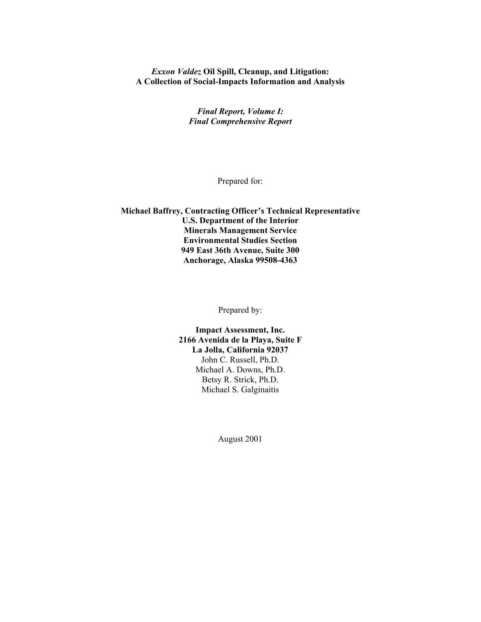#### *Exxon Valdez* **Oil Spill, Cleanup, and Litigation: A Collection of Social-Impacts Information and Analysis**

*Final Report, Volume I: Final Comprehensive Report* 

Prepared for:

**Michael Baffrey, Contracting Officer's Technical Representative U.S. Department of the Interior Minerals Management Service Environmental Studies Section 949 East 36th Avenue, Suite 300 Anchorage, Alaska 99508-4363**

Prepared by:

**Impact Assessment, Inc. 2166 Avenida de la Playa, Suite F La Jolla, California 92037**  John C. Russell, Ph.D. Michael A. Downs, Ph.D. Betsy R. Strick, Ph.D. Michael S. Galginaitis

August 2001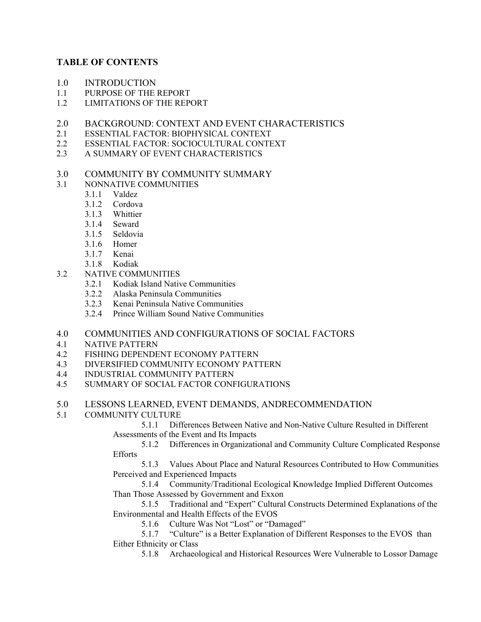# **TABLE OF CONTENTS**

- 1.0 INTRODUCTION
- 1.1 PURPOSE OF THE REPORT
- 1.2 LIMITATIONS OF THE REPORT
- 2.0 BACKGROUND: CONTEXT AND EVENT CHARACTERISTICS
- 2.1 ESSENTIAL FACTOR: BIOPHYSICAL CONTEXT
- 2.2 ESSENTIAL FACTOR: SOCIOCULTURAL CONTEXT
- 2.3 A SUMMARY OF EVENT CHARACTERISTICS
- 3.0 COMMUNITY BY COMMUNITY SUMMARY
- 3.1 NONNATIVE COMMUNITIES
	- 3.1.1 Valdez
	- 3.1.2 Cordova
	- 3.1.3 Whittier
	- 3.1.4 Seward
	- 3.1.5 Seldovia
	- 3.1.6 Homer
	- 3.1.7 Kenai
	- 3.1.8 Kodiak
- 3.2 NATIVE COMMUNITIES
	- 3.2.1 Kodiak Island Native Communities
	- 3.2.2 Alaska Peninsula Communities
	- 3.2.3 Kenai Peninsula Native Communities
	- 3.2.4 Prince William Sound Native Communities
- 4.0 COMMUNITIES AND CONFIGURATIONS OF SOCIAL FACTORS
- 4.1 NATIVE PATTERN
- 4.2 FISHING DEPENDENT ECONOMY PATTERN
- 4.3 DIVERSIFIED COMMUNITY ECONOMY PATTERN
- 4.4 INDUSTRIAL COMMUNITY PATTERN
- 4.5 SUMMARY OF SOCIAL FACTOR CONFIGURATIONS
- 5.0 LESSONS LEARNED, EVENT DEMANDS, ANDRECOMMENDATION
- 5.1 COMMUNITY CULTURE

5.1.1 Differences Between Native and Non-Native Culture Resulted in Different Assessments of the Event and Its Impacts

5.1.2 Differences in Organizational and Community Culture Complicated Response **Efforts** 

5.1.3 Values About Place and Natural Resources Contributed to How Communities Perceived and Experienced Impacts

5.1.4 Community/Traditional Ecological Knowledge Implied Different Outcomes Than Those Assessed by Government and Exxon

5.1.5 Traditional and "Expert" Cultural Constructs Determined Explanations of the Environmental and Health Effects of the EVOS

5.1.6 Culture Was Not "Lost" or "Damaged"

5.1.7 "Culture" is a Better Explanation of Different Responses to the EVOS than Either Ethnicity or Class

5.1.8 Archaeological and Historical Resources Were Vulnerable to Lossor Damage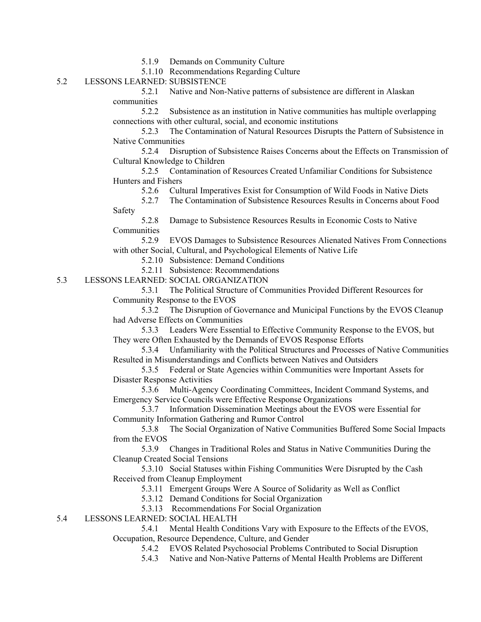5.1.9 Demands on Community Culture

5.1.10 Recommendations Regarding Culture

## 5.2 LESSONS LEARNED: SUBSISTENCE

5.2.1 Native and Non-Native patterns of subsistence are different in Alaskan communities

5.2.2 Subsistence as an institution in Native communities has multiple overlapping connections with other cultural, social, and economic institutions

5.2.3 The Contamination of Natural Resources Disrupts the Pattern of Subsistence in Native Communities

5.2.4 Disruption of Subsistence Raises Concerns about the Effects on Transmission of Cultural Knowledge to Children

5.2.5 Contamination of Resources Created Unfamiliar Conditions for Subsistence Hunters and Fishers

5.2.6 Cultural Imperatives Exist for Consumption of Wild Foods in Native Diets

5.2.7 The Contamination of Subsistence Resources Results in Concerns about Food Safety

5.2.8 Damage to Subsistence Resources Results in Economic Costs to Native **Communities** 

5.2.9 EVOS Damages to Subsistence Resources Alienated Natives From Connections with other Social, Cultural, and Psychological Elements of Native Life

5.2.10 Subsistence: Demand Conditions

5.2.11 Subsistence: Recommendations

5.3 LESSONS LEARNED: SOCIAL ORGANIZATION

5.3.1 The Political Structure of Communities Provided Different Resources for Community Response to the EVOS

5.3.2 The Disruption of Governance and Municipal Functions by the EVOS Cleanup had Adverse Effects on Communities

5.3.3 Leaders Were Essential to Effective Community Response to the EVOS, but They were Often Exhausted by the Demands of EVOS Response Efforts

5.3.4 Unfamiliarity with the Political Structures and Processes of Native Communities Resulted in Misunderstandings and Conflicts between Natives and Outsiders

5.3.5 Federal or State Agencies within Communities were Important Assets for Disaster Response Activities

5.3.6 Multi-Agency Coordinating Committees, Incident Command Systems, and Emergency Service Councils were Effective Response Organizations

5.3.7 Information Dissemination Meetings about the EVOS were Essential for Community Information Gathering and Rumor Control

5.3.8 The Social Organization of Native Communities Buffered Some Social Impacts from the EVOS

5.3.9 Changes in Traditional Roles and Status in Native Communities During the Cleanup Created Social Tensions

5.3.10 Social Statuses within Fishing Communities Were Disrupted by the Cash Received from Cleanup Employment

5.3.11 Emergent Groups Were A Source of Solidarity as Well as Conflict

5.3.12 Demand Conditions for Social Organization

5.3.13 Recommendations For Social Organization

5.4 LESSONS LEARNED: SOCIAL HEALTH

5.4.1 Mental Health Conditions Vary with Exposure to the Effects of the EVOS, Occupation, Resource Dependence, Culture, and Gender

5.4.2 EVOS Related Psychosocial Problems Contributed to Social Disruption

5.4.3 Native and Non-Native Patterns of Mental Health Problems are Different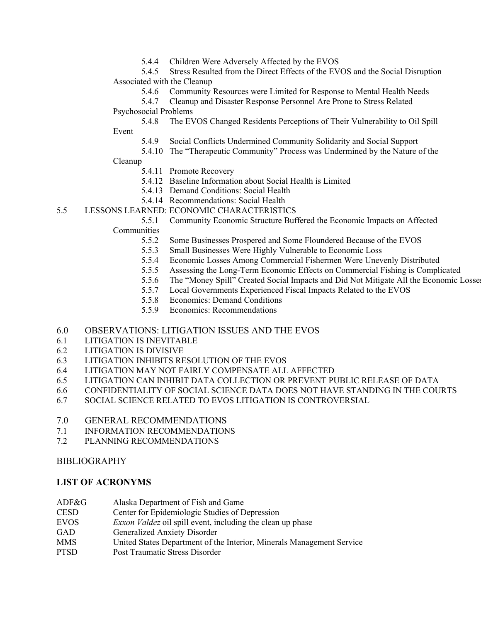5.4.4 Children Were Adversely Affected by the EVOS

5.4.5 Stress Resulted from the Direct Effects of the EVOS and the Social Disruption Associated with the Cleanup

5.4.6 Community Resources were Limited for Response to Mental Health Needs

5.4.7 Cleanup and Disaster Response Personnel Are Prone to Stress Related Psychosocial Problems

5.4.8 The EVOS Changed Residents Perceptions of Their Vulnerability to Oil Spill Event

5.4.9 Social Conflicts Undermined Community Solidarity and Social Support

5.4.10 The "Therapeutic Community" Process was Undermined by the Nature of the

## Cleanup

- 5.4.11 Promote Recovery
- 5.4.12 Baseline Information about Social Health is Limited
- 5.4.13 Demand Conditions: Social Health
- 5.4.14 Recommendations: Social Health
- 5.5 LESSONS LEARNED: ECONOMIC CHARACTERISTICS

5.5.1 Community Economic Structure Buffered the Economic Impacts on Affected **Communities** 

- 5.5.2 Some Businesses Prospered and Some Floundered Because of the EVOS
- 5.5.3 Small Businesses Were Highly Vulnerable to Economic Loss
- 5.5.4 Economic Losses Among Commercial Fishermen Were Unevenly Distributed
- 5.5.5 Assessing the Long-Term Economic Effects on Commercial Fishing is Complicated
- 5.5.6 The "Money Spill" Created Social Impacts and Did Not Mitigate All the Economic Losses
- 5.5.7 Local Governments Experienced Fiscal Impacts Related to the EVOS
- 5.5.8 Economics: Demand Conditions
- 5.5.9 Economics: Recommendations

## 6.0 OBSERVATIONS: LITIGATION ISSUES AND THE EVOS

- 6.1 LITIGATION IS INEVITABLE
- 6.2 LITIGATION IS DIVISIVE
- 6.3 LITIGATION INHIBITS RESOLUTION OF THE EVOS
- 6.4 LITIGATION MAY NOT FAIRLY COMPENSATE ALL AFFECTED
- 6.5 LITIGATION CAN INHIBIT DATA COLLECTION OR PREVENT PUBLIC RELEASE OF DATA
- 6.6 CONFIDENTIALITY OF SOCIAL SCIENCE DATA DOES NOT HAVE STANDING IN THE COURTS
- 6.7 SOCIAL SCIENCE RELATED TO EVOS LITIGATION IS CONTROVERSIAL
- 7.0 GENERAL RECOMMENDATIONS
- 7.1 INFORMATION RECOMMENDATIONS
- 7.2 PLANNING RECOMMENDATIONS

## BIBLIOGRAPHY

## **LIST OF ACRONYMS**

- ADF&G Alaska Department of Fish and Game
- CESD Center for Epidemiologic Studies of Depression
- EVOS *Exxon Valdez* oil spill event, including the clean up phase
- GAD Generalized Anxiety Disorder
- MMS United States Department of the Interior, Minerals Management Service
- PTSD Post Traumatic Stress Disorder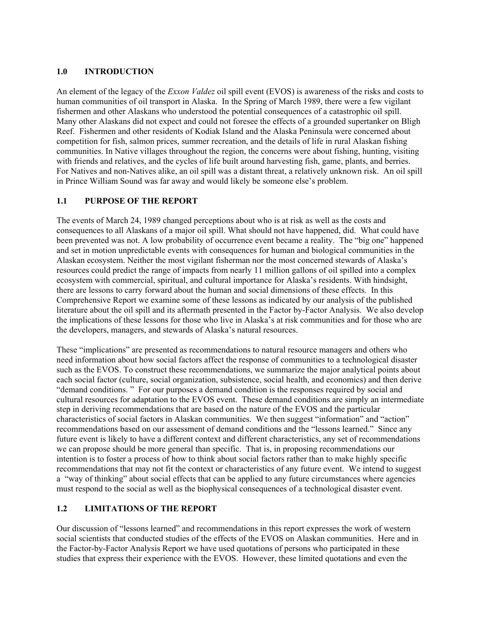## **1.0 INTRODUCTION**

An element of the legacy of the *Exxon Valdez* oil spill event (EVOS) is awareness of the risks and costs to human communities of oil transport in Alaska. In the Spring of March 1989, there were a few vigilant fishermen and other Alaskans who understood the potential consequences of a catastrophic oil spill. Many other Alaskans did not expect and could not foresee the effects of a grounded supertanker on Bligh Reef. Fishermen and other residents of Kodiak Island and the Alaska Peninsula were concerned about competition for fish, salmon prices, summer recreation, and the details of life in rural Alaskan fishing communities. In Native villages throughout the region, the concerns were about fishing, hunting, visiting with friends and relatives, and the cycles of life built around harvesting fish, game, plants, and berries. For Natives and non-Natives alike, an oil spill was a distant threat, a relatively unknown risk. An oil spill in Prince William Sound was far away and would likely be someone else's problem.

# **1.1 PURPOSE OF THE REPORT**

The events of March 24, 1989 changed perceptions about who is at risk as well as the costs and consequences to all Alaskans of a major oil spill. What should not have happened, did. What could have been prevented was not. A low probability of occurrence event became a reality. The "big one" happened and set in motion unpredictable events with consequences for human and biological communities in the Alaskan ecosystem. Neither the most vigilant fisherman nor the most concerned stewards of Alaska's resources could predict the range of impacts from nearly 11 million gallons of oil spilled into a complex ecosystem with commercial, spiritual, and cultural importance for Alaska's residents. With hindsight, there are lessons to carry forward about the human and social dimensions of these effects. In this Comprehensive Report we examine some of these lessons as indicated by our analysis of the published literature about the oil spill and its aftermath presented in the Factor by-Factor Analysis. We also develop the implications of these lessons for those who live in Alaska's at risk communities and for those who are the developers, managers, and stewards of Alaska's natural resources.

These "implications" are presented as recommendations to natural resource managers and others who need information about how social factors affect the response of communities to a technological disaster such as the EVOS. To construct these recommendations, we summarize the major analytical points about each social factor (culture, social organization, subsistence, social health, and economics) and then derive "demand conditions. " For our purposes a demand condition is the responses required by social and cultural resources for adaptation to the EVOS event. These demand conditions are simply an intermediate step in deriving recommendations that are based on the nature of the EVOS and the particular characteristics of social factors in Alaskan communities. We then suggest "information" and "action" recommendations based on our assessment of demand conditions and the "lessons learned." Since any future event is likely to have a different context and different characteristics, any set of recommendations we can propose should be more general than specific. That is, in proposing recommendations our intention is to foster a process of how to think about social factors rather than to make highly specific recommendations that may not fit the context or characteristics of any future event. We intend to suggest a "way of thinking" about social effects that can be applied to any future circumstances where agencies must respond to the social as well as the biophysical consequences of a technological disaster event.

## **1.2 LIMITATIONS OF THE REPORT**

Our discussion of "lessons learned" and recommendations in this report expresses the work of western social scientists that conducted studies of the effects of the EVOS on Alaskan communities. Here and in the Factor-by-Factor Analysis Report we have used quotations of persons who participated in these studies that express their experience with the EVOS. However, these limited quotations and even the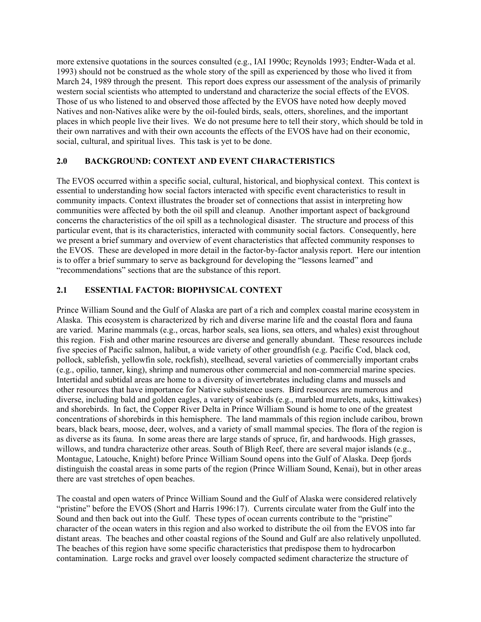more extensive quotations in the sources consulted (e.g., IAI 1990c; Reynolds 1993; Endter-Wada et al. 1993) should not be construed as the whole story of the spill as experienced by those who lived it from March 24, 1989 through the present. This report does express our assessment of the analysis of primarily western social scientists who attempted to understand and characterize the social effects of the EVOS. Those of us who listened to and observed those affected by the EVOS have noted how deeply moved Natives and non-Natives alike were by the oil-fouled birds, seals, otters, shorelines, and the important places in which people live their lives. We do not presume here to tell their story, which should be told in their own narratives and with their own accounts the effects of the EVOS have had on their economic, social, cultural, and spiritual lives. This task is yet to be done.

## **2.0 BACKGROUND: CONTEXT AND EVENT CHARACTERISTICS**

The EVOS occurred within a specific social, cultural, historical, and biophysical context. This context is essential to understanding how social factors interacted with specific event characteristics to result in community impacts. Context illustrates the broader set of connections that assist in interpreting how communities were affected by both the oil spill and cleanup. Another important aspect of background concerns the characteristics of the oil spill as a technological disaster. The structure and process of this particular event, that is its characteristics, interacted with community social factors. Consequently, here we present a brief summary and overview of event characteristics that affected community responses to the EVOS. These are developed in more detail in the factor-by-factor analysis report. Here our intention is to offer a brief summary to serve as background for developing the "lessons learned" and "recommendations" sections that are the substance of this report.

## **2.1 ESSENTIAL FACTOR: BIOPHYSICAL CONTEXT**

Prince William Sound and the Gulf of Alaska are part of a rich and complex coastal marine ecosystem in Alaska. This ecosystem is characterized by rich and diverse marine life and the coastal flora and fauna are varied. Marine mammals (e.g., orcas, harbor seals, sea lions, sea otters, and whales) exist throughout this region. Fish and other marine resources are diverse and generally abundant. These resources include five species of Pacific salmon, halibut, a wide variety of other groundfish (e.g. Pacific Cod, black cod, pollock, sablefish, yellowfin sole, rockfish), steelhead, several varieties of commercially important crabs (e.g., opilio, tanner, king), shrimp and numerous other commercial and non-commercial marine species. Intertidal and subtidal areas are home to a diversity of invertebrates including clams and mussels and other resources that have importance for Native subsistence users. Bird resources are numerous and diverse, including bald and golden eagles, a variety of seabirds (e.g., marbled murrelets, auks, kittiwakes) and shorebirds. In fact, the Copper River Delta in Prince William Sound is home to one of the greatest concentrations of shorebirds in this hemisphere. The land mammals of this region include caribou, brown bears, black bears, moose, deer, wolves, and a variety of small mammal species. The flora of the region is as diverse as its fauna. In some areas there are large stands of spruce, fir, and hardwoods. High grasses, willows, and tundra characterize other areas. South of Bligh Reef, there are several major islands (e.g., Montague, Latouche, Knight) before Prince William Sound opens into the Gulf of Alaska. Deep fjords distinguish the coastal areas in some parts of the region (Prince William Sound, Kenai), but in other areas there are vast stretches of open beaches.

The coastal and open waters of Prince William Sound and the Gulf of Alaska were considered relatively "pristine" before the EVOS (Short and Harris 1996:17). Currents circulate water from the Gulf into the Sound and then back out into the Gulf. These types of ocean currents contribute to the "pristine" character of the ocean waters in this region and also worked to distribute the oil from the EVOS into far distant areas. The beaches and other coastal regions of the Sound and Gulf are also relatively unpolluted. The beaches of this region have some specific characteristics that predispose them to hydrocarbon contamination. Large rocks and gravel over loosely compacted sediment characterize the structure of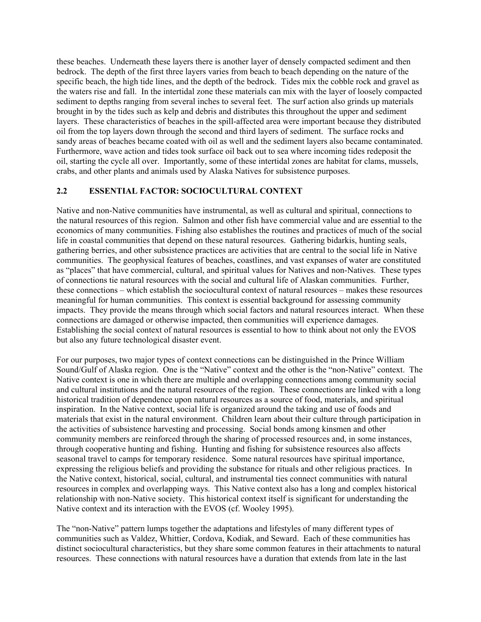these beaches. Underneath these layers there is another layer of densely compacted sediment and then bedrock. The depth of the first three layers varies from beach to beach depending on the nature of the specific beach, the high tide lines, and the depth of the bedrock. Tides mix the cobble rock and gravel as the waters rise and fall. In the intertidal zone these materials can mix with the layer of loosely compacted sediment to depths ranging from several inches to several feet. The surf action also grinds up materials brought in by the tides such as kelp and debris and distributes this throughout the upper and sediment layers. These characteristics of beaches in the spill-affected area were important because they distributed oil from the top layers down through the second and third layers of sediment. The surface rocks and sandy areas of beaches became coated with oil as well and the sediment layers also became contaminated. Furthermore, wave action and tides took surface oil back out to sea where incoming tides redeposit the oil, starting the cycle all over. Importantly, some of these intertidal zones are habitat for clams, mussels, crabs, and other plants and animals used by Alaska Natives for subsistence purposes.

#### **ESSENTIAL FACTOR: SOCIOCULTURAL CONTEXT 2.2**

Native and non-Native communities have instrumental, as well as cultural and spiritual, connections to the natural resources of this region. Salmon and other fish have commercial value and are essential to the economics of many communities. Fishing also establishes the routines and practices of much of the social life in coastal communities that depend on these natural resources. Gathering bidarkis, hunting seals, gathering berries, and other subsistence practices are activities that are central to the social life in Native communities. The geophysical features of beaches, coastlines, and vast expanses of water are constituted as "places" that have commercial, cultural, and spiritual values for Natives and non-Natives. These types of connections tie natural resources with the social and cultural life of Alaskan communities. Further, these connections – which establish the sociocultural context of natural resources – makes these resources meaningful for human communities. This context is essential background for assessing community impacts. They provide the means through which social factors and natural resources interact. When these connections are damaged or otherwise impacted, then communities will experience damages. Establishing the social context of natural resources is essential to how to think about not only the EVOS but also any future technological disaster event.

For our purposes, two major types of context connections can be distinguished in the Prince William Sound/Gulf of Alaska region. One is the "Native" context and the other is the "non-Native" context. The Native context is one in which there are multiple and overlapping connections among community social and cultural institutions and the natural resources of the region. These connections are linked with a long historical tradition of dependence upon natural resources as a source of food, materials, and spiritual inspiration. In the Native context, social life is organized around the taking and use of foods and materials that exist in the natural environment. Children learn about their culture through participation in the activities of subsistence harvesting and processing. Social bonds among kinsmen and other community members are reinforced through the sharing of processed resources and, in some instances, through cooperative hunting and fishing. Hunting and fishing for subsistence resources also affects seasonal travel to camps for temporary residence. Some natural resources have spiritual importance, expressing the religious beliefs and providing the substance for rituals and other religious practices. In the Native context, historical, social, cultural, and instrumental ties connect communities with natural resources in complex and overlapping ways. This Native context also has a long and complex historical relationship with non-Native society. This historical context itself is significant for understanding the Native context and its interaction with the EVOS (cf. Wooley 1995).

The "non-Native" pattern lumps together the adaptations and lifestyles of many different types of communities such as Valdez, Whittier, Cordova, Kodiak, and Seward. Each of these communities has distinct sociocultural characteristics, but they share some common features in their attachments to natural resources. These connections with natural resources have a duration that extends from late in the last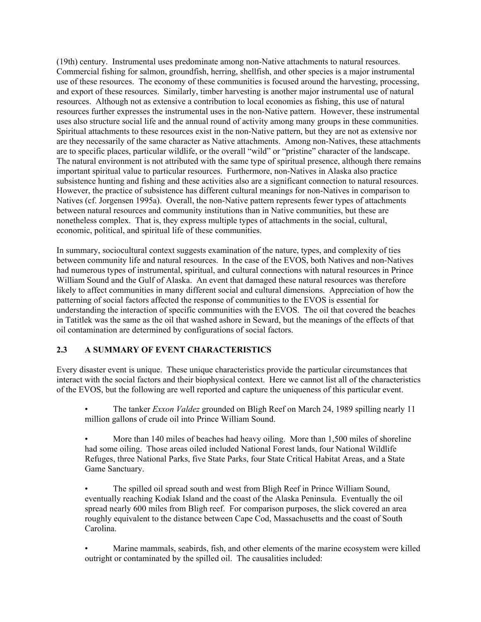(19th) century. Instrumental uses predominate among non-Native attachments to natural resources. Commercial fishing for salmon, groundfish, herring, shellfish, and other species is a major instrumental use of these resources. The economy of these communities is focused around the harvesting, processing, and export of these resources. Similarly, timber harvesting is another major instrumental use of natural resources. Although not as extensive a contribution to local economies as fishing, this use of natural resources further expresses the instrumental uses in the non-Native pattern. However, these instrumental uses also structure social life and the annual round of activity among many groups in these communities. Spiritual attachments to these resources exist in the non-Native pattern, but they are not as extensive nor are they necessarily of the same character as Native attachments. Among non-Natives, these attachments are to specific places, particular wildlife, or the overall "wild" or "pristine" character of the landscape. The natural environment is not attributed with the same type of spiritual presence, although there remains important spiritual value to particular resources. Furthermore, non-Natives in Alaska also practice subsistence hunting and fishing and these activities also are a significant connection to natural resources. However, the practice of subsistence has different cultural meanings for non-Natives in comparison to Natives (cf. Jorgensen 1995a). Overall, the non-Native pattern represents fewer types of attachments between natural resources and community institutions than in Native communities, but these are nonetheless complex. That is, they express multiple types of attachments in the social, cultural, economic, political, and spiritual life of these communities.

In summary, sociocultural context suggests examination of the nature, types, and complexity of ties between community life and natural resources. In the case of the EVOS, both Natives and non-Natives had numerous types of instrumental, spiritual, and cultural connections with natural resources in Prince William Sound and the Gulf of Alaska. An event that damaged these natural resources was therefore likely to affect communities in many different social and cultural dimensions. Appreciation of how the patterning of social factors affected the response of communities to the EVOS is essential for understanding the interaction of specific communities with the EVOS. The oil that covered the beaches in Tatitlek was the same as the oil that washed ashore in Seward, but the meanings of the effects of that oil contamination are determined by configurations of social factors.

## **2.3 A SUMMARY OF EVENT CHARACTERISTICS**

Every disaster event is unique. These unique characteristics provide the particular circumstances that interact with the social factors and their biophysical context. Here we cannot list all of the characteristics of the EVOS, but the following are well reported and capture the uniqueness of this particular event.

• The tanker *Exxon Valdez* grounded on Bligh Reef on March 24, 1989 spilling nearly 11 million gallons of crude oil into Prince William Sound.

• More than 140 miles of beaches had heavy oiling. More than 1,500 miles of shoreline had some oiling. Those areas oiled included National Forest lands, four National Wildlife Refuges, three National Parks, five State Parks, four State Critical Habitat Areas, and a State Game Sanctuary.

• The spilled oil spread south and west from Bligh Reef in Prince William Sound, eventually reaching Kodiak Island and the coast of the Alaska Peninsula. Eventually the oil spread nearly 600 miles from Bligh reef. For comparison purposes, the slick covered an area roughly equivalent to the distance between Cape Cod, Massachusetts and the coast of South Carolina.

Marine mammals, seabirds, fish, and other elements of the marine ecosystem were killed outright or contaminated by the spilled oil. The causalities included: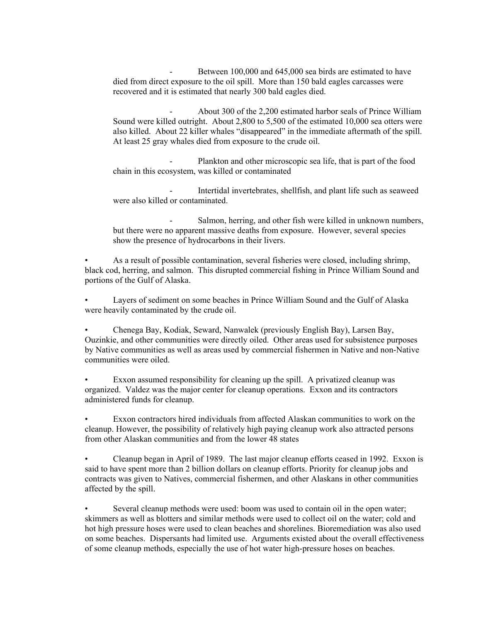Between 100,000 and 645,000 sea birds are estimated to have died from direct exposure to the oil spill. More than 150 bald eagles carcasses were recovered and it is estimated that nearly 300 bald eagles died.

- About 300 of the 2,200 estimated harbor seals of Prince William Sound were killed outright. About 2,800 to 5,500 of the estimated 10,000 sea otters were also killed. About 22 killer whales "disappeared" in the immediate aftermath of the spill. At least 25 gray whales died from exposure to the crude oil.

- Plankton and other microscopic sea life, that is part of the food chain in this ecosystem, was killed or contaminated

Intertidal invertebrates, shellfish, and plant life such as seaweed were also killed or contaminated.

Salmon, herring, and other fish were killed in unknown numbers, but there were no apparent massive deaths from exposure. However, several species show the presence of hydrocarbons in their livers.

• As a result of possible contamination, several fisheries were closed, including shrimp, black cod, herring, and salmon. This disrupted commercial fishing in Prince William Sound and portions of the Gulf of Alaska.

• Layers of sediment on some beaches in Prince William Sound and the Gulf of Alaska were heavily contaminated by the crude oil.

• Chenega Bay, Kodiak, Seward, Nanwalek (previously English Bay), Larsen Bay, Ouzinkie, and other communities were directly oiled. Other areas used for subsistence purposes by Native communities as well as areas used by commercial fishermen in Native and non-Native communities were oiled.

Exxon assumed responsibility for cleaning up the spill. A privatized cleanup was organized. Valdez was the major center for cleanup operations. Exxon and its contractors administered funds for cleanup.

• Exxon contractors hired individuals from affected Alaskan communities to work on the cleanup. However, the possibility of relatively high paying cleanup work also attracted persons from other Alaskan communities and from the lower 48 states

• Cleanup began in April of 1989. The last major cleanup efforts ceased in 1992. Exxon is said to have spent more than 2 billion dollars on cleanup efforts. Priority for cleanup jobs and contracts was given to Natives, commercial fishermen, and other Alaskans in other communities affected by the spill.

Several cleanup methods were used: boom was used to contain oil in the open water; skimmers as well as blotters and similar methods were used to collect oil on the water; cold and hot high pressure hoses were used to clean beaches and shorelines. Bioremediation was also used on some beaches. Dispersants had limited use. Arguments existed about the overall effectiveness of some cleanup methods, especially the use of hot water high-pressure hoses on beaches.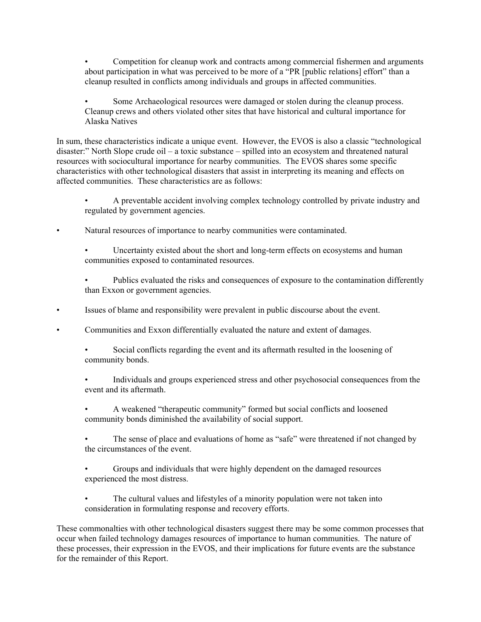• Competition for cleanup work and contracts among commercial fishermen and arguments about participation in what was perceived to be more of a "PR [public relations] effort" than a cleanup resulted in conflicts among individuals and groups in affected communities.

• Some Archaeological resources were damaged or stolen during the cleanup process. Cleanup crews and others violated other sites that have historical and cultural importance for Alaska Natives

In sum, these characteristics indicate a unique event. However, the EVOS is also a classic "technological disaster:" North Slope crude oil – a toxic substance – spilled into an ecosystem and threatened natural resources with sociocultural importance for nearby communities. The EVOS shares some specific characteristics with other technological disasters that assist in interpreting its meaning and effects on affected communities. These characteristics are as follows:

• A preventable accident involving complex technology controlled by private industry and regulated by government agencies.

• Natural resources of importance to nearby communities were contaminated.

• Uncertainty existed about the short and long-term effects on ecosystems and human communities exposed to contaminated resources.

Publics evaluated the risks and consequences of exposure to the contamination differently than Exxon or government agencies.

• Issues of blame and responsibility were prevalent in public discourse about the event.

• Communities and Exxon differentially evaluated the nature and extent of damages.

• Social conflicts regarding the event and its aftermath resulted in the loosening of community bonds.

• Individuals and groups experienced stress and other psychosocial consequences from the event and its aftermath.

• A weakened "therapeutic community" formed but social conflicts and loosened community bonds diminished the availability of social support.

The sense of place and evaluations of home as "safe" were threatened if not changed by the circumstances of the event.

• Groups and individuals that were highly dependent on the damaged resources experienced the most distress.

• The cultural values and lifestyles of a minority population were not taken into consideration in formulating response and recovery efforts.

These commonalties with other technological disasters suggest there may be some common processes that occur when failed technology damages resources of importance to human communities. The nature of these processes, their expression in the EVOS, and their implications for future events are the substance for the remainder of this Report.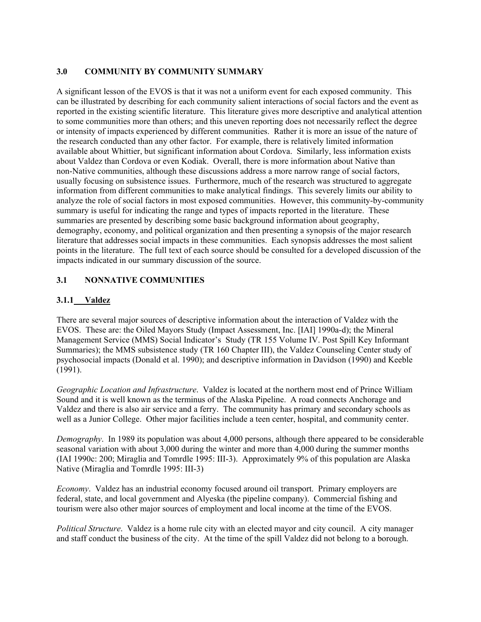## **3.0 COMMUNITY BY COMMUNITY SUMMARY**

A significant lesson of the EVOS is that it was not a uniform event for each exposed community. This can be illustrated by describing for each community salient interactions of social factors and the event as reported in the existing scientific literature. This literature gives more descriptive and analytical attention to some communities more than others; and this uneven reporting does not necessarily reflect the degree or intensity of impacts experienced by different communities. Rather it is more an issue of the nature of the research conducted than any other factor. For example, there is relatively limited information available about Whittier, but significant information about Cordova. Similarly, less information exists about Valdez than Cordova or even Kodiak. Overall, there is more information about Native than non-Native communities, although these discussions address a more narrow range of social factors, usually focusing on subsistence issues. Furthermore, much of the research was structured to aggregate information from different communities to make analytical findings. This severely limits our ability to analyze the role of social factors in most exposed communities. However, this community-by-community summary is useful for indicating the range and types of impacts reported in the literature. These summaries are presented by describing some basic background information about geography, demography, economy, and political organization and then presenting a synopsis of the major research literature that addresses social impacts in these communities. Each synopsis addresses the most salient points in the literature. The full text of each source should be consulted for a developed discussion of the impacts indicated in our summary discussion of the source.

# **3.1 NONNATIVE COMMUNITIES**

## **3.1.1 Valdez**

There are several major sources of descriptive information about the interaction of Valdez with the EVOS. These are: the Oiled Mayors Study (Impact Assessment, Inc. [IAI] 1990a-d); the Mineral Management Service (MMS) Social Indicator's Study (TR 155 Volume IV. Post Spill Key Informant Summaries); the MMS subsistence study (TR 160 Chapter III), the Valdez Counseling Center study of psychosocial impacts (Donald et al. 1990); and descriptive information in Davidson (1990) and Keeble (1991).

*Geographic Location and Infrastructure*. Valdez is located at the northern most end of Prince William Sound and it is well known as the terminus of the Alaska Pipeline. A road connects Anchorage and Valdez and there is also air service and a ferry. The community has primary and secondary schools as well as a Junior College. Other major facilities include a teen center, hospital, and community center.

*Demography*. In 1989 its population was about 4,000 persons, although there appeared to be considerable seasonal variation with about 3,000 during the winter and more than 4,000 during the summer months (IAI 1990c: 200; Miraglia and Tomrdle 1995: III-3). Approximately 9% of this population are Alaska Native (Miraglia and Tomrdle 1995: III-3)

*Economy*. Valdez has an industrial economy focused around oil transport. Primary employers are federal, state, and local government and Alyeska (the pipeline company). Commercial fishing and tourism were also other major sources of employment and local income at the time of the EVOS.

*Political Structure*. Valdez is a home rule city with an elected mayor and city council. A city manager and staff conduct the business of the city. At the time of the spill Valdez did not belong to a borough.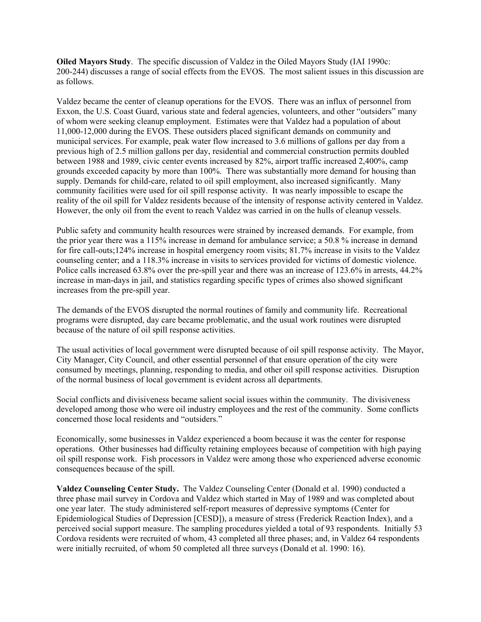**Oiled Mayors Study**. The specific discussion of Valdez in the Oiled Mayors Study (IAI 1990c: 200-244) discusses a range of social effects from the EVOS. The most salient issues in this discussion are as follows.

Valdez became the center of cleanup operations for the EVOS. There was an influx of personnel from Exxon, the U.S. Coast Guard, various state and federal agencies, volunteers, and other "outsiders" many of whom were seeking cleanup employment. Estimates were that Valdez had a population of about 11,000-12,000 during the EVOS. These outsiders placed significant demands on community and municipal services. For example, peak water flow increased to 3.6 millions of gallons per day from a previous high of 2.5 million gallons per day, residential and commercial construction permits doubled between 1988 and 1989, civic center events increased by 82%, airport traffic increased 2,400%, camp grounds exceeded capacity by more than 100%. There was substantially more demand for housing than supply. Demands for child-care, related to oil spill employment, also increased significantly. Many community facilities were used for oil spill response activity. It was nearly impossible to escape the reality of the oil spill for Valdez residents because of the intensity of response activity centered in Valdez. However, the only oil from the event to reach Valdez was carried in on the hulls of cleanup vessels.

Public safety and community health resources were strained by increased demands. For example, from the prior year there was a 115% increase in demand for ambulance service; a 50.8 % increase in demand for fire call-outs;124% increase in hospital emergency room visits; 81.7% increase in visits to the Valdez counseling center; and a 118.3% increase in visits to services provided for victims of domestic violence. Police calls increased 63.8% over the pre-spill year and there was an increase of 123.6% in arrests, 44.2% increase in man-days in jail, and statistics regarding specific types of crimes also showed significant increases from the pre-spill year.

The demands of the EVOS disrupted the normal routines of family and community life. Recreational programs were disrupted, day care became problematic, and the usual work routines were disrupted because of the nature of oil spill response activities.

The usual activities of local government were disrupted because of oil spill response activity. The Mayor, City Manager, City Council, and other essential personnel of that ensure operation of the city were consumed by meetings, planning, responding to media, and other oil spill response activities. Disruption of the normal business of local government is evident across all departments.

Social conflicts and divisiveness became salient social issues within the community. The divisiveness developed among those who were oil industry employees and the rest of the community. Some conflicts concerned those local residents and "outsiders."

Economically, some businesses in Valdez experienced a boom because it was the center for response operations. Other businesses had difficulty retaining employees because of competition with high paying oil spill response work. Fish processors in Valdez were among those who experienced adverse economic consequences because of the spill.

**Valdez Counseling Center Study.** The Valdez Counseling Center (Donald et al. 1990) conducted a three phase mail survey in Cordova and Valdez which started in May of 1989 and was completed about one year later. The study administered self-report measures of depressive symptoms (Center for Epidemiological Studies of Depression [CESD]), a measure of stress (Frederick Reaction Index), and a perceived social support measure. The sampling procedures yielded a total of 93 respondents. Initially 53 Cordova residents were recruited of whom, 43 completed all three phases; and, in Valdez 64 respondents were initially recruited, of whom 50 completed all three surveys (Donald et al. 1990: 16).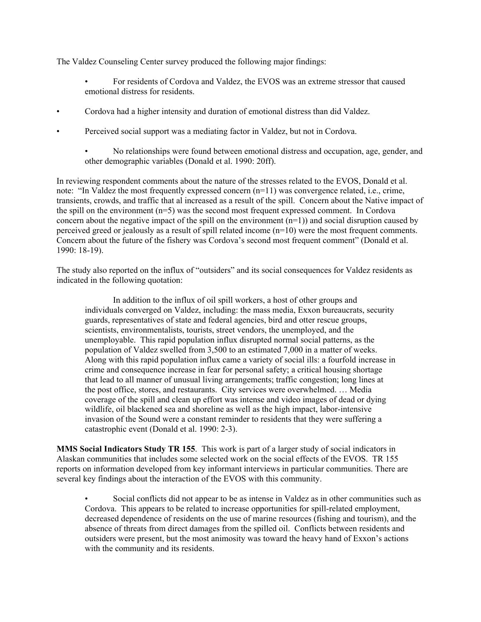The Valdez Counseling Center survey produced the following major findings:

- For residents of Cordova and Valdez, the EVOS was an extreme stressor that caused emotional distress for residents.
- Cordova had a higher intensity and duration of emotional distress than did Valdez.
- Perceived social support was a mediating factor in Valdez, but not in Cordova.
	- No relationships were found between emotional distress and occupation, age, gender, and other demographic variables (Donald et al. 1990: 20ff).

In reviewing respondent comments about the nature of the stresses related to the EVOS, Donald et al. note: "In Valdez the most frequently expressed concern (n=11) was convergence related, i.e., crime, transients, crowds, and traffic that al increased as a result of the spill. Concern about the Native impact of the spill on the environment (n=5) was the second most frequent expressed comment. In Cordova concern about the negative impact of the spill on the environment  $(n=1)$ ) and social disruption caused by perceived greed or jealously as a result of spill related income (n=10) were the most frequent comments. Concern about the future of the fishery was Cordova's second most frequent comment" (Donald et al. 1990: 18-19).

The study also reported on the influx of "outsiders" and its social consequences for Valdez residents as indicated in the following quotation:

In addition to the influx of oil spill workers, a host of other groups and individuals converged on Valdez, including: the mass media, Exxon bureaucrats, security guards, representatives of state and federal agencies, bird and otter rescue groups, scientists, environmentalists, tourists, street vendors, the unemployed, and the unemployable. This rapid population influx disrupted normal social patterns, as the population of Valdez swelled from 3,500 to an estimated 7,000 in a matter of weeks. Along with this rapid population influx came a variety of social ills: a fourfold increase in crime and consequence increase in fear for personal safety; a critical housing shortage that lead to all manner of unusual living arrangements; traffic congestion; long lines at the post office, stores, and restaurants. City services were overwhelmed. … Media coverage of the spill and clean up effort was intense and video images of dead or dying wildlife, oil blackened sea and shoreline as well as the high impact, labor-intensive invasion of the Sound were a constant reminder to residents that they were suffering a catastrophic event (Donald et al. 1990: 2-3).

**MMS Social Indicators Study TR 155**. This work is part of a larger study of social indicators in Alaskan communities that includes some selected work on the social effects of the EVOS. TR 155 reports on information developed from key informant interviews in particular communities. There are several key findings about the interaction of the EVOS with this community.

• Social conflicts did not appear to be as intense in Valdez as in other communities such as Cordova. This appears to be related to increase opportunities for spill-related employment, decreased dependence of residents on the use of marine resources (fishing and tourism), and the absence of threats from direct damages from the spilled oil. Conflicts between residents and outsiders were present, but the most animosity was toward the heavy hand of Exxon's actions with the community and its residents.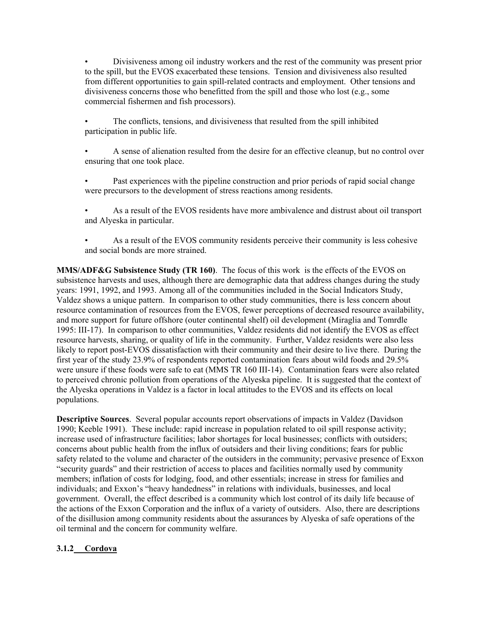• Divisiveness among oil industry workers and the rest of the community was present prior to the spill, but the EVOS exacerbated these tensions. Tension and divisiveness also resulted from different opportunities to gain spill-related contracts and employment. Other tensions and divisiveness concerns those who benefitted from the spill and those who lost (e.g., some commercial fishermen and fish processors).

The conflicts, tensions, and divisiveness that resulted from the spill inhibited participation in public life.

• A sense of alienation resulted from the desire for an effective cleanup, but no control over ensuring that one took place.

Past experiences with the pipeline construction and prior periods of rapid social change were precursors to the development of stress reactions among residents.

• As a result of the EVOS residents have more ambivalence and distrust about oil transport and Alyeska in particular.

• As a result of the EVOS community residents perceive their community is less cohesive and social bonds are more strained.

**MMS/ADF&G Subsistence Study (TR 160)**. The focus of this work is the effects of the EVOS on subsistence harvests and uses, although there are demographic data that address changes during the study years: 1991, 1992, and 1993. Among all of the communities included in the Social Indicators Study, Valdez shows a unique pattern. In comparison to other study communities, there is less concern about resource contamination of resources from the EVOS, fewer perceptions of decreased resource availability, and more support for future offshore (outer continental shelf) oil development (Miraglia and Tomrdle 1995: III-17). In comparison to other communities, Valdez residents did not identify the EVOS as effect resource harvests, sharing, or quality of life in the community. Further, Valdez residents were also less likely to report post-EVOS dissatisfaction with their community and their desire to live there. During the first year of the study 23.9% of respondents reported contamination fears about wild foods and 29.5% were unsure if these foods were safe to eat (MMS TR 160 III-14). Contamination fears were also related to perceived chronic pollution from operations of the Alyeska pipeline. It is suggested that the context of the Alyeska operations in Valdez is a factor in local attitudes to the EVOS and its effects on local populations.

**Descriptive Sources**. Several popular accounts report observations of impacts in Valdez (Davidson 1990; Keeble 1991). These include: rapid increase in population related to oil spill response activity; increase used of infrastructure facilities; labor shortages for local businesses; conflicts with outsiders; concerns about public health from the influx of outsiders and their living conditions; fears for public safety related to the volume and character of the outsiders in the community; pervasive presence of Exxon "security guards" and their restriction of access to places and facilities normally used by community members; inflation of costs for lodging, food, and other essentials; increase in stress for families and individuals; and Exxon's "heavy handedness" in relations with individuals, businesses, and local government. Overall, the effect described is a community which lost control of its daily life because of the actions of the Exxon Corporation and the influx of a variety of outsiders. Also, there are descriptions of the disillusion among community residents about the assurances by Alyeska of safe operations of the oil terminal and the concern for community welfare.

## **3.1.2 Cordova**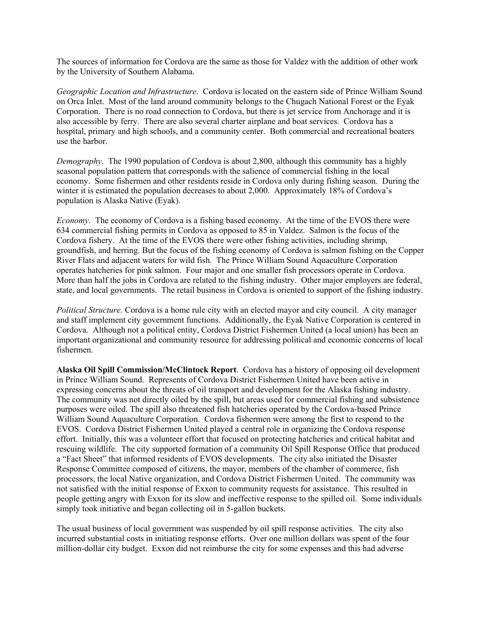The sources of information for Cordova are the same as those for Valdez with the addition of other work by the University of Southern Alabama.

*Geographic Location and Infrastructure*. Cordova is located on the eastern side of Prince William Sound on Orca Inlet. Most of the land around community belongs to the Chugach National Forest or the Eyak Corporation. There is no road connection to Cordova, but there is jet service from Anchorage and it is also accessible by ferry. There are also several charter airplane and boat services. Cordova has a hospital, primary and high schools, and a community center. Both commercial and recreational boaters use the harbor.

*Demography*. The 1990 population of Cordova is about 2,800, although this community has a highly seasonal population pattern that corresponds with the salience of commercial fishing in the local economy. Some fishermen and other residents reside in Cordova only during fishing season. During the winter it is estimated the population decreases to about 2,000. Approximately 18% of Cordova's population is Alaska Native (Eyak).

*Economy*. The economy of Cordova is a fishing based economy. At the time of the EVOS there were 634 commercial fishing permits in Cordova as opposed to 85 in Valdez. Salmon is the focus of the Cordova fishery. At the time of the EVOS there were other fishing activities, including shrimp, groundfish, and herring. But the focus of the fishing economy of Cordova is salmon fishing on the Copper River Flats and adjacent waters for wild fish. The Prince William Sound Aquaculture Corporation operates hatcheries for pink salmon. Four major and one smaller fish processors operate in Cordova. More than half the jobs in Cordova are related to the fishing industry. Other major employers are federal, state, and local governments. The retail business in Cordova is oriented to support of the fishing industry.

*Political Structure.* Cordova is a home rule city with an elected mayor and city council. A city manager and staff implement city government functions. Additionally, the Eyak Native Corporation is centered in Cordova. Although not a political entity, Cordova District Fishermen United (a local union) has been an important organizational and community resource for addressing political and economic concerns of local fishermen.

**Alaska Oil Spill Commission/McClintock Report**. Cordova has a history of opposing oil development in Prince William Sound. Represents of Cordova District Fishermen United have been active in expressing concerns about the threats of oil transport and development for the Alaska fishing industry. The community was not directly oiled by the spill, but areas used for commercial fishing and subsistence purposes were oiled. The spill also threatened fish hatcheries operated by the Cordova-based Prince William Sound Aquaculture Corporation. Cordova fishermen were among the first to respond to the EVOS. Cordova District Fishermen United played a central role in organizing the Cordova response effort. Initially, this was a volunteer effort that focused on protecting hatcheries and critical habitat and rescuing wildlife. The city supported formation of a community Oil Spill Response Office that produced a "Fact Sheet" that informed residents of EVOS developments. The city also initiated the Disaster Response Committee composed of citizens, the mayor, members of the chamber of commerce, fish processors, the local Native organization, and Cordova District Fishermen United. The community was not satisfied with the initial response of Exxon to community requests for assistance. This resulted in people getting angry with Exxon for its slow and ineffective response to the spilled oil. Some individuals simply took initiative and began collecting oil in 5-gallon buckets.

The usual business of local government was suspended by oil spill response activities. The city also incurred substantial costs in initiating response efforts. Over one million dollars was spent of the four million-dollar city budget. Exxon did not reimburse the city for some expenses and this had adverse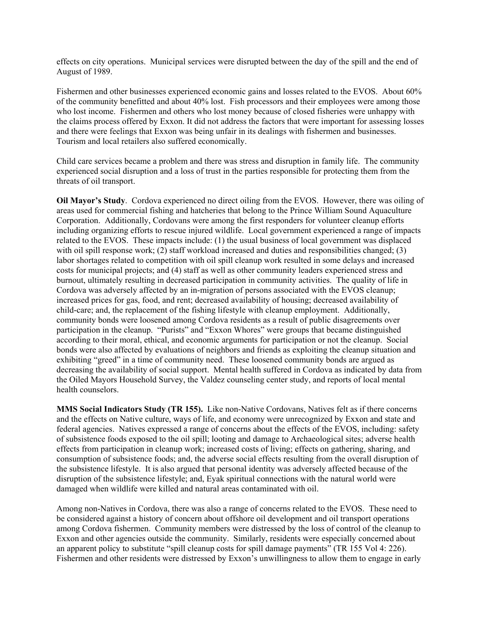effects on city operations. Municipal services were disrupted between the day of the spill and the end of August of 1989.

Fishermen and other businesses experienced economic gains and losses related to the EVOS. About 60% of the community benefitted and about 40% lost. Fish processors and their employees were among those who lost income. Fishermen and others who lost money because of closed fisheries were unhappy with the claims process offered by Exxon. It did not address the factors that were important for assessing losses and there were feelings that Exxon was being unfair in its dealings with fishermen and businesses. Tourism and local retailers also suffered economically.

Child care services became a problem and there was stress and disruption in family life. The community experienced social disruption and a loss of trust in the parties responsible for protecting them from the threats of oil transport.

**Oil Mayor's Study**. Cordova experienced no direct oiling from the EVOS. However, there was oiling of areas used for commercial fishing and hatcheries that belong to the Prince William Sound Aquaculture Corporation. Additionally, Cordovans were among the first responders for volunteer cleanup efforts including organizing efforts to rescue injured wildlife. Local government experienced a range of impacts related to the EVOS. These impacts include: (1) the usual business of local government was displaced with oil spill response work; (2) staff workload increased and duties and responsibilities changed; (3) labor shortages related to competition with oil spill cleanup work resulted in some delays and increased costs for municipal projects; and (4) staff as well as other community leaders experienced stress and burnout, ultimately resulting in decreased participation in community activities. The quality of life in Cordova was adversely affected by an in-migration of persons associated with the EVOS cleanup; increased prices for gas, food, and rent; decreased availability of housing; decreased availability of child-care; and, the replacement of the fishing lifestyle with cleanup employment. Additionally, community bonds were loosened among Cordova residents as a result of public disagreements over participation in the cleanup. "Purists" and "Exxon Whores" were groups that became distinguished according to their moral, ethical, and economic arguments for participation or not the cleanup. Social bonds were also affected by evaluations of neighbors and friends as exploiting the cleanup situation and exhibiting "greed" in a time of community need. These loosened community bonds are argued as decreasing the availability of social support. Mental health suffered in Cordova as indicated by data from the Oiled Mayors Household Survey, the Valdez counseling center study, and reports of local mental health counselors.

**MMS Social Indicators Study (TR 155).** Like non-Native Cordovans, Natives felt as if there concerns and the effects on Native culture, ways of life, and economy were unrecognized by Exxon and state and federal agencies. Natives expressed a range of concerns about the effects of the EVOS, including: safety of subsistence foods exposed to the oil spill; looting and damage to Archaeological sites; adverse health effects from participation in cleanup work; increased costs of living; effects on gathering, sharing, and consumption of subsistence foods; and, the adverse social effects resulting from the overall disruption of the subsistence lifestyle. It is also argued that personal identity was adversely affected because of the disruption of the subsistence lifestyle; and, Eyak spiritual connections with the natural world were damaged when wildlife were killed and natural areas contaminated with oil.

Among non-Natives in Cordova, there was also a range of concerns related to the EVOS. These need to be considered against a history of concern about offshore oil development and oil transport operations among Cordova fishermen. Community members were distressed by the loss of control of the cleanup to Exxon and other agencies outside the community. Similarly, residents were especially concerned about an apparent policy to substitute "spill cleanup costs for spill damage payments" (TR 155 Vol 4: 226). Fishermen and other residents were distressed by Exxon's unwillingness to allow them to engage in early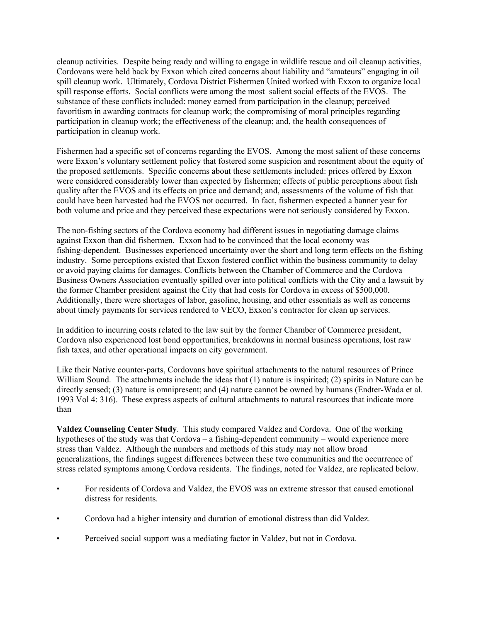cleanup activities. Despite being ready and willing to engage in wildlife rescue and oil cleanup activities, Cordovans were held back by Exxon which cited concerns about liability and "amateurs" engaging in oil spill cleanup work. Ultimately, Cordova District Fishermen United worked with Exxon to organize local spill response efforts. Social conflicts were among the most salient social effects of the EVOS. The substance of these conflicts included: money earned from participation in the cleanup; perceived favoritism in awarding contracts for cleanup work; the compromising of moral principles regarding participation in cleanup work; the effectiveness of the cleanup; and, the health consequences of participation in cleanup work.

Fishermen had a specific set of concerns regarding the EVOS. Among the most salient of these concerns were Exxon's voluntary settlement policy that fostered some suspicion and resentment about the equity of the proposed settlements. Specific concerns about these settlements included: prices offered by Exxon were considered considerably lower than expected by fishermen; effects of public perceptions about fish quality after the EVOS and its effects on price and demand; and, assessments of the volume of fish that could have been harvested had the EVOS not occurred. In fact, fishermen expected a banner year for both volume and price and they perceived these expectations were not seriously considered by Exxon.

The non-fishing sectors of the Cordova economy had different issues in negotiating damage claims against Exxon than did fishermen. Exxon had to be convinced that the local economy was fishing-dependent. Businesses experienced uncertainty over the short and long term effects on the fishing industry. Some perceptions existed that Exxon fostered conflict within the business community to delay or avoid paying claims for damages. Conflicts between the Chamber of Commerce and the Cordova Business Owners Association eventually spilled over into political conflicts with the City and a lawsuit by the former Chamber president against the City that had costs for Cordova in excess of \$500,000. Additionally, there were shortages of labor, gasoline, housing, and other essentials as well as concerns about timely payments for services rendered to VECO, Exxon's contractor for clean up services.

In addition to incurring costs related to the law suit by the former Chamber of Commerce president, Cordova also experienced lost bond opportunities, breakdowns in normal business operations, lost raw fish taxes, and other operational impacts on city government.

Like their Native counter-parts, Cordovans have spiritual attachments to the natural resources of Prince William Sound. The attachments include the ideas that (1) nature is inspirited; (2) spirits in Nature can be directly sensed; (3) nature is omnipresent; and (4) nature cannot be owned by humans (Endter-Wada et al. 1993 Vol 4: 316). These express aspects of cultural attachments to natural resources that indicate more than

**Valdez Counseling Center Study**. This study compared Valdez and Cordova. One of the working hypotheses of the study was that Cordova – a fishing-dependent community – would experience more stress than Valdez. Although the numbers and methods of this study may not allow broad generalizations, the findings suggest differences between these two communities and the occurrence of stress related symptoms among Cordova residents. The findings, noted for Valdez, are replicated below.

- For residents of Cordova and Valdez, the EVOS was an extreme stressor that caused emotional distress for residents.
- Cordova had a higher intensity and duration of emotional distress than did Valdez.
- Perceived social support was a mediating factor in Valdez, but not in Cordova.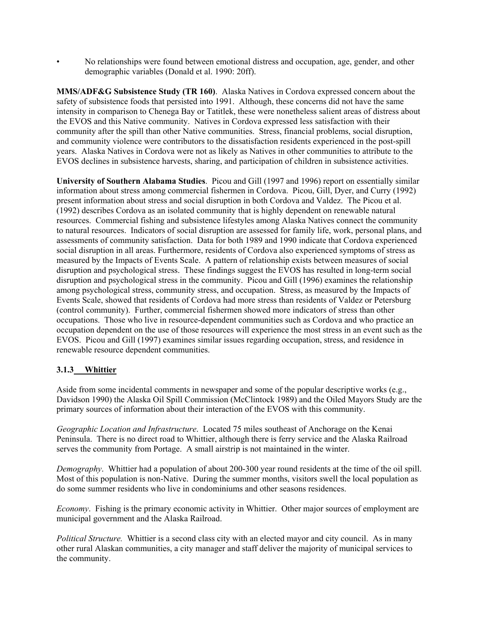• No relationships were found between emotional distress and occupation, age, gender, and other demographic variables (Donald et al. 1990: 20ff).

**MMS/ADF&G Subsistence Study (TR 160)**. Alaska Natives in Cordova expressed concern about the safety of subsistence foods that persisted into 1991. Although, these concerns did not have the same intensity in comparison to Chenega Bay or Tatitlek, these were nonetheless salient areas of distress about the EVOS and this Native community. Natives in Cordova expressed less satisfaction with their community after the spill than other Native communities. Stress, financial problems, social disruption, and community violence were contributors to the dissatisfaction residents experienced in the post-spill years. Alaska Natives in Cordova were not as likely as Natives in other communities to attribute to the EVOS declines in subsistence harvests, sharing, and participation of children in subsistence activities.

**University of Southern Alabama Studies**. Picou and Gill (1997 and 1996) report on essentially similar information about stress among commercial fishermen in Cordova. Picou, Gill, Dyer, and Curry (1992) present information about stress and social disruption in both Cordova and Valdez. The Picou et al. (1992) describes Cordova as an isolated community that is highly dependent on renewable natural resources. Commercial fishing and subsistence lifestyles among Alaska Natives connect the community to natural resources. Indicators of social disruption are assessed for family life, work, personal plans, and assessments of community satisfaction. Data for both 1989 and 1990 indicate that Cordova experienced social disruption in all areas. Furthermore, residents of Cordova also experienced symptoms of stress as measured by the Impacts of Events Scale. A pattern of relationship exists between measures of social disruption and psychological stress. These findings suggest the EVOS has resulted in long-term social disruption and psychological stress in the community. Picou and Gill (1996) examines the relationship among psychological stress, community stress, and occupation. Stress, as measured by the Impacts of Events Scale, showed that residents of Cordova had more stress than residents of Valdez or Petersburg (control community). Further, commercial fishermen showed more indicators of stress than other occupations. Those who live in resource-dependent communities such as Cordova and who practice an occupation dependent on the use of those resources will experience the most stress in an event such as the EVOS. Picou and Gill (1997) examines similar issues regarding occupation, stress, and residence in renewable resource dependent communities.

# **3.1.3 Whittier**

Aside from some incidental comments in newspaper and some of the popular descriptive works (e.g., Davidson 1990) the Alaska Oil Spill Commission (McClintock 1989) and the Oiled Mayors Study are the primary sources of information about their interaction of the EVOS with this community.

*Geographic Location and Infrastructure*. Located 75 miles southeast of Anchorage on the Kenai Peninsula. There is no direct road to Whittier, although there is ferry service and the Alaska Railroad serves the community from Portage. A small airstrip is not maintained in the winter.

*Demography*. Whittier had a population of about 200-300 year round residents at the time of the oil spill. Most of this population is non-Native. During the summer months, visitors swell the local population as do some summer residents who live in condominiums and other seasons residences.

*Economy*. Fishing is the primary economic activity in Whittier. Other major sources of employment are municipal government and the Alaska Railroad.

*Political Structure.* Whittier is a second class city with an elected mayor and city council. As in many other rural Alaskan communities, a city manager and staff deliver the majority of municipal services to the community.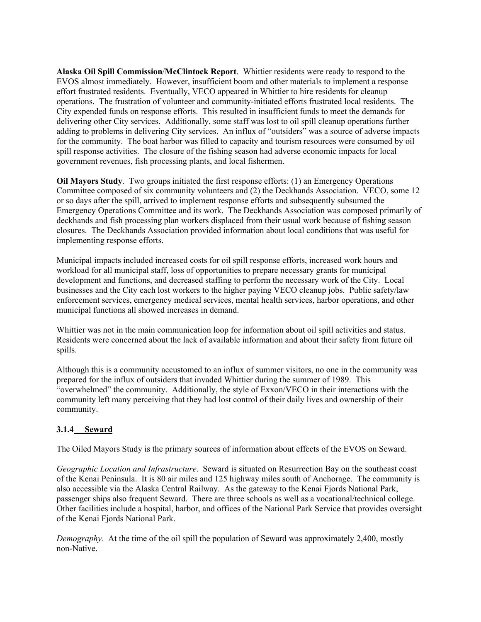**Alaska Oil Spill Commission**/**McClintock Report**. Whittier residents were ready to respond to the EVOS almost immediately. However, insufficient boom and other materials to implement a response effort frustrated residents. Eventually, VECO appeared in Whittier to hire residents for cleanup operations. The frustration of volunteer and community-initiated efforts frustrated local residents. The City expended funds on response efforts. This resulted in insufficient funds to meet the demands for delivering other City services. Additionally, some staff was lost to oil spill cleanup operations further adding to problems in delivering City services. An influx of "outsiders" was a source of adverse impacts for the community. The boat harbor was filled to capacity and tourism resources were consumed by oil spill response activities. The closure of the fishing season had adverse economic impacts for local government revenues, fish processing plants, and local fishermen.

**Oil Mayors Study**. Two groups initiated the first response efforts: (1) an Emergency Operations Committee composed of six community volunteers and (2) the Deckhands Association. VECO, some 12 or so days after the spill, arrived to implement response efforts and subsequently subsumed the Emergency Operations Committee and its work. The Deckhands Association was composed primarily of deckhands and fish processing plan workers displaced from their usual work because of fishing season closures. The Deckhands Association provided information about local conditions that was useful for implementing response efforts.

Municipal impacts included increased costs for oil spill response efforts, increased work hours and workload for all municipal staff, loss of opportunities to prepare necessary grants for municipal development and functions, and decreased staffing to perform the necessary work of the City. Local businesses and the City each lost workers to the higher paying VECO cleanup jobs. Public safety/law enforcement services, emergency medical services, mental health services, harbor operations, and other municipal functions all showed increases in demand.

Whittier was not in the main communication loop for information about oil spill activities and status. Residents were concerned about the lack of available information and about their safety from future oil spills.

Although this is a community accustomed to an influx of summer visitors, no one in the community was prepared for the influx of outsiders that invaded Whittier during the summer of 1989. This "overwhelmed" the community. Additionally, the style of Exxon/VECO in their interactions with the community left many perceiving that they had lost control of their daily lives and ownership of their community.

## **3.1.4 Seward**

The Oiled Mayors Study is the primary sources of information about effects of the EVOS on Seward.

*Geographic Location and Infrastructure*. Seward is situated on Resurrection Bay on the southeast coast of the Kenai Peninsula. It is 80 air miles and 125 highway miles south of Anchorage. The community is also accessible via the Alaska Central Railway. As the gateway to the Kenai Fjords National Park, passenger ships also frequent Seward. There are three schools as well as a vocational/technical college. Other facilities include a hospital, harbor, and offices of the National Park Service that provides oversight of the Kenai Fjords National Park.

*Demography.* At the time of the oil spill the population of Seward was approximately 2,400, mostly non-Native.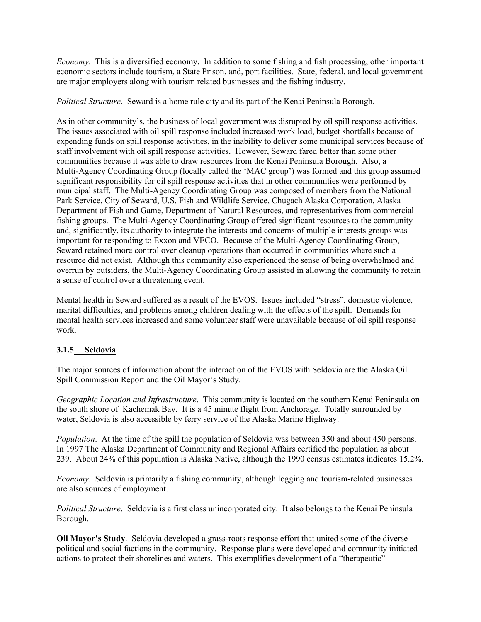*Economy*. This is a diversified economy. In addition to some fishing and fish processing, other important economic sectors include tourism, a State Prison, and, port facilities. State, federal, and local government are major employers along with tourism related businesses and the fishing industry.

*Political Structure*. Seward is a home rule city and its part of the Kenai Peninsula Borough.

As in other community's, the business of local government was disrupted by oil spill response activities. The issues associated with oil spill response included increased work load, budget shortfalls because of expending funds on spill response activities, in the inability to deliver some municipal services because of staff involvement with oil spill response activities. However, Seward fared better than some other communities because it was able to draw resources from the Kenai Peninsula Borough. Also, a Multi-Agency Coordinating Group (locally called the 'MAC group') was formed and this group assumed significant responsibility for oil spill response activities that in other communities were performed by municipal staff. The Multi-Agency Coordinating Group was composed of members from the National Park Service, City of Seward, U.S. Fish and Wildlife Service, Chugach Alaska Corporation, Alaska Department of Fish and Game, Department of Natural Resources, and representatives from commercial fishing groups. The Multi-Agency Coordinating Group offered significant resources to the community and, significantly, its authority to integrate the interests and concerns of multiple interests groups was important for responding to Exxon and VECO. Because of the Multi-Agency Coordinating Group, Seward retained more control over cleanup operations than occurred in communities where such a resource did not exist. Although this community also experienced the sense of being overwhelmed and overrun by outsiders, the Multi-Agency Coordinating Group assisted in allowing the community to retain a sense of control over a threatening event.

Mental health in Seward suffered as a result of the EVOS. Issues included "stress", domestic violence, marital difficulties, and problems among children dealing with the effects of the spill. Demands for mental health services increased and some volunteer staff were unavailable because of oil spill response work.

## **3.1.5 Seldovia**

The major sources of information about the interaction of the EVOS with Seldovia are the Alaska Oil Spill Commission Report and the Oil Mayor's Study.

*Geographic Location and Infrastructure*. This community is located on the southern Kenai Peninsula on the south shore of Kachemak Bay. It is a 45 minute flight from Anchorage. Totally surrounded by water, Seldovia is also accessible by ferry service of the Alaska Marine Highway.

*Population*. At the time of the spill the population of Seldovia was between 350 and about 450 persons. In 1997 The Alaska Department of Community and Regional Affairs certified the population as about 239. About 24% of this population is Alaska Native, although the 1990 census estimates indicates 15.2%.

*Economy*. Seldovia is primarily a fishing community, although logging and tourism-related businesses are also sources of employment.

*Political Structure*. Seldovia is a first class unincorporated city. It also belongs to the Kenai Peninsula Borough.

**Oil Mayor's Study**. Seldovia developed a grass-roots response effort that united some of the diverse political and social factions in the community. Response plans were developed and community initiated actions to protect their shorelines and waters. This exemplifies development of a "therapeutic"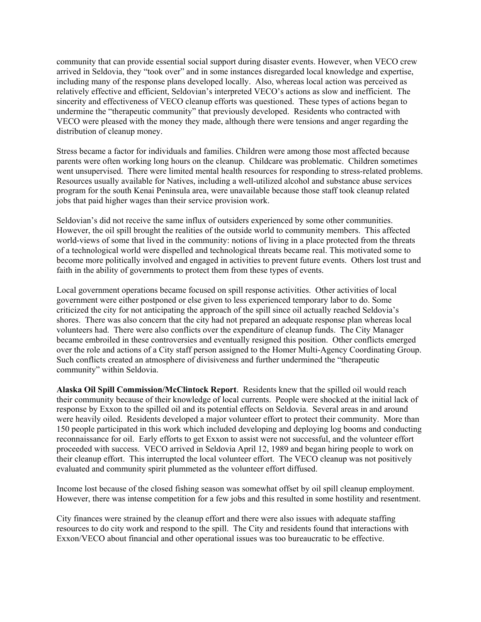community that can provide essential social support during disaster events. However, when VECO crew arrived in Seldovia, they "took over" and in some instances disregarded local knowledge and expertise, including many of the response plans developed locally. Also, whereas local action was perceived as relatively effective and efficient, Seldovian's interpreted VECO's actions as slow and inefficient. The sincerity and effectiveness of VECO cleanup efforts was questioned. These types of actions began to undermine the "therapeutic community" that previously developed. Residents who contracted with VECO were pleased with the money they made, although there were tensions and anger regarding the distribution of cleanup money.

Stress became a factor for individuals and families. Children were among those most affected because parents were often working long hours on the cleanup. Childcare was problematic. Children sometimes went unsupervised. There were limited mental health resources for responding to stress-related problems. Resources usually available for Natives, including a well-utilized alcohol and substance abuse services program for the south Kenai Peninsula area, were unavailable because those staff took cleanup related jobs that paid higher wages than their service provision work.

Seldovian's did not receive the same influx of outsiders experienced by some other communities. However, the oil spill brought the realities of the outside world to community members. This affected world-views of some that lived in the community: notions of living in a place protected from the threats of a technological world were dispelled and technological threats became real. This motivated some to become more politically involved and engaged in activities to prevent future events. Others lost trust and faith in the ability of governments to protect them from these types of events.

Local government operations became focused on spill response activities. Other activities of local government were either postponed or else given to less experienced temporary labor to do. Some criticized the city for not anticipating the approach of the spill since oil actually reached Seldovia's shores. There was also concern that the city had not prepared an adequate response plan whereas local volunteers had. There were also conflicts over the expenditure of cleanup funds. The City Manager became embroiled in these controversies and eventually resigned this position. Other conflicts emerged over the role and actions of a City staff person assigned to the Homer Multi-Agency Coordinating Group. Such conflicts created an atmosphere of divisiveness and further undermined the "therapeutic community" within Seldovia.

**Alaska Oil Spill Commission/McClintock Report**. Residents knew that the spilled oil would reach their community because of their knowledge of local currents. People were shocked at the initial lack of response by Exxon to the spilled oil and its potential effects on Seldovia. Several areas in and around were heavily oiled. Residents developed a major volunteer effort to protect their community. More than 150 people participated in this work which included developing and deploying log booms and conducting reconnaissance for oil. Early efforts to get Exxon to assist were not successful, and the volunteer effort proceeded with success. VECO arrived in Seldovia April 12, 1989 and began hiring people to work on their cleanup effort. This interrupted the local volunteer effort. The VECO cleanup was not positively evaluated and community spirit plummeted as the volunteer effort diffused.

Income lost because of the closed fishing season was somewhat offset by oil spill cleanup employment. However, there was intense competition for a few jobs and this resulted in some hostility and resentment.

City finances were strained by the cleanup effort and there were also issues with adequate staffing resources to do city work and respond to the spill. The City and residents found that interactions with Exxon/VECO about financial and other operational issues was too bureaucratic to be effective.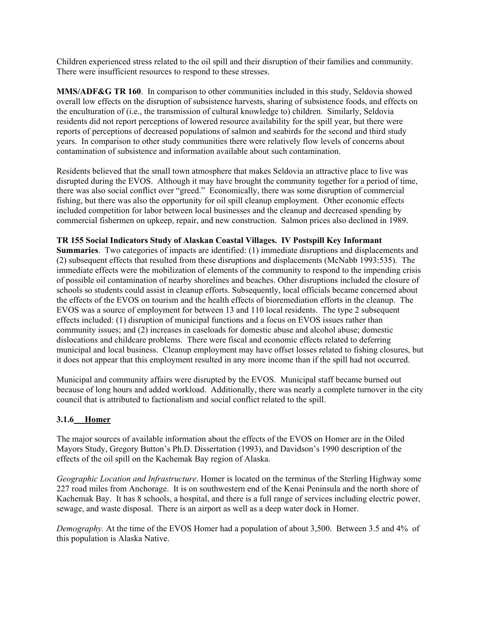Children experienced stress related to the oil spill and their disruption of their families and community. There were insufficient resources to respond to these stresses.

**MMS/ADF&G TR 160**. In comparison to other communities included in this study, Seldovia showed overall low effects on the disruption of subsistence harvests, sharing of subsistence foods, and effects on the enculturation of (i.e., the transmission of cultural knowledge to) children. Similarly, Seldovia residents did not report perceptions of lowered resource availability for the spill year, but there were reports of perceptions of decreased populations of salmon and seabirds for the second and third study years. In comparison to other study communities there were relatively flow levels of concerns about contamination of subsistence and information available about such contamination.

Residents believed that the small town atmosphere that makes Seldovia an attractive place to live was disrupted during the EVOS. Although it may have brought the community together for a period of time, there was also social conflict over "greed." Economically, there was some disruption of commercial fishing, but there was also the opportunity for oil spill cleanup employment. Other economic effects included competition for labor between local businesses and the cleanup and decreased spending by commercial fishermen on upkeep, repair, and new construction. Salmon prices also declined in 1989.

#### **TR 155 Social Indicators Study of Alaskan Coastal Villages. IV Postspill Key Informant**

**Summaries**. Two categories of impacts are identified: (1) immediate disruptions and displacements and (2) subsequent effects that resulted from these disruptions and displacements (McNabb 1993:535). The immediate effects were the mobilization of elements of the community to respond to the impending crisis of possible oil contamination of nearby shorelines and beaches. Other disruptions included the closure of schools so students could assist in cleanup efforts. Subsequently, local officials became concerned about the effects of the EVOS on tourism and the health effects of bioremediation efforts in the cleanup. The EVOS was a source of employment for between 13 and 110 local residents. The type 2 subsequent effects included: (1) disruption of municipal functions and a focus on EVOS issues rather than community issues; and (2) increases in caseloads for domestic abuse and alcohol abuse; domestic dislocations and childcare problems. There were fiscal and economic effects related to deferring municipal and local business. Cleanup employment may have offset losses related to fishing closures, but it does not appear that this employment resulted in any more income than if the spill had not occurred.

Municipal and community affairs were disrupted by the EVOS. Municipal staff became burned out because of long hours and added workload. Additionally, there was nearly a complete turnover in the city council that is attributed to factionalism and social conflict related to the spill.

#### **3.1.6 Homer**

The major sources of available information about the effects of the EVOS on Homer are in the Oiled Mayors Study, Gregory Button's Ph.D. Dissertation (1993), and Davidson's 1990 description of the effects of the oil spill on the Kachemak Bay region of Alaska.

*Geographic Location and Infrastructure*. Homer is located on the terminus of the Sterling Highway some 227 road miles from Anchorage. It is on southwestern end of the Kenai Peninsula and the north shore of Kachemak Bay. It has 8 schools, a hospital, and there is a full range of services including electric power, sewage, and waste disposal. There is an airport as well as a deep water dock in Homer.

*Demography.* At the time of the EVOS Homer had a population of about 3,500. Between 3.5 and 4% of this population is Alaska Native.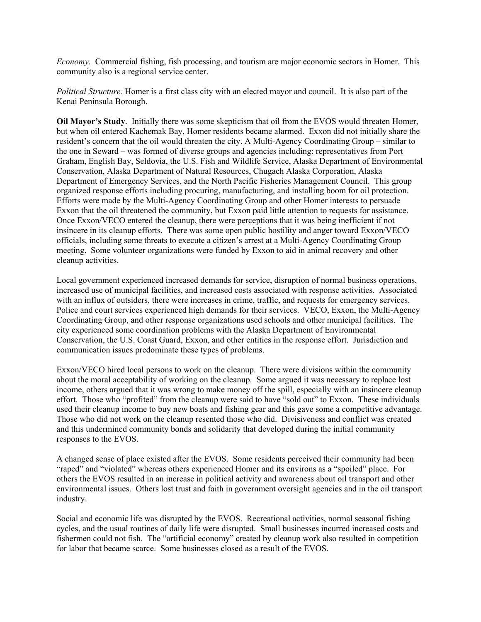*Economy.* Commercial fishing, fish processing, and tourism are major economic sectors in Homer. This community also is a regional service center.

*Political Structure.* Homer is a first class city with an elected mayor and council. It is also part of the Kenai Peninsula Borough.

**Oil Mayor's Study**. Initially there was some skepticism that oil from the EVOS would threaten Homer, but when oil entered Kachemak Bay, Homer residents became alarmed. Exxon did not initially share the resident's concern that the oil would threaten the city. A Multi-Agency Coordinating Group – similar to the one in Seward – was formed of diverse groups and agencies including: representatives from Port Graham, English Bay, Seldovia, the U.S. Fish and Wildlife Service, Alaska Department of Environmental Conservation, Alaska Department of Natural Resources, Chugach Alaska Corporation, Alaska Department of Emergency Services, and the North Pacific Fisheries Management Council. This group organized response efforts including procuring, manufacturing, and installing boom for oil protection. Efforts were made by the Multi-Agency Coordinating Group and other Homer interests to persuade Exxon that the oil threatened the community, but Exxon paid little attention to requests for assistance. Once Exxon/VECO entered the cleanup, there were perceptions that it was being inefficient if not insincere in its cleanup efforts. There was some open public hostility and anger toward Exxon/VECO officials, including some threats to execute a citizen's arrest at a Multi-Agency Coordinating Group meeting. Some volunteer organizations were funded by Exxon to aid in animal recovery and other cleanup activities.

Local government experienced increased demands for service, disruption of normal business operations, increased use of municipal facilities, and increased costs associated with response activities. Associated with an influx of outsiders, there were increases in crime, traffic, and requests for emergency services. Police and court services experienced high demands for their services. VECO, Exxon, the Multi-Agency Coordinating Group, and other response organizations used schools and other municipal facilities. The city experienced some coordination problems with the Alaska Department of Environmental Conservation, the U.S. Coast Guard, Exxon, and other entities in the response effort. Jurisdiction and communication issues predominate these types of problems.

Exxon/VECO hired local persons to work on the cleanup. There were divisions within the community about the moral acceptability of working on the cleanup. Some argued it was necessary to replace lost income, others argued that it was wrong to make money off the spill, especially with an insincere cleanup effort. Those who "profited" from the cleanup were said to have "sold out" to Exxon. These individuals used their cleanup income to buy new boats and fishing gear and this gave some a competitive advantage. Those who did not work on the cleanup resented those who did. Divisiveness and conflict was created and this undermined community bonds and solidarity that developed during the initial community responses to the EVOS.

A changed sense of place existed after the EVOS. Some residents perceived their community had been "raped" and "violated" whereas others experienced Homer and its environs as a "spoiled" place. For others the EVOS resulted in an increase in political activity and awareness about oil transport and other environmental issues. Others lost trust and faith in government oversight agencies and in the oil transport industry.

Social and economic life was disrupted by the EVOS. Recreational activities, normal seasonal fishing cycles, and the usual routines of daily life were disrupted. Small businesses incurred increased costs and fishermen could not fish. The "artificial economy" created by cleanup work also resulted in competition for labor that became scarce. Some businesses closed as a result of the EVOS.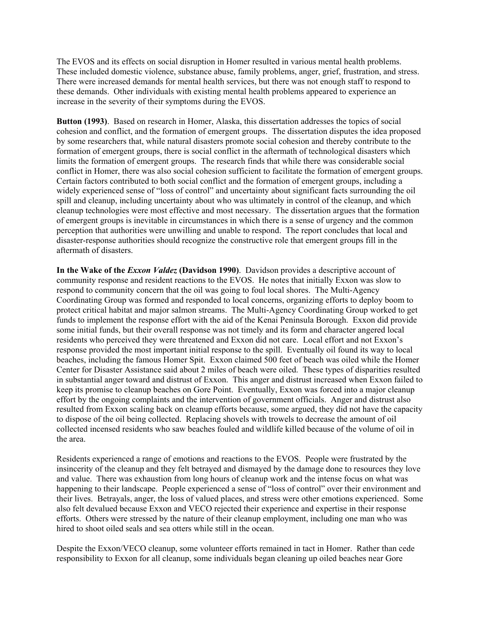The EVOS and its effects on social disruption in Homer resulted in various mental health problems. These included domestic violence, substance abuse, family problems, anger, grief, frustration, and stress. There were increased demands for mental health services, but there was not enough staff to respond to these demands. Other individuals with existing mental health problems appeared to experience an increase in the severity of their symptoms during the EVOS.

**Button (1993)**. Based on research in Homer, Alaska, this dissertation addresses the topics of social cohesion and conflict, and the formation of emergent groups. The dissertation disputes the idea proposed by some researchers that, while natural disasters promote social cohesion and thereby contribute to the formation of emergent groups, there is social conflict in the aftermath of technological disasters which limits the formation of emergent groups. The research finds that while there was considerable social conflict in Homer, there was also social cohesion sufficient to facilitate the formation of emergent groups. Certain factors contributed to both social conflict and the formation of emergent groups, including a widely experienced sense of "loss of control" and uncertainty about significant facts surrounding the oil spill and cleanup, including uncertainty about who was ultimately in control of the cleanup, and which cleanup technologies were most effective and most necessary. The dissertation argues that the formation of emergent groups is inevitable in circumstances in which there is a sense of urgency and the common perception that authorities were unwilling and unable to respond. The report concludes that local and disaster-response authorities should recognize the constructive role that emergent groups fill in the aftermath of disasters.

**In the Wake of the** *Exxon Valdez* **(Davidson 1990)**. Davidson provides a descriptive account of community response and resident reactions to the EVOS. He notes that initially Exxon was slow to respond to community concern that the oil was going to foul local shores. The Multi-Agency Coordinating Group was formed and responded to local concerns, organizing efforts to deploy boom to protect critical habitat and major salmon streams. The Multi-Agency Coordinating Group worked to get funds to implement the response effort with the aid of the Kenai Peninsula Borough. Exxon did provide some initial funds, but their overall response was not timely and its form and character angered local residents who perceived they were threatened and Exxon did not care. Local effort and not Exxon's response provided the most important initial response to the spill. Eventually oil found its way to local beaches, including the famous Homer Spit. Exxon claimed 500 feet of beach was oiled while the Homer Center for Disaster Assistance said about 2 miles of beach were oiled. These types of disparities resulted in substantial anger toward and distrust of Exxon. This anger and distrust increased when Exxon failed to keep its promise to cleanup beaches on Gore Point. Eventually, Exxon was forced into a major cleanup effort by the ongoing complaints and the intervention of government officials. Anger and distrust also resulted from Exxon scaling back on cleanup efforts because, some argued, they did not have the capacity to dispose of the oil being collected. Replacing shovels with trowels to decrease the amount of oil collected incensed residents who saw beaches fouled and wildlife killed because of the volume of oil in the area.

Residents experienced a range of emotions and reactions to the EVOS. People were frustrated by the insincerity of the cleanup and they felt betrayed and dismayed by the damage done to resources they love and value. There was exhaustion from long hours of cleanup work and the intense focus on what was happening to their landscape. People experienced a sense of "loss of control" over their environment and their lives. Betrayals, anger, the loss of valued places, and stress were other emotions experienced. Some also felt devalued because Exxon and VECO rejected their experience and expertise in their response efforts. Others were stressed by the nature of their cleanup employment, including one man who was hired to shoot oiled seals and sea otters while still in the ocean.

Despite the Exxon/VECO cleanup, some volunteer efforts remained in tact in Homer. Rather than cede responsibility to Exxon for all cleanup, some individuals began cleaning up oiled beaches near Gore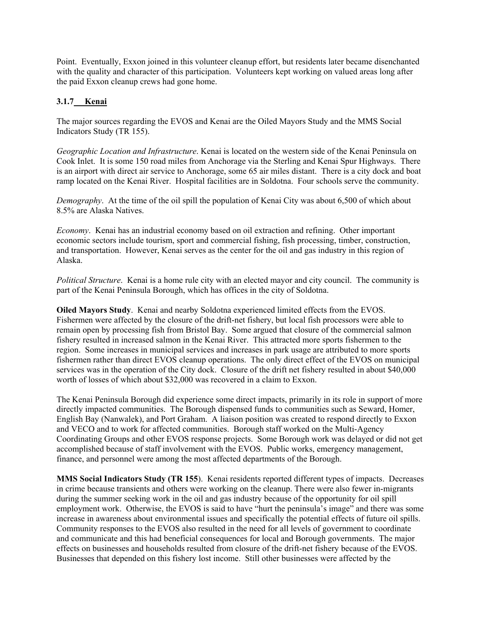Point. Eventually, Exxon joined in this volunteer cleanup effort, but residents later became disenchanted with the quality and character of this participation. Volunteers kept working on valued areas long after the paid Exxon cleanup crews had gone home.

# **3.1.7 Kenai**

The major sources regarding the EVOS and Kenai are the Oiled Mayors Study and the MMS Social Indicators Study (TR 155).

*Geographic Location and Infrastructure*. Kenai is located on the western side of the Kenai Peninsula on Cook Inlet. It is some 150 road miles from Anchorage via the Sterling and Kenai Spur Highways. There is an airport with direct air service to Anchorage, some 65 air miles distant. There is a city dock and boat ramp located on the Kenai River. Hospital facilities are in Soldotna. Four schools serve the community.

*Demography*. At the time of the oil spill the population of Kenai City was about 6,500 of which about 8.5% are Alaska Natives.

*Economy*. Kenai has an industrial economy based on oil extraction and refining. Other important economic sectors include tourism, sport and commercial fishing, fish processing, timber, construction, and transportation. However, Kenai serves as the center for the oil and gas industry in this region of Alaska.

*Political Structure*. Kenai is a home rule city with an elected mayor and city council. The community is part of the Kenai Peninsula Borough, which has offices in the city of Soldotna.

**Oiled Mayors Study**. Kenai and nearby Soldotna experienced limited effects from the EVOS. Fishermen were affected by the closure of the drift-net fishery, but local fish processors were able to remain open by processing fish from Bristol Bay. Some argued that closure of the commercial salmon fishery resulted in increased salmon in the Kenai River. This attracted more sports fishermen to the region. Some increases in municipal services and increases in park usage are attributed to more sports fishermen rather than direct EVOS cleanup operations. The only direct effect of the EVOS on municipal services was in the operation of the City dock. Closure of the drift net fishery resulted in about \$40,000 worth of losses of which about \$32,000 was recovered in a claim to Exxon.

The Kenai Peninsula Borough did experience some direct impacts, primarily in its role in support of more directly impacted communities. The Borough dispensed funds to communities such as Seward, Homer, English Bay (Nanwalek), and Port Graham. A liaison position was created to respond directly to Exxon and VECO and to work for affected communities. Borough staff worked on the Multi-Agency Coordinating Groups and other EVOS response projects. Some Borough work was delayed or did not get accomplished because of staff involvement with the EVOS. Public works, emergency management, finance, and personnel were among the most affected departments of the Borough.

**MMS Social Indicators Study (TR 155**). Kenai residents reported different types of impacts. Decreases in crime because transients and others were working on the cleanup. There were also fewer in-migrants during the summer seeking work in the oil and gas industry because of the opportunity for oil spill employment work. Otherwise, the EVOS is said to have "hurt the peninsula's image" and there was some increase in awareness about environmental issues and specifically the potential effects of future oil spills. Community responses to the EVOS also resulted in the need for all levels of government to coordinate and communicate and this had beneficial consequences for local and Borough governments. The major effects on businesses and households resulted from closure of the drift-net fishery because of the EVOS. Businesses that depended on this fishery lost income. Still other businesses were affected by the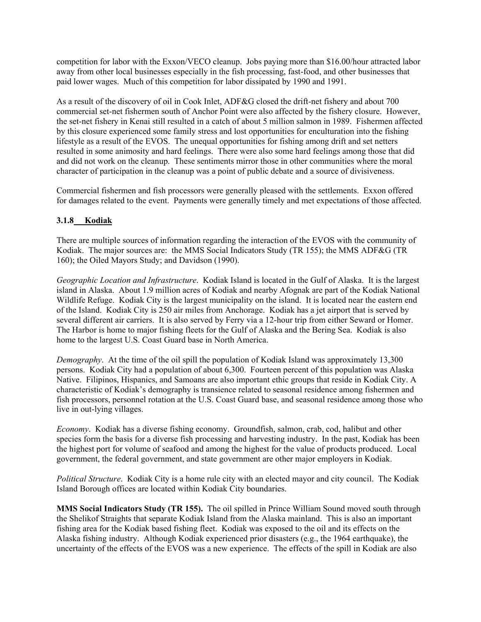competition for labor with the Exxon/VECO cleanup. Jobs paying more than \$16.00/hour attracted labor away from other local businesses especially in the fish processing, fast-food, and other businesses that paid lower wages. Much of this competition for labor dissipated by 1990 and 1991.

As a result of the discovery of oil in Cook Inlet, ADF&G closed the drift-net fishery and about 700 commercial set-net fishermen south of Anchor Point were also affected by the fishery closure. However, the set-net fishery in Kenai still resulted in a catch of about 5 million salmon in 1989. Fishermen affected by this closure experienced some family stress and lost opportunities for enculturation into the fishing lifestyle as a result of the EVOS. The unequal opportunities for fishing among drift and set netters resulted in some animosity and hard feelings. There were also some hard feelings among those that did and did not work on the cleanup. These sentiments mirror those in other communities where the moral character of participation in the cleanup was a point of public debate and a source of divisiveness.

Commercial fishermen and fish processors were generally pleased with the settlements. Exxon offered for damages related to the event. Payments were generally timely and met expectations of those affected.

## **3.1.8 Kodiak**

There are multiple sources of information regarding the interaction of the EVOS with the community of Kodiak. The major sources are: the MMS Social Indicators Study (TR 155); the MMS ADF&G (TR 160); the Oiled Mayors Study; and Davidson (1990).

*Geographic Location and Infrastructure*. Kodiak Island is located in the Gulf of Alaska. It is the largest island in Alaska. About 1.9 million acres of Kodiak and nearby Afognak are part of the Kodiak National Wildlife Refuge. Kodiak City is the largest municipality on the island. It is located near the eastern end of the Island. Kodiak City is 250 air miles from Anchorage. Kodiak has a jet airport that is served by several different air carriers. It is also served by Ferry via a 12-hour trip from either Seward or Homer. The Harbor is home to major fishing fleets for the Gulf of Alaska and the Bering Sea. Kodiak is also home to the largest U.S. Coast Guard base in North America.

*Demography*. At the time of the oil spill the population of Kodiak Island was approximately 13,300 persons. Kodiak City had a population of about 6,300. Fourteen percent of this population was Alaska Native. Filipinos, Hispanics, and Samoans are also important ethic groups that reside in Kodiak City. A characteristic of Kodiak's demography is transience related to seasonal residence among fishermen and fish processors, personnel rotation at the U.S. Coast Guard base, and seasonal residence among those who live in out-lying villages.

*Economy*. Kodiak has a diverse fishing economy. Groundfish, salmon, crab, cod, halibut and other species form the basis for a diverse fish processing and harvesting industry. In the past, Kodiak has been the highest port for volume of seafood and among the highest for the value of products produced. Local government, the federal government, and state government are other major employers in Kodiak.

*Political Structure*. Kodiak City is a home rule city with an elected mayor and city council. The Kodiak Island Borough offices are located within Kodiak City boundaries.

**MMS Social Indicators Study (TR 155).** The oil spilled in Prince William Sound moved south through the Shelikof Straights that separate Kodiak Island from the Alaska mainland. This is also an important fishing area for the Kodiak based fishing fleet. Kodiak was exposed to the oil and its effects on the Alaska fishing industry. Although Kodiak experienced prior disasters (e.g., the 1964 earthquake), the uncertainty of the effects of the EVOS was a new experience. The effects of the spill in Kodiak are also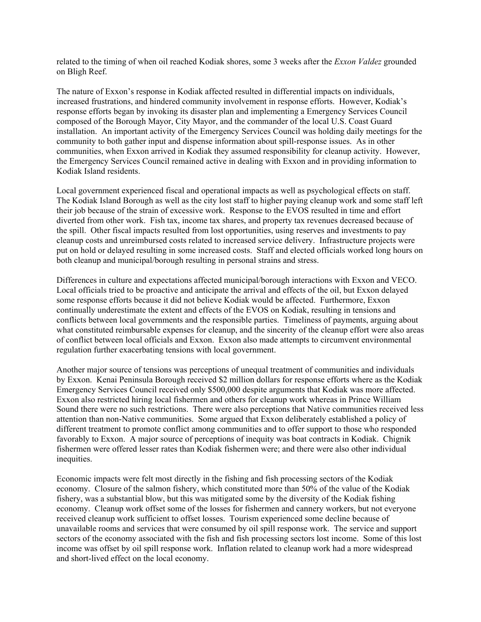related to the timing of when oil reached Kodiak shores, some 3 weeks after the *Exxon Valdez* grounded on Bligh Reef.

The nature of Exxon's response in Kodiak affected resulted in differential impacts on individuals, increased frustrations, and hindered community involvement in response efforts. However, Kodiak's response efforts began by invoking its disaster plan and implementing a Emergency Services Council composed of the Borough Mayor, City Mayor, and the commander of the local U.S. Coast Guard installation. An important activity of the Emergency Services Council was holding daily meetings for the community to both gather input and dispense information about spill-response issues. As in other communities, when Exxon arrived in Kodiak they assumed responsibility for cleanup activity. However, the Emergency Services Council remained active in dealing with Exxon and in providing information to Kodiak Island residents.

Local government experienced fiscal and operational impacts as well as psychological effects on staff. The Kodiak Island Borough as well as the city lost staff to higher paying cleanup work and some staff left their job because of the strain of excessive work. Response to the EVOS resulted in time and effort diverted from other work. Fish tax, income tax shares, and property tax revenues decreased because of the spill. Other fiscal impacts resulted from lost opportunities, using reserves and investments to pay cleanup costs and unreimbursed costs related to increased service delivery. Infrastructure projects were put on hold or delayed resulting in some increased costs. Staff and elected officials worked long hours on both cleanup and municipal/borough resulting in personal strains and stress.

Differences in culture and expectations affected municipal/borough interactions with Exxon and VECO. Local officials tried to be proactive and anticipate the arrival and effects of the oil, but Exxon delayed some response efforts because it did not believe Kodiak would be affected. Furthermore, Exxon continually underestimate the extent and effects of the EVOS on Kodiak, resulting in tensions and conflicts between local governments and the responsible parties. Timeliness of payments, arguing about what constituted reimbursable expenses for cleanup, and the sincerity of the cleanup effort were also areas of conflict between local officials and Exxon. Exxon also made attempts to circumvent environmental regulation further exacerbating tensions with local government.

Another major source of tensions was perceptions of unequal treatment of communities and individuals by Exxon. Kenai Peninsula Borough received \$2 million dollars for response efforts where as the Kodiak Emergency Services Council received only \$500,000 despite arguments that Kodiak was more affected. Exxon also restricted hiring local fishermen and others for cleanup work whereas in Prince William Sound there were no such restrictions. There were also perceptions that Native communities received less attention than non-Native communities. Some argued that Exxon deliberately established a policy of different treatment to promote conflict among communities and to offer support to those who responded favorably to Exxon. A major source of perceptions of inequity was boat contracts in Kodiak. Chignik fishermen were offered lesser rates than Kodiak fishermen were; and there were also other individual inequities.

Economic impacts were felt most directly in the fishing and fish processing sectors of the Kodiak economy. Closure of the salmon fishery, which constituted more than 50% of the value of the Kodiak fishery, was a substantial blow, but this was mitigated some by the diversity of the Kodiak fishing economy. Cleanup work offset some of the losses for fishermen and cannery workers, but not everyone received cleanup work sufficient to offset losses. Tourism experienced some decline because of unavailable rooms and services that were consumed by oil spill response work. The service and support sectors of the economy associated with the fish and fish processing sectors lost income. Some of this lost income was offset by oil spill response work. Inflation related to cleanup work had a more widespread and short-lived effect on the local economy.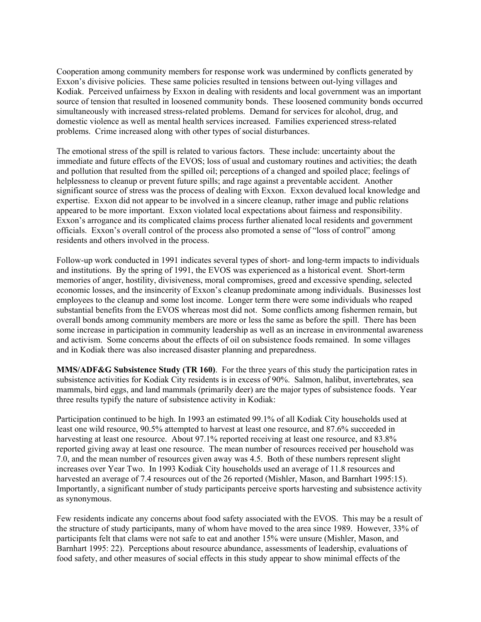Cooperation among community members for response work was undermined by conflicts generated by Exxon's divisive policies. These same policies resulted in tensions between out-lying villages and Kodiak. Perceived unfairness by Exxon in dealing with residents and local government was an important source of tension that resulted in loosened community bonds. These loosened community bonds occurred simultaneously with increased stress-related problems. Demand for services for alcohol, drug, and domestic violence as well as mental health services increased. Families experienced stress-related problems. Crime increased along with other types of social disturbances.

The emotional stress of the spill is related to various factors. These include: uncertainty about the immediate and future effects of the EVOS; loss of usual and customary routines and activities; the death and pollution that resulted from the spilled oil; perceptions of a changed and spoiled place; feelings of helplessness to cleanup or prevent future spills; and rage against a preventable accident. Another significant source of stress was the process of dealing with Exxon. Exxon devalued local knowledge and expertise. Exxon did not appear to be involved in a sincere cleanup, rather image and public relations appeared to be more important. Exxon violated local expectations about fairness and responsibility. Exxon's arrogance and its complicated claims process further alienated local residents and government officials. Exxon's overall control of the process also promoted a sense of "loss of control" among residents and others involved in the process.

Follow-up work conducted in 1991 indicates several types of short- and long-term impacts to individuals and institutions. By the spring of 1991, the EVOS was experienced as a historical event. Short-term memories of anger, hostility, divisiveness, moral compromises, greed and excessive spending, selected economic losses, and the insincerity of Exxon's cleanup predominate among individuals. Businesses lost employees to the cleanup and some lost income. Longer term there were some individuals who reaped substantial benefits from the EVOS whereas most did not. Some conflicts among fishermen remain, but overall bonds among community members are more or less the same as before the spill. There has been some increase in participation in community leadership as well as an increase in environmental awareness and activism. Some concerns about the effects of oil on subsistence foods remained. In some villages and in Kodiak there was also increased disaster planning and preparedness.

**MMS/ADF&G Subsistence Study (TR 160)**. For the three years of this study the participation rates in subsistence activities for Kodiak City residents is in excess of 90%. Salmon, halibut, invertebrates, sea mammals, bird eggs, and land mammals (primarily deer) are the major types of subsistence foods. Year three results typify the nature of subsistence activity in Kodiak:

Participation continued to be high. In 1993 an estimated 99.1% of all Kodiak City households used at least one wild resource, 90.5% attempted to harvest at least one resource, and 87.6% succeeded in harvesting at least one resource. About 97.1% reported receiving at least one resource, and 83.8% reported giving away at least one resource. The mean number of resources received per household was 7.0, and the mean number of resources given away was 4.5. Both of these numbers represent slight increases over Year Two. In 1993 Kodiak City households used an average of 11.8 resources and harvested an average of 7.4 resources out of the 26 reported (Mishler, Mason, and Barnhart 1995:15). Importantly, a significant number of study participants perceive sports harvesting and subsistence activity as synonymous.

Few residents indicate any concerns about food safety associated with the EVOS. This may be a result of the structure of study participants, many of whom have moved to the area since 1989. However, 33% of participants felt that clams were not safe to eat and another 15% were unsure (Mishler, Mason, and Barnhart 1995: 22). Perceptions about resource abundance, assessments of leadership, evaluations of food safety, and other measures of social effects in this study appear to show minimal effects of the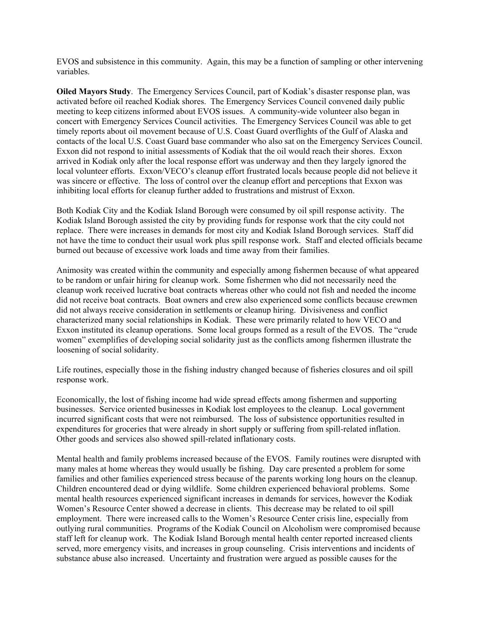EVOS and subsistence in this community. Again, this may be a function of sampling or other intervening variables.

**Oiled Mayors Study**. The Emergency Services Council, part of Kodiak's disaster response plan, was activated before oil reached Kodiak shores. The Emergency Services Council convened daily public meeting to keep citizens informed about EVOS issues. A community-wide volunteer also began in concert with Emergency Services Council activities. The Emergency Services Council was able to get timely reports about oil movement because of U.S. Coast Guard overflights of the Gulf of Alaska and contacts of the local U.S. Coast Guard base commander who also sat on the Emergency Services Council. Exxon did not respond to initial assessments of Kodiak that the oil would reach their shores. Exxon arrived in Kodiak only after the local response effort was underway and then they largely ignored the local volunteer efforts. Exxon/VECO's cleanup effort frustrated locals because people did not believe it was sincere or effective. The loss of control over the cleanup effort and perceptions that Exxon was inhibiting local efforts for cleanup further added to frustrations and mistrust of Exxon.

Both Kodiak City and the Kodiak Island Borough were consumed by oil spill response activity. The Kodiak Island Borough assisted the city by providing funds for response work that the city could not replace. There were increases in demands for most city and Kodiak Island Borough services. Staff did not have the time to conduct their usual work plus spill response work. Staff and elected officials became burned out because of excessive work loads and time away from their families.

Animosity was created within the community and especially among fishermen because of what appeared to be random or unfair hiring for cleanup work. Some fishermen who did not necessarily need the cleanup work received lucrative boat contracts whereas other who could not fish and needed the income did not receive boat contracts. Boat owners and crew also experienced some conflicts because crewmen did not always receive consideration in settlements or cleanup hiring. Divisiveness and conflict characterized many social relationships in Kodiak. These were primarily related to how VECO and Exxon instituted its cleanup operations. Some local groups formed as a result of the EVOS. The "crude women" exemplifies of developing social solidarity just as the conflicts among fishermen illustrate the loosening of social solidarity.

Life routines, especially those in the fishing industry changed because of fisheries closures and oil spill response work.

Economically, the lost of fishing income had wide spread effects among fishermen and supporting businesses. Service oriented businesses in Kodiak lost employees to the cleanup. Local government incurred significant costs that were not reimbursed. The loss of subsistence opportunities resulted in expenditures for groceries that were already in short supply or suffering from spill-related inflation. Other goods and services also showed spill-related inflationary costs.

Mental health and family problems increased because of the EVOS. Family routines were disrupted with many males at home whereas they would usually be fishing. Day care presented a problem for some families and other families experienced stress because of the parents working long hours on the cleanup. Children encountered dead or dying wildlife. Some children experienced behavioral problems. Some mental health resources experienced significant increases in demands for services, however the Kodiak Women's Resource Center showed a decrease in clients. This decrease may be related to oil spill employment. There were increased calls to the Women's Resource Center crisis line, especially from outlying rural communities. Programs of the Kodiak Council on Alcoholism were compromised because staff left for cleanup work. The Kodiak Island Borough mental health center reported increased clients served, more emergency visits, and increases in group counseling. Crisis interventions and incidents of substance abuse also increased. Uncertainty and frustration were argued as possible causes for the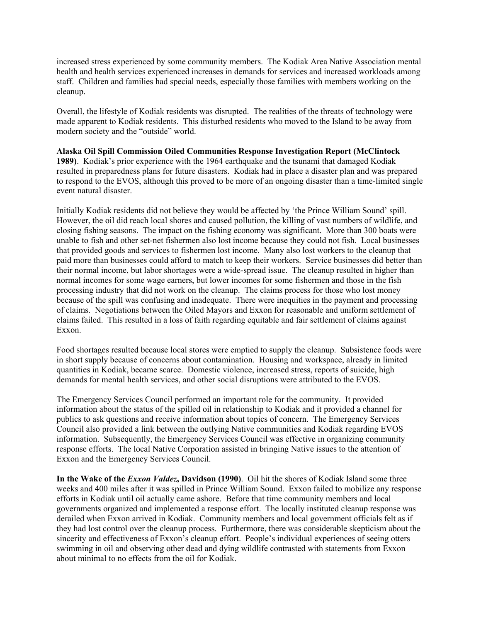increased stress experienced by some community members. The Kodiak Area Native Association mental health and health services experienced increases in demands for services and increased workloads among staff. Children and families had special needs, especially those families with members working on the cleanup.

Overall, the lifestyle of Kodiak residents was disrupted. The realities of the threats of technology were made apparent to Kodiak residents. This disturbed residents who moved to the Island to be away from modern society and the "outside" world.

#### **Alaska Oil Spill Commission Oiled Communities Response Investigation Report (McClintock 1989)**. Kodiak's prior experience with the 1964 earthquake and the tsunami that damaged Kodiak resulted in preparedness plans for future disasters. Kodiak had in place a disaster plan and was prepared to respond to the EVOS, although this proved to be more of an ongoing disaster than a time-limited single event natural disaster.

Initially Kodiak residents did not believe they would be affected by 'the Prince William Sound' spill. However, the oil did reach local shores and caused pollution, the killing of vast numbers of wildlife, and closing fishing seasons. The impact on the fishing economy was significant. More than 300 boats were unable to fish and other set-net fishermen also lost income because they could not fish. Local businesses that provided goods and services to fishermen lost income. Many also lost workers to the cleanup that paid more than businesses could afford to match to keep their workers. Service businesses did better than their normal income, but labor shortages were a wide-spread issue. The cleanup resulted in higher than normal incomes for some wage earners, but lower incomes for some fishermen and those in the fish processing industry that did not work on the cleanup. The claims process for those who lost money because of the spill was confusing and inadequate. There were inequities in the payment and processing of claims. Negotiations between the Oiled Mayors and Exxon for reasonable and uniform settlement of claims failed. This resulted in a loss of faith regarding equitable and fair settlement of claims against Exxon.

Food shortages resulted because local stores were emptied to supply the cleanup. Subsistence foods were in short supply because of concerns about contamination. Housing and workspace, already in limited quantities in Kodiak, became scarce. Domestic violence, increased stress, reports of suicide, high demands for mental health services, and other social disruptions were attributed to the EVOS.

The Emergency Services Council performed an important role for the community. It provided information about the status of the spilled oil in relationship to Kodiak and it provided a channel for publics to ask questions and receive information about topics of concern. The Emergency Services Council also provided a link between the outlying Native communities and Kodiak regarding EVOS information. Subsequently, the Emergency Services Council was effective in organizing community response efforts. The local Native Corporation assisted in bringing Native issues to the attention of Exxon and the Emergency Services Council.

**In the Wake of the** *Exxon Valdez***, Davidson (1990)**. Oil hit the shores of Kodiak Island some three weeks and 400 miles after it was spilled in Prince William Sound. Exxon failed to mobilize any response efforts in Kodiak until oil actually came ashore. Before that time community members and local governments organized and implemented a response effort. The locally instituted cleanup response was derailed when Exxon arrived in Kodiak. Community members and local government officials felt as if they had lost control over the cleanup process. Furthermore, there was considerable skepticism about the sincerity and effectiveness of Exxon's cleanup effort. People's individual experiences of seeing otters swimming in oil and observing other dead and dying wildlife contrasted with statements from Exxon about minimal to no effects from the oil for Kodiak.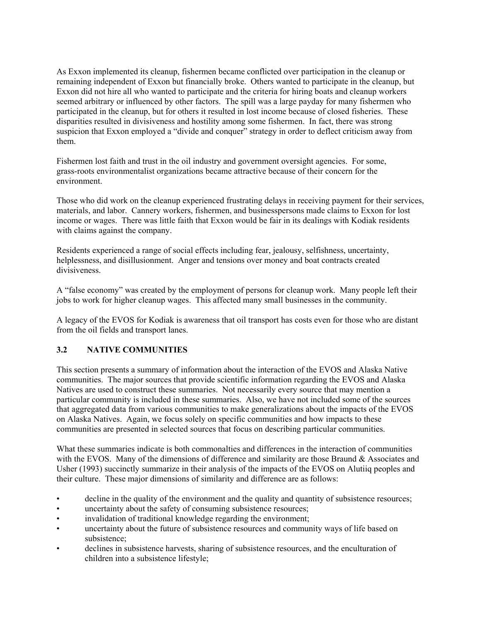As Exxon implemented its cleanup, fishermen became conflicted over participation in the cleanup or remaining independent of Exxon but financially broke. Others wanted to participate in the cleanup, but Exxon did not hire all who wanted to participate and the criteria for hiring boats and cleanup workers seemed arbitrary or influenced by other factors. The spill was a large payday for many fishermen who participated in the cleanup, but for others it resulted in lost income because of closed fisheries. These disparities resulted in divisiveness and hostility among some fishermen. In fact, there was strong suspicion that Exxon employed a "divide and conquer" strategy in order to deflect criticism away from them.

Fishermen lost faith and trust in the oil industry and government oversight agencies. For some, grass-roots environmentalist organizations became attractive because of their concern for the environment.

Those who did work on the cleanup experienced frustrating delays in receiving payment for their services, materials, and labor. Cannery workers, fishermen, and businesspersons made claims to Exxon for lost income or wages. There was little faith that Exxon would be fair in its dealings with Kodiak residents with claims against the company.

Residents experienced a range of social effects including fear, jealousy, selfishness, uncertainty, helplessness, and disillusionment. Anger and tensions over money and boat contracts created divisiveness.

A "false economy" was created by the employment of persons for cleanup work. Many people left their jobs to work for higher cleanup wages. This affected many small businesses in the community.

A legacy of the EVOS for Kodiak is awareness that oil transport has costs even for those who are distant from the oil fields and transport lanes.

## **3.2 NATIVE COMMUNITIES**

This section presents a summary of information about the interaction of the EVOS and Alaska Native communities. The major sources that provide scientific information regarding the EVOS and Alaska Natives are used to construct these summaries. Not necessarily every source that may mention a particular community is included in these summaries. Also, we have not included some of the sources that aggregated data from various communities to make generalizations about the impacts of the EVOS on Alaska Natives. Again, we focus solely on specific communities and how impacts to these communities are presented in selected sources that focus on describing particular communities.

What these summaries indicate is both commonalties and differences in the interaction of communities with the EVOS. Many of the dimensions of difference and similarity are those Braund  $\&$  Associates and Usher (1993) succinctly summarize in their analysis of the impacts of the EVOS on Alutiiq peoples and their culture. These major dimensions of similarity and difference are as follows:

- decline in the quality of the environment and the quality and quantity of subsistence resources;
- uncertainty about the safety of consuming subsistence resources;
- invalidation of traditional knowledge regarding the environment;
- uncertainty about the future of subsistence resources and community ways of life based on subsistence;
- declines in subsistence harvests, sharing of subsistence resources, and the enculturation of children into a subsistence lifestyle;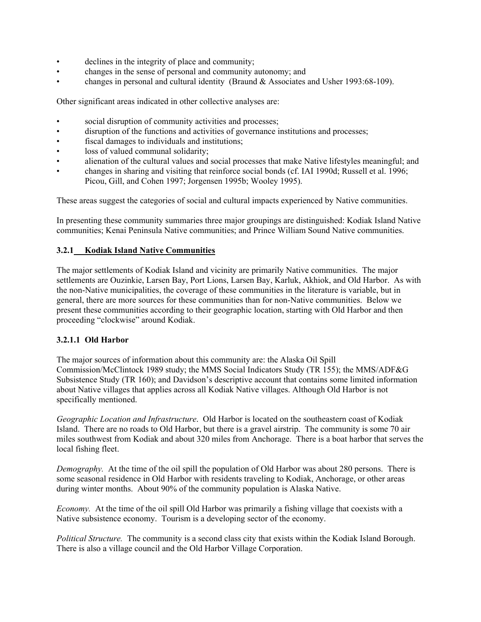- declines in the integrity of place and community;
- changes in the sense of personal and community autonomy; and
- changes in personal and cultural identity (Braund & Associates and Usher 1993:68-109).

Other significant areas indicated in other collective analyses are:

- social disruption of community activities and processes;
- disruption of the functions and activities of governance institutions and processes;
- fiscal damages to individuals and institutions;
- loss of valued communal solidarity;
- alienation of the cultural values and social processes that make Native lifestyles meaningful; and
- changes in sharing and visiting that reinforce social bonds (cf. IAI 1990d; Russell et al. 1996; Picou, Gill, and Cohen 1997; Jorgensen 1995b; Wooley 1995).

These areas suggest the categories of social and cultural impacts experienced by Native communities.

In presenting these community summaries three major groupings are distinguished: Kodiak Island Native communities; Kenai Peninsula Native communities; and Prince William Sound Native communities.

#### **3.2.1 Kodiak Island Native Communities**

The major settlements of Kodiak Island and vicinity are primarily Native communities. The major settlements are Ouzinkie, Larsen Bay, Port Lions, Larsen Bay, Karluk, Akhiok, and Old Harbor. As with the non-Native municipalities, the coverage of these communities in the literature is variable, but in general, there are more sources for these communities than for non-Native communities. Below we present these communities according to their geographic location, starting with Old Harbor and then proceeding "clockwise" around Kodiak.

#### **3.2.1.1 Old Harbor**

The major sources of information about this community are: the Alaska Oil Spill Commission/McClintock 1989 study; the MMS Social Indicators Study (TR 155); the MMS/ADF&G Subsistence Study (TR 160); and Davidson's descriptive account that contains some limited information about Native villages that applies across all Kodiak Native villages. Although Old Harbor is not specifically mentioned.

*Geographic Location and Infrastructure*. Old Harbor is located on the southeastern coast of Kodiak Island. There are no roads to Old Harbor, but there is a gravel airstrip. The community is some 70 air miles southwest from Kodiak and about 320 miles from Anchorage. There is a boat harbor that serves the local fishing fleet.

*Demography.* At the time of the oil spill the population of Old Harbor was about 280 persons. There is some seasonal residence in Old Harbor with residents traveling to Kodiak, Anchorage, or other areas during winter months. About 90% of the community population is Alaska Native.

*Economy.* At the time of the oil spill Old Harbor was primarily a fishing village that coexists with a Native subsistence economy. Tourism is a developing sector of the economy.

*Political Structure.* The community is a second class city that exists within the Kodiak Island Borough. There is also a village council and the Old Harbor Village Corporation.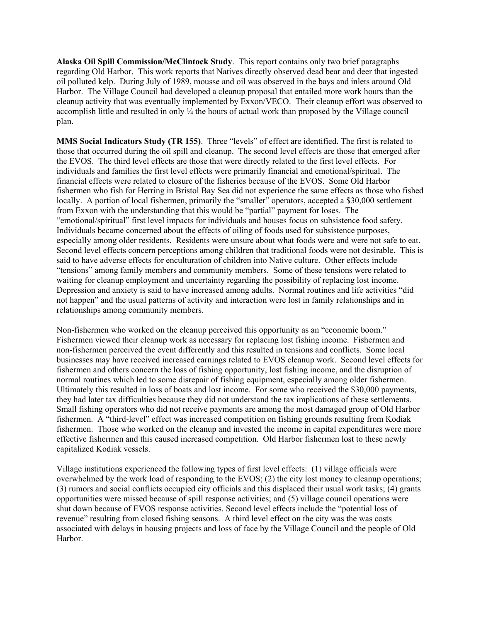**Alaska Oil Spill Commission/McClintock Study**. This report contains only two brief paragraphs regarding Old Harbor. This work reports that Natives directly observed dead bear and deer that ingested oil polluted kelp. During July of 1989, mousse and oil was observed in the bays and inlets around Old Harbor. The Village Council had developed a cleanup proposal that entailed more work hours than the cleanup activity that was eventually implemented by Exxon/VECO. Their cleanup effort was observed to accomplish little and resulted in only ¼ the hours of actual work than proposed by the Village council plan.

**MMS Social Indicators Study (TR 155)**. Three "levels" of effect are identified. The first is related to those that occurred during the oil spill and cleanup. The second level effects are those that emerged after the EVOS. The third level effects are those that were directly related to the first level effects. For individuals and families the first level effects were primarily financial and emotional/spiritual. The financial effects were related to closure of the fisheries because of the EVOS. Some Old Harbor fishermen who fish for Herring in Bristol Bay Sea did not experience the same effects as those who fished locally. A portion of local fishermen, primarily the "smaller" operators, accepted a \$30,000 settlement from Exxon with the understanding that this would be "partial" payment for loses. The "emotional/spiritual" first level impacts for individuals and houses focus on subsistence food safety. Individuals became concerned about the effects of oiling of foods used for subsistence purposes, especially among older residents. Residents were unsure about what foods were and were not safe to eat. Second level effects concern perceptions among children that traditional foods were not desirable. This is said to have adverse effects for enculturation of children into Native culture. Other effects include "tensions" among family members and community members. Some of these tensions were related to waiting for cleanup employment and uncertainty regarding the possibility of replacing lost income. Depression and anxiety is said to have increased among adults. Normal routines and life activities "did not happen" and the usual patterns of activity and interaction were lost in family relationships and in relationships among community members.

Non-fishermen who worked on the cleanup perceived this opportunity as an "economic boom." Fishermen viewed their cleanup work as necessary for replacing lost fishing income. Fishermen and non-fishermen perceived the event differently and this resulted in tensions and conflicts. Some local businesses may have received increased earnings related to EVOS cleanup work. Second level effects for fishermen and others concern the loss of fishing opportunity, lost fishing income, and the disruption of normal routines which led to some disrepair of fishing equipment, especially among older fishermen. Ultimately this resulted in loss of boats and lost income. For some who received the \$30,000 payments, they had later tax difficulties because they did not understand the tax implications of these settlements. Small fishing operators who did not receive payments are among the most damaged group of Old Harbor fishermen. A "third-level" effect was increased competition on fishing grounds resulting from Kodiak fishermen. Those who worked on the cleanup and invested the income in capital expenditures were more effective fishermen and this caused increased competition. Old Harbor fishermen lost to these newly capitalized Kodiak vessels.

Village institutions experienced the following types of first level effects: (1) village officials were overwhelmed by the work load of responding to the EVOS; (2) the city lost money to cleanup operations; (3) rumors and social conflicts occupied city officials and this displaced their usual work tasks; (4) grants opportunities were missed because of spill response activities; and (5) village council operations were shut down because of EVOS response activities. Second level effects include the "potential loss of revenue" resulting from closed fishing seasons. A third level effect on the city was the was costs associated with delays in housing projects and loss of face by the Village Council and the people of Old Harbor.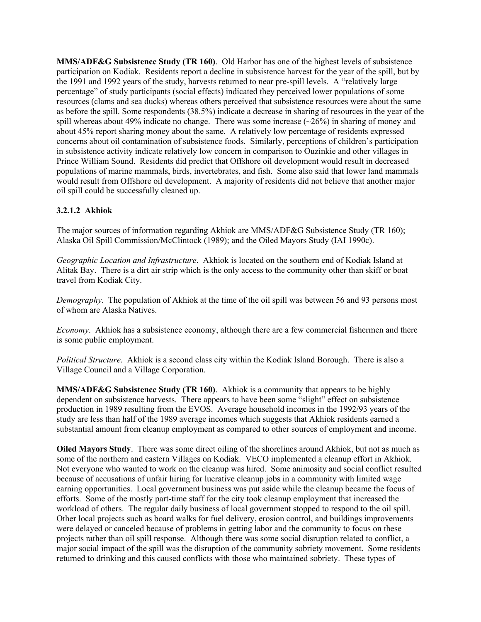**MMS/ADF&G Subsistence Study (TR 160)**. Old Harbor has one of the highest levels of subsistence participation on Kodiak. Residents report a decline in subsistence harvest for the year of the spill, but by the 1991 and 1992 years of the study, harvests returned to near pre-spill levels. A "relatively large percentage" of study participants (social effects) indicated they perceived lower populations of some resources (clams and sea ducks) whereas others perceived that subsistence resources were about the same as before the spill. Some respondents (38.5%) indicate a decrease in sharing of resources in the year of the spill whereas about 49% indicate no change. There was some increase  $(\sim 26\%)$  in sharing of money and about 45% report sharing money about the same. A relatively low percentage of residents expressed concerns about oil contamination of subsistence foods. Similarly, perceptions of children's participation in subsistence activity indicate relatively low concern in comparison to Ouzinkie and other villages in Prince William Sound. Residents did predict that Offshore oil development would result in decreased populations of marine mammals, birds, invertebrates, and fish. Some also said that lower land mammals would result from Offshore oil development. A majority of residents did not believe that another major oil spill could be successfully cleaned up.

## **3.2.1.2 Akhiok**

The major sources of information regarding Akhiok are MMS/ADF&G Subsistence Study (TR 160); Alaska Oil Spill Commission/McClintock (1989); and the Oiled Mayors Study (IAI 1990c).

*Geographic Location and Infrastructure*. Akhiok is located on the southern end of Kodiak Island at Alitak Bay. There is a dirt air strip which is the only access to the community other than skiff or boat travel from Kodiak City.

*Demography*. The population of Akhiok at the time of the oil spill was between 56 and 93 persons most of whom are Alaska Natives.

*Economy*. Akhiok has a subsistence economy, although there are a few commercial fishermen and there is some public employment.

*Political Structure*. Akhiok is a second class city within the Kodiak Island Borough. There is also a Village Council and a Village Corporation.

**MMS/ADF&G Subsistence Study (TR 160)**. Akhiok is a community that appears to be highly dependent on subsistence harvests. There appears to have been some "slight" effect on subsistence production in 1989 resulting from the EVOS. Average household incomes in the 1992/93 years of the study are less than half of the 1989 average incomes which suggests that Akhiok residents earned a substantial amount from cleanup employment as compared to other sources of employment and income.

**Oiled Mayors Study**. There was some direct oiling of the shorelines around Akhiok, but not as much as some of the northern and eastern Villages on Kodiak. VECO implemented a cleanup effort in Akhiok. Not everyone who wanted to work on the cleanup was hired. Some animosity and social conflict resulted because of accusations of unfair hiring for lucrative cleanup jobs in a community with limited wage earning opportunities. Local government business was put aside while the cleanup became the focus of efforts. Some of the mostly part-time staff for the city took cleanup employment that increased the workload of others. The regular daily business of local government stopped to respond to the oil spill. Other local projects such as board walks for fuel delivery, erosion control, and buildings improvements were delayed or canceled because of problems in getting labor and the community to focus on these projects rather than oil spill response. Although there was some social disruption related to conflict, a major social impact of the spill was the disruption of the community sobriety movement. Some residents returned to drinking and this caused conflicts with those who maintained sobriety. These types of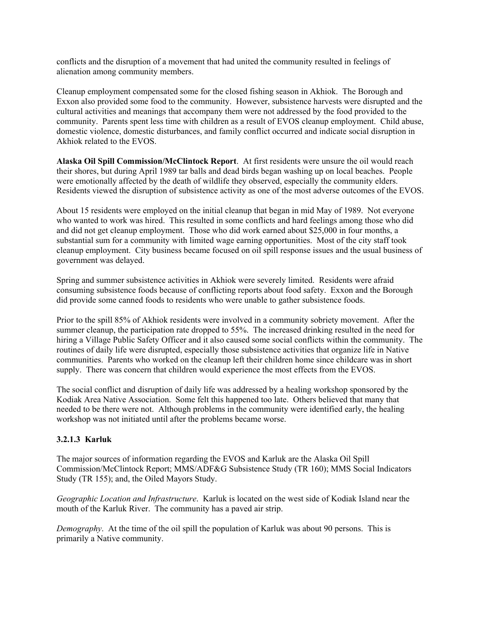conflicts and the disruption of a movement that had united the community resulted in feelings of alienation among community members.

Cleanup employment compensated some for the closed fishing season in Akhiok. The Borough and Exxon also provided some food to the community. However, subsistence harvests were disrupted and the cultural activities and meanings that accompany them were not addressed by the food provided to the community. Parents spent less time with children as a result of EVOS cleanup employment. Child abuse, domestic violence, domestic disturbances, and family conflict occurred and indicate social disruption in Akhiok related to the EVOS.

**Alaska Oil Spill Commission/McClintock Report**. At first residents were unsure the oil would reach their shores, but during April 1989 tar balls and dead birds began washing up on local beaches. People were emotionally affected by the death of wildlife they observed, especially the community elders. Residents viewed the disruption of subsistence activity as one of the most adverse outcomes of the EVOS.

About 15 residents were employed on the initial cleanup that began in mid May of 1989. Not everyone who wanted to work was hired. This resulted in some conflicts and hard feelings among those who did and did not get cleanup employment. Those who did work earned about \$25,000 in four months, a substantial sum for a community with limited wage earning opportunities. Most of the city staff took cleanup employment. City business became focused on oil spill response issues and the usual business of government was delayed.

Spring and summer subsistence activities in Akhiok were severely limited. Residents were afraid consuming subsistence foods because of conflicting reports about food safety. Exxon and the Borough did provide some canned foods to residents who were unable to gather subsistence foods.

Prior to the spill 85% of Akhiok residents were involved in a community sobriety movement. After the summer cleanup, the participation rate dropped to 55%. The increased drinking resulted in the need for hiring a Village Public Safety Officer and it also caused some social conflicts within the community. The routines of daily life were disrupted, especially those subsistence activities that organize life in Native communities. Parents who worked on the cleanup left their children home since childcare was in short supply. There was concern that children would experience the most effects from the EVOS.

The social conflict and disruption of daily life was addressed by a healing workshop sponsored by the Kodiak Area Native Association. Some felt this happened too late. Others believed that many that needed to be there were not. Although problems in the community were identified early, the healing workshop was not initiated until after the problems became worse.

## **3.2.1.3 Karluk**

The major sources of information regarding the EVOS and Karluk are the Alaska Oil Spill Commission/McClintock Report; MMS/ADF&G Subsistence Study (TR 160); MMS Social Indicators Study (TR 155); and, the Oiled Mayors Study.

*Geographic Location and Infrastructure*. Karluk is located on the west side of Kodiak Island near the mouth of the Karluk River. The community has a paved air strip.

*Demography*. At the time of the oil spill the population of Karluk was about 90 persons. This is primarily a Native community.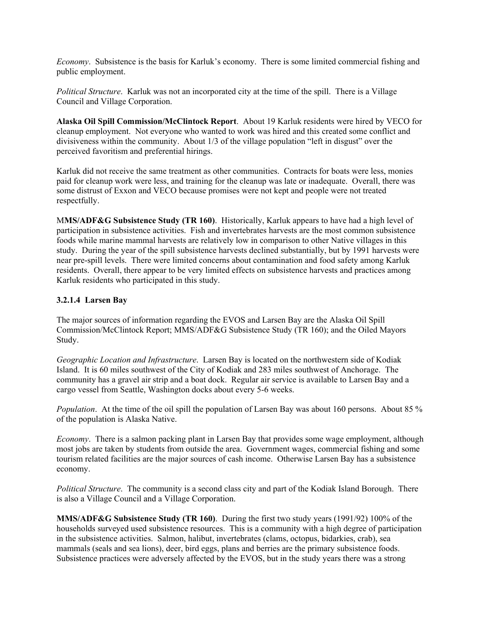*Economy*. Subsistence is the basis for Karluk's economy. There is some limited commercial fishing and public employment.

*Political Structure*. Karluk was not an incorporated city at the time of the spill. There is a Village Council and Village Corporation.

**Alaska Oil Spill Commission/McClintock Report**. About 19 Karluk residents were hired by VECO for cleanup employment. Not everyone who wanted to work was hired and this created some conflict and divisiveness within the community. About 1/3 of the village population "left in disgust" over the perceived favoritism and preferential hirings.

Karluk did not receive the same treatment as other communities. Contracts for boats were less, monies paid for cleanup work were less, and training for the cleanup was late or inadequate. Overall, there was some distrust of Exxon and VECO because promises were not kept and people were not treated respectfully.

M**MS/ADF&G Subsistence Study (TR 160)**. Historically, Karluk appears to have had a high level of participation in subsistence activities. Fish and invertebrates harvests are the most common subsistence foods while marine mammal harvests are relatively low in comparison to other Native villages in this study. During the year of the spill subsistence harvests declined substantially, but by 1991 harvests were near pre-spill levels. There were limited concerns about contamination and food safety among Karluk residents. Overall, there appear to be very limited effects on subsistence harvests and practices among Karluk residents who participated in this study.

#### **3.2.1.4 Larsen Bay**

The major sources of information regarding the EVOS and Larsen Bay are the Alaska Oil Spill Commission/McClintock Report; MMS/ADF&G Subsistence Study (TR 160); and the Oiled Mayors Study.

*Geographic Location and Infrastructure*. Larsen Bay is located on the northwestern side of Kodiak Island. It is 60 miles southwest of the City of Kodiak and 283 miles southwest of Anchorage. The community has a gravel air strip and a boat dock. Regular air service is available to Larsen Bay and a cargo vessel from Seattle, Washington docks about every 5-6 weeks.

*Population*. At the time of the oil spill the population of Larsen Bay was about 160 persons. About 85 % of the population is Alaska Native.

*Economy*. There is a salmon packing plant in Larsen Bay that provides some wage employment, although most jobs are taken by students from outside the area. Government wages, commercial fishing and some tourism related facilities are the major sources of cash income. Otherwise Larsen Bay has a subsistence economy.

*Political Structure*. The community is a second class city and part of the Kodiak Island Borough. There is also a Village Council and a Village Corporation.

**MMS/ADF&G Subsistence Study (TR 160)**. During the first two study years (1991/92) 100% of the households surveyed used subsistence resources. This is a community with a high degree of participation in the subsistence activities. Salmon, halibut, invertebrates (clams, octopus, bidarkies, crab), sea mammals (seals and sea lions), deer, bird eggs, plans and berries are the primary subsistence foods. Subsistence practices were adversely affected by the EVOS, but in the study years there was a strong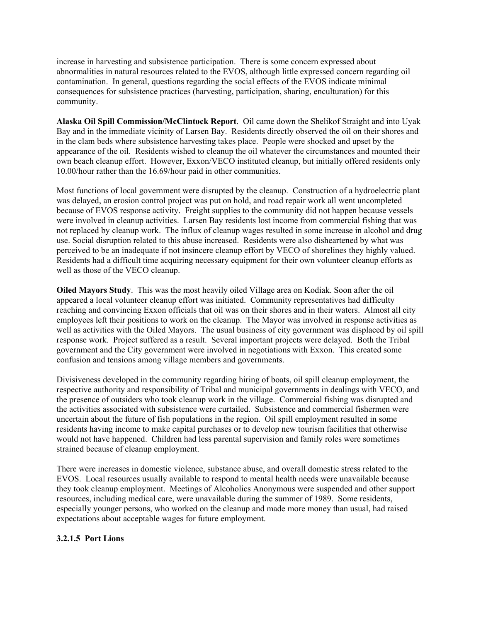increase in harvesting and subsistence participation. There is some concern expressed about abnormalities in natural resources related to the EVOS, although little expressed concern regarding oil contamination. In general, questions regarding the social effects of the EVOS indicate minimal consequences for subsistence practices (harvesting, participation, sharing, enculturation) for this community.

**Alaska Oil Spill Commission/McClintock Report**. Oil came down the Shelikof Straight and into Uyak Bay and in the immediate vicinity of Larsen Bay. Residents directly observed the oil on their shores and in the clam beds where subsistence harvesting takes place. People were shocked and upset by the appearance of the oil. Residents wished to cleanup the oil whatever the circumstances and mounted their own beach cleanup effort. However, Exxon/VECO instituted cleanup, but initially offered residents only 10.00/hour rather than the 16.69/hour paid in other communities.

Most functions of local government were disrupted by the cleanup. Construction of a hydroelectric plant was delayed, an erosion control project was put on hold, and road repair work all went uncompleted because of EVOS response activity. Freight supplies to the community did not happen because vessels were involved in cleanup activities. Larsen Bay residents lost income from commercial fishing that was not replaced by cleanup work. The influx of cleanup wages resulted in some increase in alcohol and drug use. Social disruption related to this abuse increased. Residents were also disheartened by what was perceived to be an inadequate if not insincere cleanup effort by VECO of shorelines they highly valued. Residents had a difficult time acquiring necessary equipment for their own volunteer cleanup efforts as well as those of the VECO cleanup.

**Oiled Mayors Study**. This was the most heavily oiled Village area on Kodiak. Soon after the oil appeared a local volunteer cleanup effort was initiated. Community representatives had difficulty reaching and convincing Exxon officials that oil was on their shores and in their waters. Almost all city employees left their positions to work on the cleanup. The Mayor was involved in response activities as well as activities with the Oiled Mayors. The usual business of city government was displaced by oil spill response work. Project suffered as a result. Several important projects were delayed. Both the Tribal government and the City government were involved in negotiations with Exxon. This created some confusion and tensions among village members and governments.

Divisiveness developed in the community regarding hiring of boats, oil spill cleanup employment, the respective authority and responsibility of Tribal and municipal governments in dealings with VECO, and the presence of outsiders who took cleanup work in the village. Commercial fishing was disrupted and the activities associated with subsistence were curtailed. Subsistence and commercial fishermen were uncertain about the future of fish populations in the region. Oil spill employment resulted in some residents having income to make capital purchases or to develop new tourism facilities that otherwise would not have happened. Children had less parental supervision and family roles were sometimes strained because of cleanup employment.

There were increases in domestic violence, substance abuse, and overall domestic stress related to the EVOS. Local resources usually available to respond to mental health needs were unavailable because they took cleanup employment. Meetings of Alcoholics Anonymous were suspended and other support resources, including medical care, were unavailable during the summer of 1989. Some residents, especially younger persons, who worked on the cleanup and made more money than usual, had raised expectations about acceptable wages for future employment.

# **3.2.1.5 Port Lions**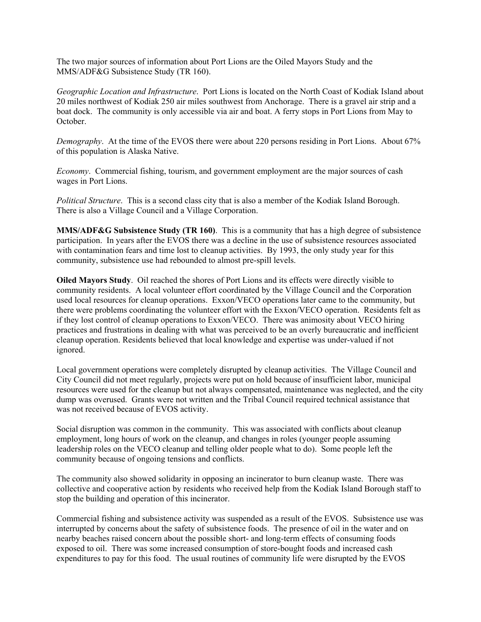The two major sources of information about Port Lions are the Oiled Mayors Study and the MMS/ADF&G Subsistence Study (TR 160).

*Geographic Location and Infrastructure*. Port Lions is located on the North Coast of Kodiak Island about 20 miles northwest of Kodiak 250 air miles southwest from Anchorage. There is a gravel air strip and a boat dock. The community is only accessible via air and boat. A ferry stops in Port Lions from May to October.

*Demography*. At the time of the EVOS there were about 220 persons residing in Port Lions. About 67% of this population is Alaska Native.

*Economy*. Commercial fishing, tourism, and government employment are the major sources of cash wages in Port Lions.

*Political Structure*. This is a second class city that is also a member of the Kodiak Island Borough. There is also a Village Council and a Village Corporation.

**MMS/ADF&G Subsistence Study (TR 160)**. This is a community that has a high degree of subsistence participation. In years after the EVOS there was a decline in the use of subsistence resources associated with contamination fears and time lost to cleanup activities. By 1993, the only study year for this community, subsistence use had rebounded to almost pre-spill levels.

**Oiled Mayors Study**. Oil reached the shores of Port Lions and its effects were directly visible to community residents. A local volunteer effort coordinated by the Village Council and the Corporation used local resources for cleanup operations. Exxon/VECO operations later came to the community, but there were problems coordinating the volunteer effort with the Exxon/VECO operation. Residents felt as if they lost control of cleanup operations to Exxon/VECO. There was animosity about VECO hiring practices and frustrations in dealing with what was perceived to be an overly bureaucratic and inefficient cleanup operation. Residents believed that local knowledge and expertise was under-valued if not ignored.

Local government operations were completely disrupted by cleanup activities. The Village Council and City Council did not meet regularly, projects were put on hold because of insufficient labor, municipal resources were used for the cleanup but not always compensated, maintenance was neglected, and the city dump was overused. Grants were not written and the Tribal Council required technical assistance that was not received because of EVOS activity.

Social disruption was common in the community. This was associated with conflicts about cleanup employment, long hours of work on the cleanup, and changes in roles (younger people assuming leadership roles on the VECO cleanup and telling older people what to do). Some people left the community because of ongoing tensions and conflicts.

The community also showed solidarity in opposing an incinerator to burn cleanup waste. There was collective and cooperative action by residents who received help from the Kodiak Island Borough staff to stop the building and operation of this incinerator.

Commercial fishing and subsistence activity was suspended as a result of the EVOS. Subsistence use was interrupted by concerns about the safety of subsistence foods. The presence of oil in the water and on nearby beaches raised concern about the possible short- and long-term effects of consuming foods exposed to oil. There was some increased consumption of store-bought foods and increased cash expenditures to pay for this food. The usual routines of community life were disrupted by the EVOS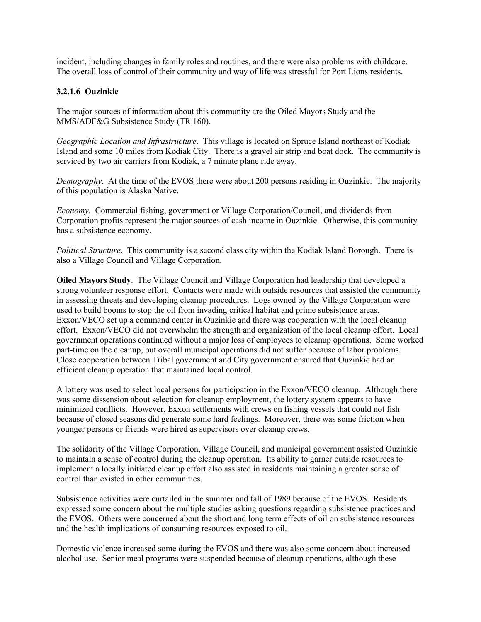incident, including changes in family roles and routines, and there were also problems with childcare. The overall loss of control of their community and way of life was stressful for Port Lions residents.

## **3.2.1.6 Ouzinkie**

The major sources of information about this community are the Oiled Mayors Study and the MMS/ADF&G Subsistence Study (TR 160).

*Geographic Location and Infrastructure*. This village is located on Spruce Island northeast of Kodiak Island and some 10 miles from Kodiak City. There is a gravel air strip and boat dock. The community is serviced by two air carriers from Kodiak, a 7 minute plane ride away.

*Demography*. At the time of the EVOS there were about 200 persons residing in Ouzinkie. The majority of this population is Alaska Native.

*Economy*. Commercial fishing, government or Village Corporation/Council, and dividends from Corporation profits represent the major sources of cash income in Ouzinkie. Otherwise, this community has a subsistence economy.

*Political Structure*. This community is a second class city within the Kodiak Island Borough. There is also a Village Council and Village Corporation.

**Oiled Mayors Study**. The Village Council and Village Corporation had leadership that developed a strong volunteer response effort. Contacts were made with outside resources that assisted the community in assessing threats and developing cleanup procedures. Logs owned by the Village Corporation were used to build booms to stop the oil from invading critical habitat and prime subsistence areas. Exxon/VECO set up a command center in Ouzinkie and there was cooperation with the local cleanup effort. Exxon/VECO did not overwhelm the strength and organization of the local cleanup effort. Local government operations continued without a major loss of employees to cleanup operations. Some worked part-time on the cleanup, but overall municipal operations did not suffer because of labor problems. Close cooperation between Tribal government and City government ensured that Ouzinkie had an efficient cleanup operation that maintained local control.

A lottery was used to select local persons for participation in the Exxon/VECO cleanup. Although there was some dissension about selection for cleanup employment, the lottery system appears to have minimized conflicts. However, Exxon settlements with crews on fishing vessels that could not fish because of closed seasons did generate some hard feelings. Moreover, there was some friction when younger persons or friends were hired as supervisors over cleanup crews.

The solidarity of the Village Corporation, Village Council, and municipal government assisted Ouzinkie to maintain a sense of control during the cleanup operation. Its ability to garner outside resources to implement a locally initiated cleanup effort also assisted in residents maintaining a greater sense of control than existed in other communities.

Subsistence activities were curtailed in the summer and fall of 1989 because of the EVOS. Residents expressed some concern about the multiple studies asking questions regarding subsistence practices and the EVOS. Others were concerned about the short and long term effects of oil on subsistence resources and the health implications of consuming resources exposed to oil.

Domestic violence increased some during the EVOS and there was also some concern about increased alcohol use. Senior meal programs were suspended because of cleanup operations, although these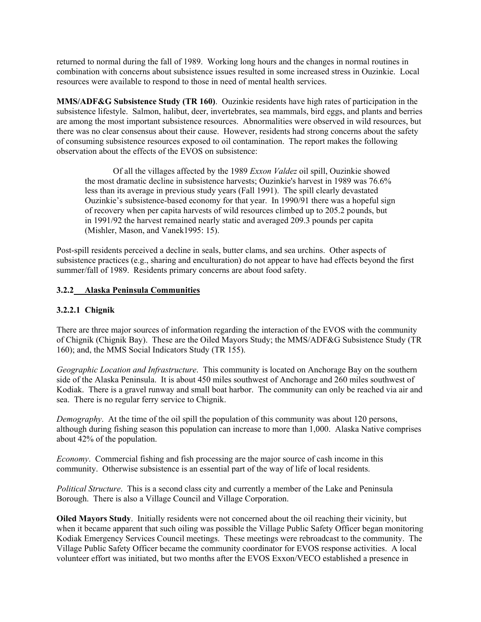returned to normal during the fall of 1989. Working long hours and the changes in normal routines in combination with concerns about subsistence issues resulted in some increased stress in Ouzinkie. Local resources were available to respond to those in need of mental health services.

**MMS/ADF&G Subsistence Study (TR 160)**. Ouzinkie residents have high rates of participation in the subsistence lifestyle. Salmon, halibut, deer, invertebrates, sea mammals, bird eggs, and plants and berries are among the most important subsistence resources. Abnormalities were observed in wild resources, but there was no clear consensus about their cause. However, residents had strong concerns about the safety of consuming subsistence resources exposed to oil contamination. The report makes the following observation about the effects of the EVOS on subsistence:

Of all the villages affected by the 1989 *Exxon Valdez* oil spill, Ouzinkie showed the most dramatic decline in subsistence harvests; Ouzinkie's harvest in 1989 was 76.6% less than its average in previous study years (Fall 1991). The spill clearly devastated Ouzinkie's subsistence-based economy for that year. In 1990/91 there was a hopeful sign of recovery when per capita harvests of wild resources climbed up to 205.2 pounds, but in 1991/92 the harvest remained nearly static and averaged 209.3 pounds per capita (Mishler, Mason, and Vanek1995: 15).

Post-spill residents perceived a decline in seals, butter clams, and sea urchins. Other aspects of subsistence practices (e.g., sharing and enculturation) do not appear to have had effects beyond the first summer/fall of 1989. Residents primary concerns are about food safety.

### **3.2.2 Alaska Peninsula Communities**

### **3.2.2.1 Chignik**

There are three major sources of information regarding the interaction of the EVOS with the community of Chignik (Chignik Bay). These are the Oiled Mayors Study; the MMS/ADF&G Subsistence Study (TR 160); and, the MMS Social Indicators Study (TR 155).

*Geographic Location and Infrastructure*. This community is located on Anchorage Bay on the southern side of the Alaska Peninsula. It is about 450 miles southwest of Anchorage and 260 miles southwest of Kodiak. There is a gravel runway and small boat harbor. The community can only be reached via air and sea. There is no regular ferry service to Chignik.

*Demography*. At the time of the oil spill the population of this community was about 120 persons, although during fishing season this population can increase to more than 1,000. Alaska Native comprises about 42% of the population.

*Economy*. Commercial fishing and fish processing are the major source of cash income in this community. Otherwise subsistence is an essential part of the way of life of local residents.

*Political Structure*. This is a second class city and currently a member of the Lake and Peninsula Borough. There is also a Village Council and Village Corporation.

**Oiled Mayors Study**. Initially residents were not concerned about the oil reaching their vicinity, but when it became apparent that such oiling was possible the Village Public Safety Officer began monitoring Kodiak Emergency Services Council meetings. These meetings were rebroadcast to the community. The Village Public Safety Officer became the community coordinator for EVOS response activities. A local volunteer effort was initiated, but two months after the EVOS Exxon/VECO established a presence in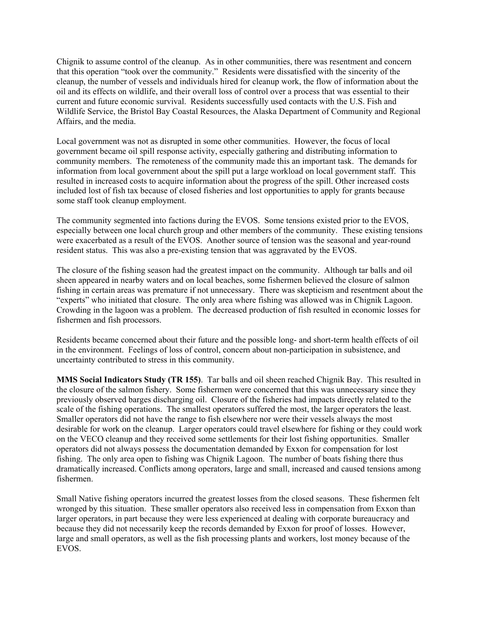Chignik to assume control of the cleanup. As in other communities, there was resentment and concern that this operation "took over the community." Residents were dissatisfied with the sincerity of the cleanup, the number of vessels and individuals hired for cleanup work, the flow of information about the oil and its effects on wildlife, and their overall loss of control over a process that was essential to their current and future economic survival. Residents successfully used contacts with the U.S. Fish and Wildlife Service, the Bristol Bay Coastal Resources, the Alaska Department of Community and Regional Affairs, and the media.

Local government was not as disrupted in some other communities. However, the focus of local government became oil spill response activity, especially gathering and distributing information to community members. The remoteness of the community made this an important task. The demands for information from local government about the spill put a large workload on local government staff. This resulted in increased costs to acquire information about the progress of the spill. Other increased costs included lost of fish tax because of closed fisheries and lost opportunities to apply for grants because some staff took cleanup employment.

The community segmented into factions during the EVOS. Some tensions existed prior to the EVOS, especially between one local church group and other members of the community. These existing tensions were exacerbated as a result of the EVOS. Another source of tension was the seasonal and year-round resident status. This was also a pre-existing tension that was aggravated by the EVOS.

The closure of the fishing season had the greatest impact on the community. Although tar balls and oil sheen appeared in nearby waters and on local beaches, some fishermen believed the closure of salmon fishing in certain areas was premature if not unnecessary. There was skepticism and resentment about the "experts" who initiated that closure. The only area where fishing was allowed was in Chignik Lagoon. Crowding in the lagoon was a problem. The decreased production of fish resulted in economic losses for fishermen and fish processors.

Residents became concerned about their future and the possible long- and short-term health effects of oil in the environment. Feelings of loss of control, concern about non-participation in subsistence, and uncertainty contributed to stress in this community.

**MMS Social Indicators Study (TR 155)**. Tar balls and oil sheen reached Chignik Bay. This resulted in the closure of the salmon fishery. Some fishermen were concerned that this was unnecessary since they previously observed barges discharging oil. Closure of the fisheries had impacts directly related to the scale of the fishing operations. The smallest operators suffered the most, the larger operators the least. Smaller operators did not have the range to fish elsewhere nor were their vessels always the most desirable for work on the cleanup. Larger operators could travel elsewhere for fishing or they could work on the VECO cleanup and they received some settlements for their lost fishing opportunities. Smaller operators did not always possess the documentation demanded by Exxon for compensation for lost fishing. The only area open to fishing was Chignik Lagoon. The number of boats fishing there thus dramatically increased. Conflicts among operators, large and small, increased and caused tensions among fishermen.

Small Native fishing operators incurred the greatest losses from the closed seasons. These fishermen felt wronged by this situation. These smaller operators also received less in compensation from Exxon than larger operators, in part because they were less experienced at dealing with corporate bureaucracy and because they did not necessarily keep the records demanded by Exxon for proof of losses. However, large and small operators, as well as the fish processing plants and workers, lost money because of the EVOS.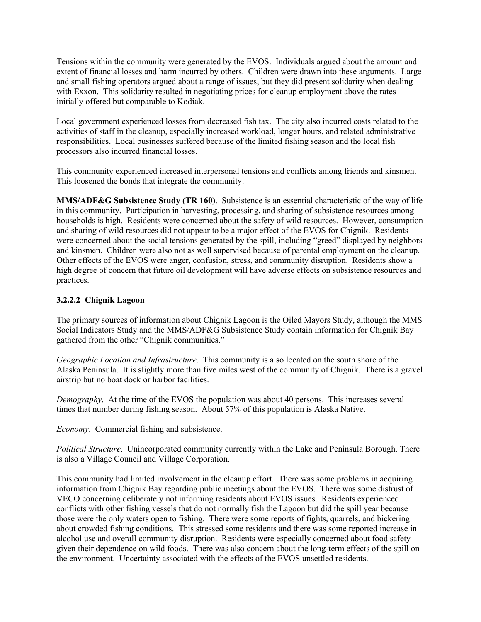Tensions within the community were generated by the EVOS. Individuals argued about the amount and extent of financial losses and harm incurred by others. Children were drawn into these arguments. Large and small fishing operators argued about a range of issues, but they did present solidarity when dealing with Exxon. This solidarity resulted in negotiating prices for cleanup employment above the rates initially offered but comparable to Kodiak.

Local government experienced losses from decreased fish tax. The city also incurred costs related to the activities of staff in the cleanup, especially increased workload, longer hours, and related administrative responsibilities. Local businesses suffered because of the limited fishing season and the local fish processors also incurred financial losses.

This community experienced increased interpersonal tensions and conflicts among friends and kinsmen. This loosened the bonds that integrate the community.

**MMS/ADF&G Subsistence Study (TR 160)**. Subsistence is an essential characteristic of the way of life in this community. Participation in harvesting, processing, and sharing of subsistence resources among households is high. Residents were concerned about the safety of wild resources. However, consumption and sharing of wild resources did not appear to be a major effect of the EVOS for Chignik. Residents were concerned about the social tensions generated by the spill, including "greed" displayed by neighbors and kinsmen. Children were also not as well supervised because of parental employment on the cleanup. Other effects of the EVOS were anger, confusion, stress, and community disruption. Residents show a high degree of concern that future oil development will have adverse effects on subsistence resources and practices.

## **3.2.2.2 Chignik Lagoon**

The primary sources of information about Chignik Lagoon is the Oiled Mayors Study, although the MMS Social Indicators Study and the MMS/ADF&G Subsistence Study contain information for Chignik Bay gathered from the other "Chignik communities."

*Geographic Location and Infrastructure*. This community is also located on the south shore of the Alaska Peninsula. It is slightly more than five miles west of the community of Chignik. There is a gravel airstrip but no boat dock or harbor facilities.

*Demography*. At the time of the EVOS the population was about 40 persons. This increases several times that number during fishing season. About 57% of this population is Alaska Native.

*Economy*. Commercial fishing and subsistence.

*Political Structure*. Unincorporated community currently within the Lake and Peninsula Borough. There is also a Village Council and Village Corporation.

This community had limited involvement in the cleanup effort. There was some problems in acquiring information from Chignik Bay regarding public meetings about the EVOS. There was some distrust of VECO concerning deliberately not informing residents about EVOS issues. Residents experienced conflicts with other fishing vessels that do not normally fish the Lagoon but did the spill year because those were the only waters open to fishing. There were some reports of fights, quarrels, and bickering about crowded fishing conditions. This stressed some residents and there was some reported increase in alcohol use and overall community disruption. Residents were especially concerned about food safety given their dependence on wild foods. There was also concern about the long-term effects of the spill on the environment. Uncertainty associated with the effects of the EVOS unsettled residents.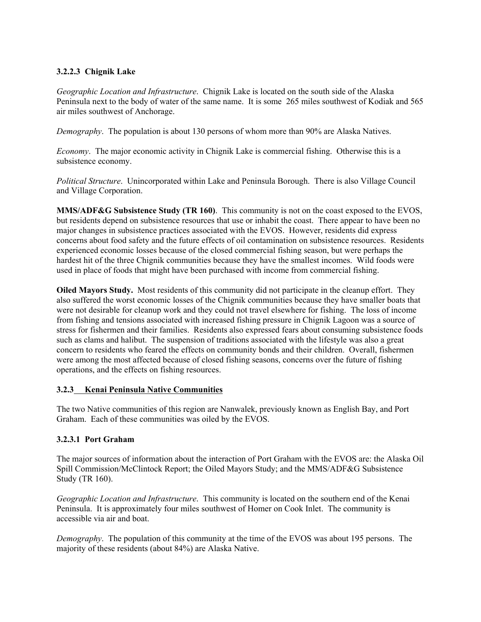# **3.2.2.3 Chignik Lake**

*Geographic Location and Infrastructure*. Chignik Lake is located on the south side of the Alaska Peninsula next to the body of water of the same name. It is some 265 miles southwest of Kodiak and 565 air miles southwest of Anchorage.

*Demography*. The population is about 130 persons of whom more than 90% are Alaska Natives.

*Economy*. The major economic activity in Chignik Lake is commercial fishing. Otherwise this is a subsistence economy.

*Political Structure*. Unincorporated within Lake and Peninsula Borough. There is also Village Council and Village Corporation.

**MMS/ADF&G Subsistence Study (TR 160)**. This community is not on the coast exposed to the EVOS, but residents depend on subsistence resources that use or inhabit the coast. There appear to have been no major changes in subsistence practices associated with the EVOS. However, residents did express concerns about food safety and the future effects of oil contamination on subsistence resources. Residents experienced economic losses because of the closed commercial fishing season, but were perhaps the hardest hit of the three Chignik communities because they have the smallest incomes. Wild foods were used in place of foods that might have been purchased with income from commercial fishing.

**Oiled Mayors Study.** Most residents of this community did not participate in the cleanup effort. They also suffered the worst economic losses of the Chignik communities because they have smaller boats that were not desirable for cleanup work and they could not travel elsewhere for fishing. The loss of income from fishing and tensions associated with increased fishing pressure in Chignik Lagoon was a source of stress for fishermen and their families. Residents also expressed fears about consuming subsistence foods such as clams and halibut. The suspension of traditions associated with the lifestyle was also a great concern to residents who feared the effects on community bonds and their children. Overall, fishermen were among the most affected because of closed fishing seasons, concerns over the future of fishing operations, and the effects on fishing resources.

### **3.2.3 Kenai Peninsula Native Communities**

The two Native communities of this region are Nanwalek, previously known as English Bay, and Port Graham. Each of these communities was oiled by the EVOS.

# **3.2.3.1 Port Graham**

The major sources of information about the interaction of Port Graham with the EVOS are: the Alaska Oil Spill Commission/McClintock Report; the Oiled Mayors Study; and the MMS/ADF&G Subsistence Study (TR 160).

*Geographic Location and Infrastructure*. This community is located on the southern end of the Kenai Peninsula. It is approximately four miles southwest of Homer on Cook Inlet. The community is accessible via air and boat.

*Demography*. The population of this community at the time of the EVOS was about 195 persons. The majority of these residents (about 84%) are Alaska Native.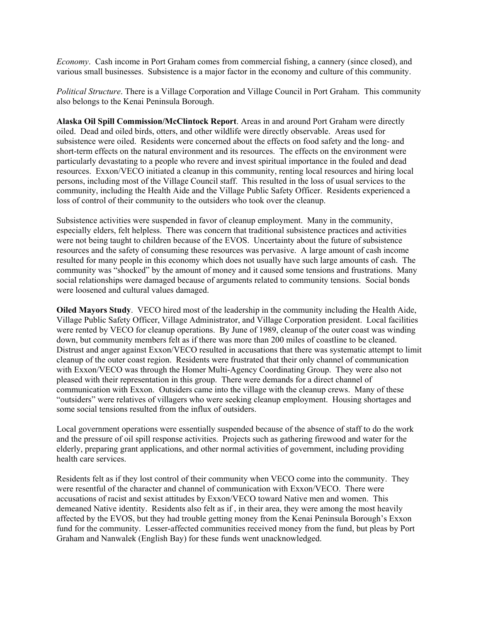*Economy*. Cash income in Port Graham comes from commercial fishing, a cannery (since closed), and various small businesses. Subsistence is a major factor in the economy and culture of this community.

*Political Structure*. There is a Village Corporation and Village Council in Port Graham. This community also belongs to the Kenai Peninsula Borough.

**Alaska Oil Spill Commission/McClintock Report**. Areas in and around Port Graham were directly oiled. Dead and oiled birds, otters, and other wildlife were directly observable. Areas used for subsistence were oiled. Residents were concerned about the effects on food safety and the long- and short-term effects on the natural environment and its resources. The effects on the environment were particularly devastating to a people who revere and invest spiritual importance in the fouled and dead resources. Exxon/VECO initiated a cleanup in this community, renting local resources and hiring local persons, including most of the Village Council staff. This resulted in the loss of usual services to the community, including the Health Aide and the Village Public Safety Officer. Residents experienced a loss of control of their community to the outsiders who took over the cleanup.

Subsistence activities were suspended in favor of cleanup employment. Many in the community, especially elders, felt helpless. There was concern that traditional subsistence practices and activities were not being taught to children because of the EVOS. Uncertainty about the future of subsistence resources and the safety of consuming these resources was pervasive. A large amount of cash income resulted for many people in this economy which does not usually have such large amounts of cash. The community was "shocked" by the amount of money and it caused some tensions and frustrations. Many social relationships were damaged because of arguments related to community tensions. Social bonds were loosened and cultural values damaged.

**Oiled Mayors Study**. VECO hired most of the leadership in the community including the Health Aide, Village Public Safety Officer, Village Administrator, and Village Corporation president. Local facilities were rented by VECO for cleanup operations. By June of 1989, cleanup of the outer coast was winding down, but community members felt as if there was more than 200 miles of coastline to be cleaned. Distrust and anger against Exxon/VECO resulted in accusations that there was systematic attempt to limit cleanup of the outer coast region. Residents were frustrated that their only channel of communication with Exxon/VECO was through the Homer Multi-Agency Coordinating Group. They were also not pleased with their representation in this group. There were demands for a direct channel of communication with Exxon. Outsiders came into the village with the cleanup crews. Many of these "outsiders" were relatives of villagers who were seeking cleanup employment. Housing shortages and some social tensions resulted from the influx of outsiders.

Local government operations were essentially suspended because of the absence of staff to do the work and the pressure of oil spill response activities. Projects such as gathering firewood and water for the elderly, preparing grant applications, and other normal activities of government, including providing health care services.

Residents felt as if they lost control of their community when VECO come into the community. They were resentful of the character and channel of communication with Exxon/VECO. There were accusations of racist and sexist attitudes by Exxon/VECO toward Native men and women. This demeaned Native identity. Residents also felt as if , in their area, they were among the most heavily affected by the EVOS, but they had trouble getting money from the Kenai Peninsula Borough's Exxon fund for the community. Lesser-affected communities received money from the fund, but pleas by Port Graham and Nanwalek (English Bay) for these funds went unacknowledged.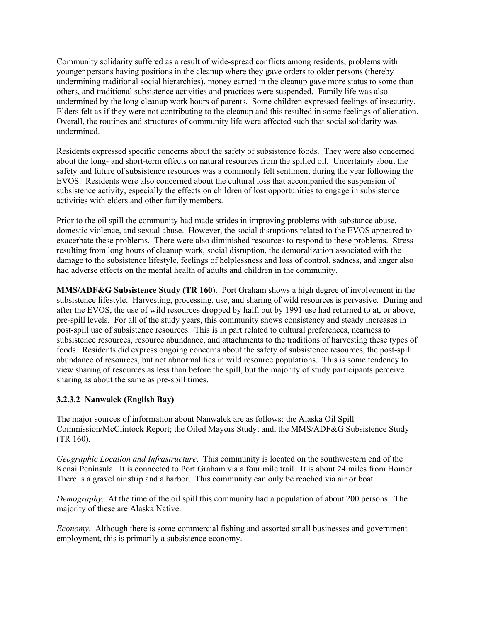Community solidarity suffered as a result of wide-spread conflicts among residents, problems with younger persons having positions in the cleanup where they gave orders to older persons (thereby undermining traditional social hierarchies), money earned in the cleanup gave more status to some than others, and traditional subsistence activities and practices were suspended. Family life was also undermined by the long cleanup work hours of parents. Some children expressed feelings of insecurity. Elders felt as if they were not contributing to the cleanup and this resulted in some feelings of alienation. Overall, the routines and structures of community life were affected such that social solidarity was undermined.

Residents expressed specific concerns about the safety of subsistence foods. They were also concerned about the long- and short-term effects on natural resources from the spilled oil. Uncertainty about the safety and future of subsistence resources was a commonly felt sentiment during the year following the EVOS. Residents were also concerned about the cultural loss that accompanied the suspension of subsistence activity, especially the effects on children of lost opportunities to engage in subsistence activities with elders and other family members.

Prior to the oil spill the community had made strides in improving problems with substance abuse, domestic violence, and sexual abuse. However, the social disruptions related to the EVOS appeared to exacerbate these problems. There were also diminished resources to respond to these problems. Stress resulting from long hours of cleanup work, social disruption, the demoralization associated with the damage to the subsistence lifestyle, feelings of helplessness and loss of control, sadness, and anger also had adverse effects on the mental health of adults and children in the community.

**MMS/ADF&G Subsistence Study (TR 160**). Port Graham shows a high degree of involvement in the subsistence lifestyle. Harvesting, processing, use, and sharing of wild resources is pervasive. During and after the EVOS, the use of wild resources dropped by half, but by 1991 use had returned to at, or above, pre-spill levels. For all of the study years, this community shows consistency and steady increases in post-spill use of subsistence resources. This is in part related to cultural preferences, nearness to subsistence resources, resource abundance, and attachments to the traditions of harvesting these types of foods. Residents did express ongoing concerns about the safety of subsistence resources, the post-spill abundance of resources, but not abnormalities in wild resource populations. This is some tendency to view sharing of resources as less than before the spill, but the majority of study participants perceive sharing as about the same as pre-spill times.

# **3.2.3.2 Nanwalek (English Bay)**

The major sources of information about Nanwalek are as follows: the Alaska Oil Spill Commission/McClintock Report; the Oiled Mayors Study; and, the MMS/ADF&G Subsistence Study (TR 160).

*Geographic Location and Infrastructure*. This community is located on the southwestern end of the Kenai Peninsula. It is connected to Port Graham via a four mile trail. It is about 24 miles from Homer. There is a gravel air strip and a harbor. This community can only be reached via air or boat.

*Demography*. At the time of the oil spill this community had a population of about 200 persons. The majority of these are Alaska Native.

*Economy*. Although there is some commercial fishing and assorted small businesses and government employment, this is primarily a subsistence economy.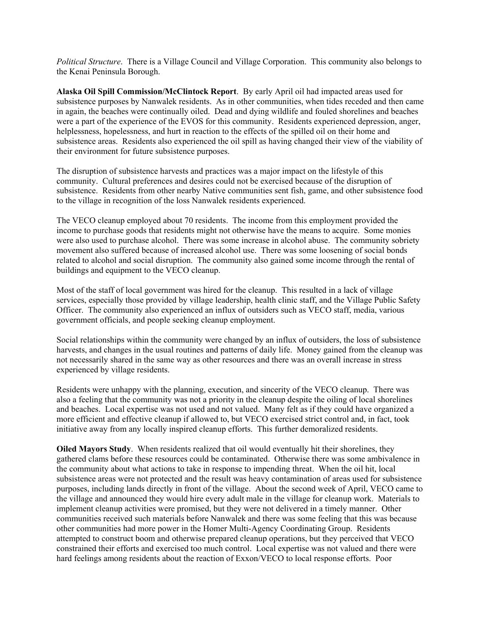*Political Structure*. There is a Village Council and Village Corporation. This community also belongs to the Kenai Peninsula Borough.

**Alaska Oil Spill Commission/McClintock Report**. By early April oil had impacted areas used for subsistence purposes by Nanwalek residents. As in other communities, when tides receded and then came in again, the beaches were continually oiled. Dead and dying wildlife and fouled shorelines and beaches were a part of the experience of the EVOS for this community. Residents experienced depression, anger, helplessness, hopelessness, and hurt in reaction to the effects of the spilled oil on their home and subsistence areas. Residents also experienced the oil spill as having changed their view of the viability of their environment for future subsistence purposes.

The disruption of subsistence harvests and practices was a major impact on the lifestyle of this community. Cultural preferences and desires could not be exercised because of the disruption of subsistence. Residents from other nearby Native communities sent fish, game, and other subsistence food to the village in recognition of the loss Nanwalek residents experienced.

The VECO cleanup employed about 70 residents. The income from this employment provided the income to purchase goods that residents might not otherwise have the means to acquire. Some monies were also used to purchase alcohol. There was some increase in alcohol abuse. The community sobriety movement also suffered because of increased alcohol use. There was some loosening of social bonds related to alcohol and social disruption. The community also gained some income through the rental of buildings and equipment to the VECO cleanup.

Most of the staff of local government was hired for the cleanup. This resulted in a lack of village services, especially those provided by village leadership, health clinic staff, and the Village Public Safety Officer. The community also experienced an influx of outsiders such as VECO staff, media, various government officials, and people seeking cleanup employment.

Social relationships within the community were changed by an influx of outsiders, the loss of subsistence harvests, and changes in the usual routines and patterns of daily life. Money gained from the cleanup was not necessarily shared in the same way as other resources and there was an overall increase in stress experienced by village residents.

Residents were unhappy with the planning, execution, and sincerity of the VECO cleanup. There was also a feeling that the community was not a priority in the cleanup despite the oiling of local shorelines and beaches. Local expertise was not used and not valued. Many felt as if they could have organized a more efficient and effective cleanup if allowed to, but VECO exercised strict control and, in fact, took initiative away from any locally inspired cleanup efforts. This further demoralized residents.

**Oiled Mayors Study**. When residents realized that oil would eventually hit their shorelines, they gathered clams before these resources could be contaminated. Otherwise there was some ambivalence in the community about what actions to take in response to impending threat. When the oil hit, local subsistence areas were not protected and the result was heavy contamination of areas used for subsistence purposes, including lands directly in front of the village. About the second week of April, VECO came to the village and announced they would hire every adult male in the village for cleanup work. Materials to implement cleanup activities were promised, but they were not delivered in a timely manner. Other communities received such materials before Nanwalek and there was some feeling that this was because other communities had more power in the Homer Multi-Agency Coordinating Group. Residents attempted to construct boom and otherwise prepared cleanup operations, but they perceived that VECO constrained their efforts and exercised too much control. Local expertise was not valued and there were hard feelings among residents about the reaction of Exxon/VECO to local response efforts. Poor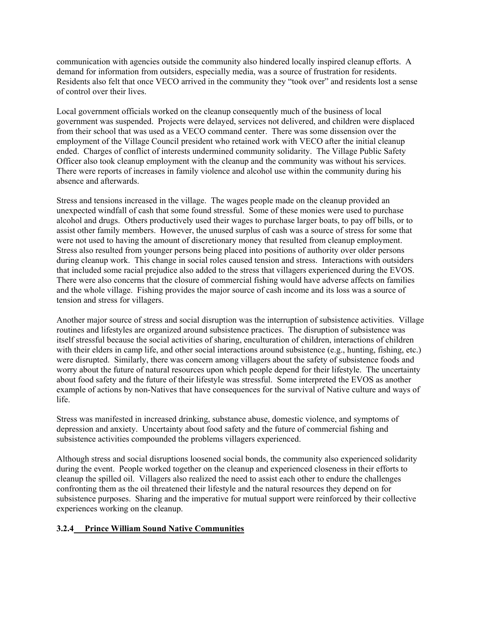communication with agencies outside the community also hindered locally inspired cleanup efforts. A demand for information from outsiders, especially media, was a source of frustration for residents. Residents also felt that once VECO arrived in the community they "took over" and residents lost a sense of control over their lives.

Local government officials worked on the cleanup consequently much of the business of local government was suspended. Projects were delayed, services not delivered, and children were displaced from their school that was used as a VECO command center. There was some dissension over the employment of the Village Council president who retained work with VECO after the initial cleanup ended. Charges of conflict of interests undermined community solidarity. The Village Public Safety Officer also took cleanup employment with the cleanup and the community was without his services. There were reports of increases in family violence and alcohol use within the community during his absence and afterwards.

Stress and tensions increased in the village. The wages people made on the cleanup provided an unexpected windfall of cash that some found stressful. Some of these monies were used to purchase alcohol and drugs. Others productively used their wages to purchase larger boats, to pay off bills, or to assist other family members. However, the unused surplus of cash was a source of stress for some that were not used to having the amount of discretionary money that resulted from cleanup employment. Stress also resulted from younger persons being placed into positions of authority over older persons during cleanup work. This change in social roles caused tension and stress. Interactions with outsiders that included some racial prejudice also added to the stress that villagers experienced during the EVOS. There were also concerns that the closure of commercial fishing would have adverse affects on families and the whole village. Fishing provides the major source of cash income and its loss was a source of tension and stress for villagers.

Another major source of stress and social disruption was the interruption of subsistence activities. Village routines and lifestyles are organized around subsistence practices. The disruption of subsistence was itself stressful because the social activities of sharing, enculturation of children, interactions of children with their elders in camp life, and other social interactions around subsistence (e.g., hunting, fishing, etc.) were disrupted. Similarly, there was concern among villagers about the safety of subsistence foods and worry about the future of natural resources upon which people depend for their lifestyle. The uncertainty about food safety and the future of their lifestyle was stressful. Some interpreted the EVOS as another example of actions by non-Natives that have consequences for the survival of Native culture and ways of life.

Stress was manifested in increased drinking, substance abuse, domestic violence, and symptoms of depression and anxiety. Uncertainty about food safety and the future of commercial fishing and subsistence activities compounded the problems villagers experienced.

Although stress and social disruptions loosened social bonds, the community also experienced solidarity during the event. People worked together on the cleanup and experienced closeness in their efforts to cleanup the spilled oil. Villagers also realized the need to assist each other to endure the challenges confronting them as the oil threatened their lifestyle and the natural resources they depend on for subsistence purposes. Sharing and the imperative for mutual support were reinforced by their collective experiences working on the cleanup.

### **3.2.4 Prince William Sound Native Communities**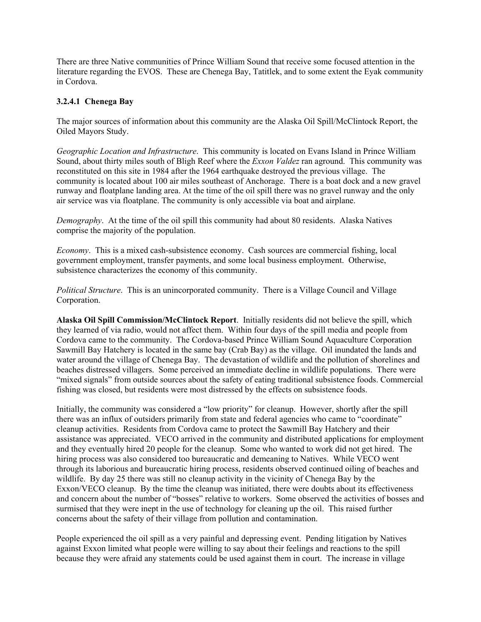There are three Native communities of Prince William Sound that receive some focused attention in the literature regarding the EVOS. These are Chenega Bay, Tatitlek, and to some extent the Eyak community in Cordova.

## **3.2.4.1 Chenega Bay**

The major sources of information about this community are the Alaska Oil Spill/McClintock Report, the Oiled Mayors Study.

*Geographic Location and Infrastructure*. This community is located on Evans Island in Prince William Sound, about thirty miles south of Bligh Reef where the *Exxon Valdez* ran aground. This community was reconstituted on this site in 1984 after the 1964 earthquake destroyed the previous village. The community is located about 100 air miles southeast of Anchorage. There is a boat dock and a new gravel runway and floatplane landing area. At the time of the oil spill there was no gravel runway and the only air service was via floatplane. The community is only accessible via boat and airplane.

*Demography*. At the time of the oil spill this community had about 80 residents. Alaska Natives comprise the majority of the population.

*Economy*. This is a mixed cash-subsistence economy. Cash sources are commercial fishing, local government employment, transfer payments, and some local business employment. Otherwise, subsistence characterizes the economy of this community.

*Political Structure*. This is an unincorporated community. There is a Village Council and Village Corporation.

**Alaska Oil Spill Commission/McClintock Report**. Initially residents did not believe the spill, which they learned of via radio, would not affect them. Within four days of the spill media and people from Cordova came to the community. The Cordova-based Prince William Sound Aquaculture Corporation Sawmill Bay Hatchery is located in the same bay (Crab Bay) as the village. Oil inundated the lands and water around the village of Chenega Bay. The devastation of wildlife and the pollution of shorelines and beaches distressed villagers. Some perceived an immediate decline in wildlife populations. There were "mixed signals" from outside sources about the safety of eating traditional subsistence foods. Commercial fishing was closed, but residents were most distressed by the effects on subsistence foods.

Initially, the community was considered a "low priority" for cleanup. However, shortly after the spill there was an influx of outsiders primarily from state and federal agencies who came to "coordinate" cleanup activities. Residents from Cordova came to protect the Sawmill Bay Hatchery and their assistance was appreciated. VECO arrived in the community and distributed applications for employment and they eventually hired 20 people for the cleanup. Some who wanted to work did not get hired. The hiring process was also considered too bureaucratic and demeaning to Natives. While VECO went through its laborious and bureaucratic hiring process, residents observed continued oiling of beaches and wildlife. By day 25 there was still no cleanup activity in the vicinity of Chenega Bay by the Exxon/VECO cleanup. By the time the cleanup was initiated, there were doubts about its effectiveness and concern about the number of "bosses" relative to workers. Some observed the activities of bosses and surmised that they were inept in the use of technology for cleaning up the oil. This raised further concerns about the safety of their village from pollution and contamination.

People experienced the oil spill as a very painful and depressing event. Pending litigation by Natives against Exxon limited what people were willing to say about their feelings and reactions to the spill because they were afraid any statements could be used against them in court. The increase in village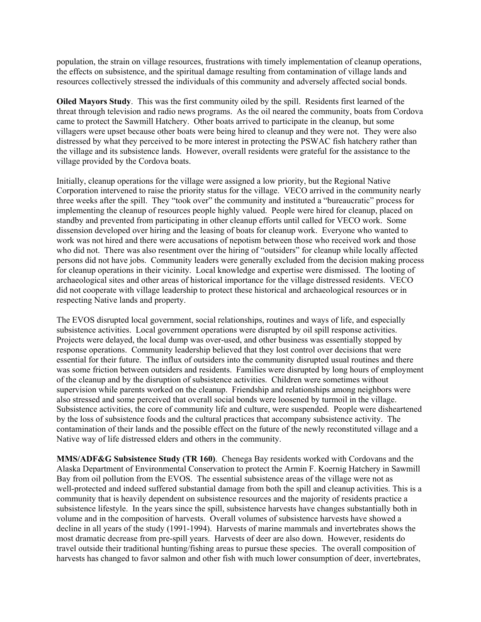population, the strain on village resources, frustrations with timely implementation of cleanup operations, the effects on subsistence, and the spiritual damage resulting from contamination of village lands and resources collectively stressed the individuals of this community and adversely affected social bonds.

**Oiled Mayors Study**. This was the first community oiled by the spill. Residents first learned of the threat through television and radio news programs. As the oil neared the community, boats from Cordova came to protect the Sawmill Hatchery. Other boats arrived to participate in the cleanup, but some villagers were upset because other boats were being hired to cleanup and they were not. They were also distressed by what they perceived to be more interest in protecting the PSWAC fish hatchery rather than the village and its subsistence lands. However, overall residents were grateful for the assistance to the village provided by the Cordova boats.

Initially, cleanup operations for the village were assigned a low priority, but the Regional Native Corporation intervened to raise the priority status for the village. VECO arrived in the community nearly three weeks after the spill. They "took over" the community and instituted a "bureaucratic" process for implementing the cleanup of resources people highly valued. People were hired for cleanup, placed on standby and prevented from participating in other cleanup efforts until called for VECO work. Some dissension developed over hiring and the leasing of boats for cleanup work. Everyone who wanted to work was not hired and there were accusations of nepotism between those who received work and those who did not. There was also resentment over the hiring of "outsiders" for cleanup while locally affected persons did not have jobs. Community leaders were generally excluded from the decision making process for cleanup operations in their vicinity. Local knowledge and expertise were dismissed. The looting of archaeological sites and other areas of historical importance for the village distressed residents. VECO did not cooperate with village leadership to protect these historical and archaeological resources or in respecting Native lands and property.

The EVOS disrupted local government, social relationships, routines and ways of life, and especially subsistence activities. Local government operations were disrupted by oil spill response activities. Projects were delayed, the local dump was over-used, and other business was essentially stopped by response operations. Community leadership believed that they lost control over decisions that were essential for their future. The influx of outsiders into the community disrupted usual routines and there was some friction between outsiders and residents. Families were disrupted by long hours of employment of the cleanup and by the disruption of subsistence activities. Children were sometimes without supervision while parents worked on the cleanup. Friendship and relationships among neighbors were also stressed and some perceived that overall social bonds were loosened by turmoil in the village. Subsistence activities, the core of community life and culture, were suspended. People were disheartened by the loss of subsistence foods and the cultural practices that accompany subsistence activity. The contamination of their lands and the possible effect on the future of the newly reconstituted village and a Native way of life distressed elders and others in the community.

**MMS/ADF&G Subsistence Study (TR 160)**. Chenega Bay residents worked with Cordovans and the Alaska Department of Environmental Conservation to protect the Armin F. Koernig Hatchery in Sawmill Bay from oil pollution from the EVOS. The essential subsistence areas of the village were not as well-protected and indeed suffered substantial damage from both the spill and cleanup activities. This is a community that is heavily dependent on subsistence resources and the majority of residents practice a subsistence lifestyle. In the years since the spill, subsistence harvests have changes substantially both in volume and in the composition of harvests. Overall volumes of subsistence harvests have showed a decline in all years of the study (1991-1994). Harvests of marine mammals and invertebrates shows the most dramatic decrease from pre-spill years. Harvests of deer are also down. However, residents do travel outside their traditional hunting/fishing areas to pursue these species. The overall composition of harvests has changed to favor salmon and other fish with much lower consumption of deer, invertebrates,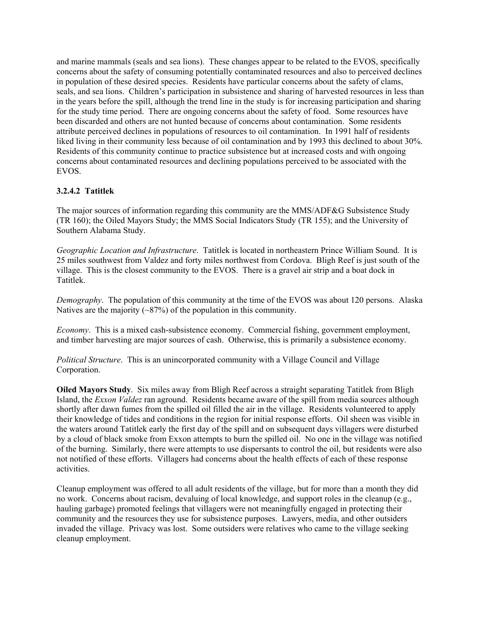and marine mammals (seals and sea lions). These changes appear to be related to the EVOS, specifically concerns about the safety of consuming potentially contaminated resources and also to perceived declines in population of these desired species. Residents have particular concerns about the safety of clams, seals, and sea lions. Children's participation in subsistence and sharing of harvested resources in less than in the years before the spill, although the trend line in the study is for increasing participation and sharing for the study time period. There are ongoing concerns about the safety of food. Some resources have been discarded and others are not hunted because of concerns about contamination. Some residents attribute perceived declines in populations of resources to oil contamination. In 1991 half of residents liked living in their community less because of oil contamination and by 1993 this declined to about 30%. Residents of this community continue to practice subsistence but at increased costs and with ongoing concerns about contaminated resources and declining populations perceived to be associated with the EVOS.

# **3.2.4.2 Tatitlek**

The major sources of information regarding this community are the MMS/ADF&G Subsistence Study (TR 160); the Oiled Mayors Study; the MMS Social Indicators Study (TR 155); and the University of Southern Alabama Study.

*Geographic Location and Infrastructure*. Tatitlek is located in northeastern Prince William Sound. It is 25 miles southwest from Valdez and forty miles northwest from Cordova. Bligh Reef is just south of the village. This is the closest community to the EVOS. There is a gravel air strip and a boat dock in Tatitlek.

*Demography*. The population of this community at the time of the EVOS was about 120 persons. Alaska Natives are the majority  $(\sim 87\%)$  of the population in this community.

*Economy*. This is a mixed cash-subsistence economy. Commercial fishing, government employment, and timber harvesting are major sources of cash. Otherwise, this is primarily a subsistence economy.

*Political Structure*. This is an unincorporated community with a Village Council and Village Corporation.

**Oiled Mayors Study**. Six miles away from Bligh Reef across a straight separating Tatitlek from Bligh Island, the *Exxon Valdez* ran aground. Residents became aware of the spill from media sources although shortly after dawn fumes from the spilled oil filled the air in the village. Residents volunteered to apply their knowledge of tides and conditions in the region for initial response efforts. Oil sheen was visible in the waters around Tatitlek early the first day of the spill and on subsequent days villagers were disturbed by a cloud of black smoke from Exxon attempts to burn the spilled oil. No one in the village was notified of the burning. Similarly, there were attempts to use dispersants to control the oil, but residents were also not notified of these efforts. Villagers had concerns about the health effects of each of these response activities.

Cleanup employment was offered to all adult residents of the village, but for more than a month they did no work. Concerns about racism, devaluing of local knowledge, and support roles in the cleanup (e.g., hauling garbage) promoted feelings that villagers were not meaningfully engaged in protecting their community and the resources they use for subsistence purposes. Lawyers, media, and other outsiders invaded the village. Privacy was lost. Some outsiders were relatives who came to the village seeking cleanup employment.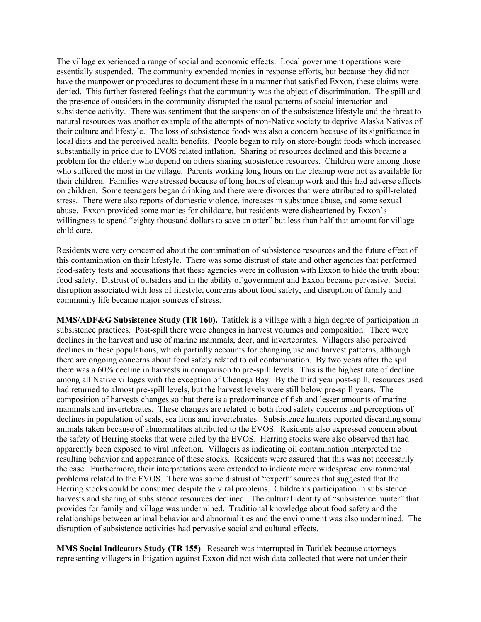The village experienced a range of social and economic effects. Local government operations were essentially suspended. The community expended monies in response efforts, but because they did not have the manpower or procedures to document these in a manner that satisfied Exxon, these claims were denied. This further fostered feelings that the community was the object of discrimination. The spill and the presence of outsiders in the community disrupted the usual patterns of social interaction and subsistence activity. There was sentiment that the suspension of the subsistence lifestyle and the threat to natural resources was another example of the attempts of non-Native society to deprive Alaska Natives of their culture and lifestyle. The loss of subsistence foods was also a concern because of its significance in local diets and the perceived health benefits. People began to rely on store-bought foods which increased substantially in price due to EVOS related inflation. Sharing of resources declined and this became a problem for the elderly who depend on others sharing subsistence resources. Children were among those who suffered the most in the village. Parents working long hours on the cleanup were not as available for their children. Families were stressed because of long hours of cleanup work and this had adverse affects on children. Some teenagers began drinking and there were divorces that were attributed to spill-related stress. There were also reports of domestic violence, increases in substance abuse, and some sexual abuse. Exxon provided some monies for childcare, but residents were disheartened by Exxon's willingness to spend "eighty thousand dollars to save an otter" but less than half that amount for village child care.

Residents were very concerned about the contamination of subsistence resources and the future effect of this contamination on their lifestyle. There was some distrust of state and other agencies that performed food-safety tests and accusations that these agencies were in collusion with Exxon to hide the truth about food safety. Distrust of outsiders and in the ability of government and Exxon became pervasive. Social disruption associated with loss of lifestyle, concerns about food safety, and disruption of family and community life became major sources of stress.

**MMS/ADF&G Subsistence Study (TR 160).** Tatitlek is a village with a high degree of participation in subsistence practices. Post-spill there were changes in harvest volumes and composition. There were declines in the harvest and use of marine mammals, deer, and invertebrates. Villagers also perceived declines in these populations, which partially accounts for changing use and harvest patterns, although there are ongoing concerns about food safety related to oil contamination. By two years after the spill there was a 60% decline in harvests in comparison to pre-spill levels. This is the highest rate of decline among all Native villages with the exception of Chenega Bay. By the third year post-spill, resources used had returned to almost pre-spill levels, but the harvest levels were still below pre-spill years. The composition of harvests changes so that there is a predominance of fish and lesser amounts of marine mammals and invertebrates. These changes are related to both food safety concerns and perceptions of declines in population of seals, sea lions and invertebrates. Subsistence hunters reported discarding some animals taken because of abnormalities attributed to the EVOS. Residents also expressed concern about the safety of Herring stocks that were oiled by the EVOS. Herring stocks were also observed that had apparently been exposed to viral infection. Villagers as indicating oil contamination interpreted the resulting behavior and appearance of these stocks. Residents were assured that this was not necessarily the case. Furthermore, their interpretations were extended to indicate more widespread environmental problems related to the EVOS. There was some distrust of "expert" sources that suggested that the Herring stocks could be consumed despite the viral problems. Children's participation in subsistence harvests and sharing of subsistence resources declined. The cultural identity of "subsistence hunter" that provides for family and village was undermined. Traditional knowledge about food safety and the relationships between animal behavior and abnormalities and the environment was also undermined. The disruption of subsistence activities had pervasive social and cultural effects.

**MMS Social Indicators Study (TR 155)**. Research was interrupted in Tatitlek because attorneys representing villagers in litigation against Exxon did not wish data collected that were not under their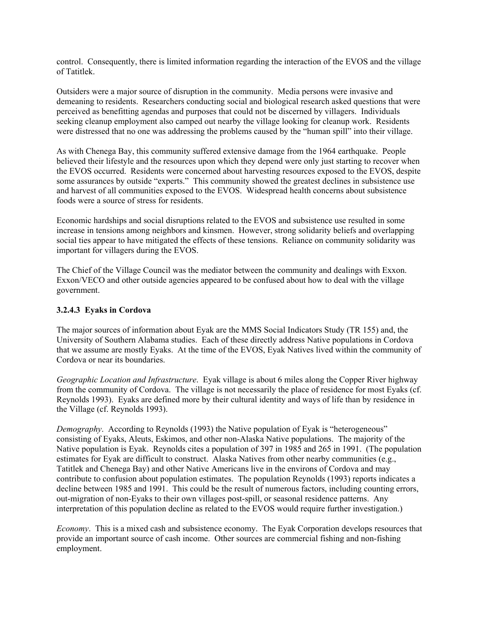control. Consequently, there is limited information regarding the interaction of the EVOS and the village of Tatitlek.

Outsiders were a major source of disruption in the community. Media persons were invasive and demeaning to residents. Researchers conducting social and biological research asked questions that were perceived as benefitting agendas and purposes that could not be discerned by villagers. Individuals seeking cleanup employment also camped out nearby the village looking for cleanup work. Residents were distressed that no one was addressing the problems caused by the "human spill" into their village.

As with Chenega Bay, this community suffered extensive damage from the 1964 earthquake. People believed their lifestyle and the resources upon which they depend were only just starting to recover when the EVOS occurred. Residents were concerned about harvesting resources exposed to the EVOS, despite some assurances by outside "experts." This community showed the greatest declines in subsistence use and harvest of all communities exposed to the EVOS. Widespread health concerns about subsistence foods were a source of stress for residents.

Economic hardships and social disruptions related to the EVOS and subsistence use resulted in some increase in tensions among neighbors and kinsmen. However, strong solidarity beliefs and overlapping social ties appear to have mitigated the effects of these tensions. Reliance on community solidarity was important for villagers during the EVOS.

The Chief of the Village Council was the mediator between the community and dealings with Exxon. Exxon/VECO and other outside agencies appeared to be confused about how to deal with the village government.

### **3.2.4.3 Eyaks in Cordova**

The major sources of information about Eyak are the MMS Social Indicators Study (TR 155) and, the University of Southern Alabama studies. Each of these directly address Native populations in Cordova that we assume are mostly Eyaks. At the time of the EVOS, Eyak Natives lived within the community of Cordova or near its boundaries.

*Geographic Location and Infrastructure*. Eyak village is about 6 miles along the Copper River highway from the community of Cordova. The village is not necessarily the place of residence for most Eyaks (cf. Reynolds 1993). Eyaks are defined more by their cultural identity and ways of life than by residence in the Village (cf. Reynolds 1993).

*Demography.* According to Reynolds (1993) the Native population of Eyak is "heterogeneous" consisting of Eyaks, Aleuts, Eskimos, and other non-Alaska Native populations. The majority of the Native population is Eyak. Reynolds cites a population of 397 in 1985 and 265 in 1991. (The population estimates for Eyak are difficult to construct. Alaska Natives from other nearby communities (e.g., Tatitlek and Chenega Bay) and other Native Americans live in the environs of Cordova and may contribute to confusion about population estimates. The population Reynolds (1993) reports indicates a decline between 1985 and 1991. This could be the result of numerous factors, including counting errors, out-migration of non-Eyaks to their own villages post-spill, or seasonal residence patterns. Any interpretation of this population decline as related to the EVOS would require further investigation.)

*Economy*. This is a mixed cash and subsistence economy. The Eyak Corporation develops resources that provide an important source of cash income. Other sources are commercial fishing and non-fishing employment.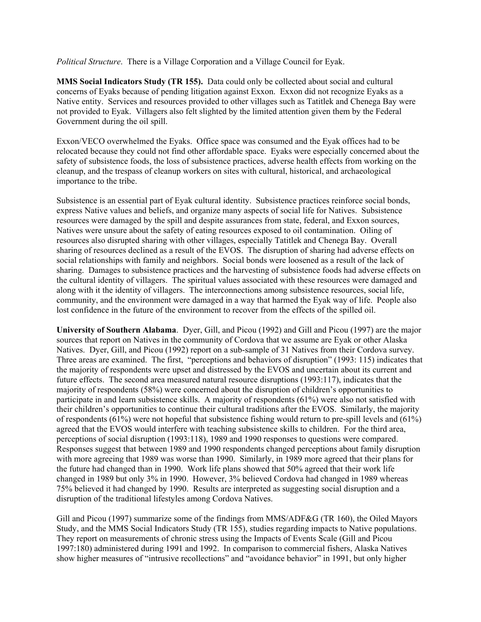*Political Structure*. There is a Village Corporation and a Village Council for Eyak.

**MMS Social Indicators Study (TR 155).** Data could only be collected about social and cultural concerns of Eyaks because of pending litigation against Exxon. Exxon did not recognize Eyaks as a Native entity. Services and resources provided to other villages such as Tatitlek and Chenega Bay were not provided to Eyak. Villagers also felt slighted by the limited attention given them by the Federal Government during the oil spill.

Exxon/VECO overwhelmed the Eyaks. Office space was consumed and the Eyak offices had to be relocated because they could not find other affordable space. Eyaks were especially concerned about the safety of subsistence foods, the loss of subsistence practices, adverse health effects from working on the cleanup, and the trespass of cleanup workers on sites with cultural, historical, and archaeological importance to the tribe.

Subsistence is an essential part of Eyak cultural identity. Subsistence practices reinforce social bonds, express Native values and beliefs, and organize many aspects of social life for Natives. Subsistence resources were damaged by the spill and despite assurances from state, federal, and Exxon sources, Natives were unsure about the safety of eating resources exposed to oil contamination. Oiling of resources also disrupted sharing with other villages, especially Tatitlek and Chenega Bay. Overall sharing of resources declined as a result of the EVOS. The disruption of sharing had adverse effects on social relationships with family and neighbors. Social bonds were loosened as a result of the lack of sharing. Damages to subsistence practices and the harvesting of subsistence foods had adverse effects on the cultural identity of villagers. The spiritual values associated with these resources were damaged and along with it the identity of villagers. The interconnections among subsistence resources, social life, community, and the environment were damaged in a way that harmed the Eyak way of life. People also lost confidence in the future of the environment to recover from the effects of the spilled oil.

**University of Southern Alabama**. Dyer, Gill, and Picou (1992) and Gill and Picou (1997) are the major sources that report on Natives in the community of Cordova that we assume are Eyak or other Alaska Natives. Dyer, Gill, and Picou (1992) report on a sub-sample of 31 Natives from their Cordova survey. Three areas are examined. The first, "perceptions and behaviors of disruption" (1993: 115) indicates that the majority of respondents were upset and distressed by the EVOS and uncertain about its current and future effects. The second area measured natural resource disruptions (1993:117), indicates that the majority of respondents (58%) were concerned about the disruption of children's opportunities to participate in and learn subsistence skills. A majority of respondents (61%) were also not satisfied with their children's opportunities to continue their cultural traditions after the EVOS. Similarly, the majority of respondents (61%) were not hopeful that subsistence fishing would return to pre-spill levels and (61%) agreed that the EVOS would interfere with teaching subsistence skills to children. For the third area, perceptions of social disruption (1993:118), 1989 and 1990 responses to questions were compared. Responses suggest that between 1989 and 1990 respondents changed perceptions about family disruption with more agreeing that 1989 was worse than 1990. Similarly, in 1989 more agreed that their plans for the future had changed than in 1990. Work life plans showed that 50% agreed that their work life changed in 1989 but only 3% in 1990. However, 3% believed Cordova had changed in 1989 whereas 75% believed it had changed by 1990. Results are interpreted as suggesting social disruption and a disruption of the traditional lifestyles among Cordova Natives.

Gill and Picou (1997) summarize some of the findings from MMS/ADF&G (TR 160), the Oiled Mayors Study, and the MMS Social Indicators Study (TR 155), studies regarding impacts to Native populations. They report on measurements of chronic stress using the Impacts of Events Scale (Gill and Picou 1997:180) administered during 1991 and 1992. In comparison to commercial fishers, Alaska Natives show higher measures of "intrusive recollections" and "avoidance behavior" in 1991, but only higher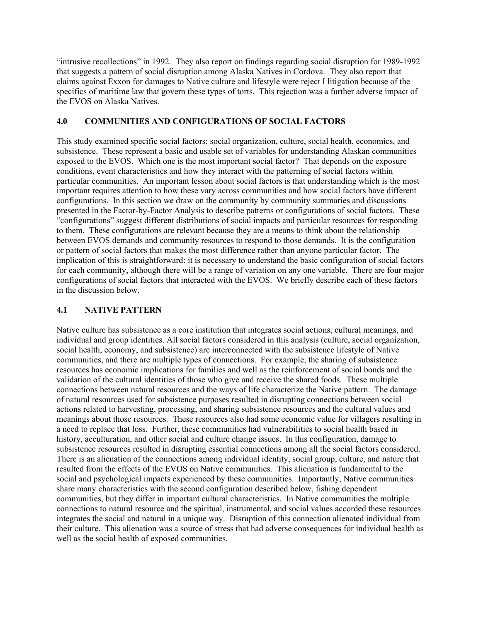"intrusive recollections" in 1992. They also report on findings regarding social disruption for 1989-1992 that suggests a pattern of social disruption among Alaska Natives in Cordova. They also report that claims against Exxon for damages to Native culture and lifestyle were reject I litigation because of the specifics of maritime law that govern these types of torts. This rejection was a further adverse impact of the EVOS on Alaska Natives.

### **4.0 COMMUNITIES AND CONFIGURATIONS OF SOCIAL FACTORS**

This study examined specific social factors: social organization, culture, social health, economics, and subsistence. These represent a basic and usable set of variables for understanding Alaskan communities exposed to the EVOS. Which one is the most important social factor? That depends on the exposure conditions, event characteristics and how they interact with the patterning of social factors within particular communities. An important lesson about social factors is that understanding which is the most important requires attention to how these vary across communities and how social factors have different configurations. In this section we draw on the community by community summaries and discussions presented in the Factor-by-Factor Analysis to describe patterns or configurations of social factors. These "configurations" suggest different distributions of social impacts and particular resources for responding to them. These configurations are relevant because they are a means to think about the relationship between EVOS demands and community resources to respond to those demands. It is the configuration or pattern of social factors that makes the most difference rather than anyone particular factor. The implication of this is straightforward: it is necessary to understand the basic configuration of social factors for each community, although there will be a range of variation on any one variable. There are four major configurations of social factors that interacted with the EVOS. We briefly describe each of these factors in the discussion below.

# **4.1 NATIVE PATTERN**

Native culture has subsistence as a core institution that integrates social actions, cultural meanings, and individual and group identities. All social factors considered in this analysis (culture, social organization, social health, economy, and subsistence) are interconnected with the subsistence lifestyle of Native communities, and there are multiple types of connections. For example, the sharing of subsistence resources has economic implications for families and well as the reinforcement of social bonds and the validation of the cultural identities of those who give and receive the shared foods. These multiple connections between natural resources and the ways of life characterize the Native pattern. The damage of natural resources used for subsistence purposes resulted in disrupting connections between social actions related to harvesting, processing, and sharing subsistence resources and the cultural values and meanings about those resources. These resources also had some economic value for villagers resulting in a need to replace that loss. Further, these communities had vulnerabilities to social health based in history, acculturation, and other social and culture change issues. In this configuration, damage to subsistence resources resulted in disrupting essential connections among all the social factors considered. There is an alienation of the connections among individual identity, social group, culture, and nature that resulted from the effects of the EVOS on Native communities. This alienation is fundamental to the social and psychological impacts experienced by these communities. Importantly, Native communities share many characteristics with the second configuration described below, fishing dependent communities, but they differ in important cultural characteristics. In Native communities the multiple connections to natural resource and the spiritual, instrumental, and social values accorded these resources integrates the social and natural in a unique way. Disruption of this connection alienated individual from their culture. This alienation was a source of stress that had adverse consequences for individual health as well as the social health of exposed communities.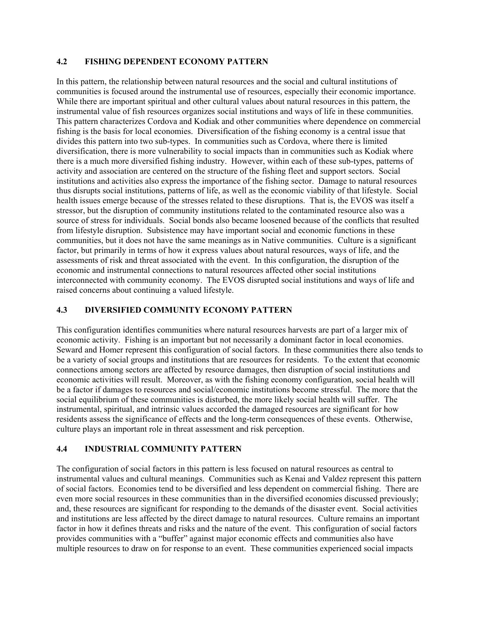### **4.2 FISHING DEPENDENT ECONOMY PATTERN**

In this pattern, the relationship between natural resources and the social and cultural institutions of communities is focused around the instrumental use of resources, especially their economic importance. While there are important spiritual and other cultural values about natural resources in this pattern, the instrumental value of fish resources organizes social institutions and ways of life in these communities. This pattern characterizes Cordova and Kodiak and other communities where dependence on commercial fishing is the basis for local economies. Diversification of the fishing economy is a central issue that divides this pattern into two sub-types. In communities such as Cordova, where there is limited diversification, there is more vulnerability to social impacts than in communities such as Kodiak where there is a much more diversified fishing industry. However, within each of these sub-types, patterns of activity and association are centered on the structure of the fishing fleet and support sectors. Social institutions and activities also express the importance of the fishing sector. Damage to natural resources thus disrupts social institutions, patterns of life, as well as the economic viability of that lifestyle. Social health issues emerge because of the stresses related to these disruptions. That is, the EVOS was itself a stressor, but the disruption of community institutions related to the contaminated resource also was a source of stress for individuals. Social bonds also became loosened because of the conflicts that resulted from lifestyle disruption. Subsistence may have important social and economic functions in these communities, but it does not have the same meanings as in Native communities. Culture is a significant factor, but primarily in terms of how it express values about natural resources, ways of life, and the assessments of risk and threat associated with the event. In this configuration, the disruption of the economic and instrumental connections to natural resources affected other social institutions interconnected with community economy. The EVOS disrupted social institutions and ways of life and raised concerns about continuing a valued lifestyle.

# **4.3 DIVERSIFIED COMMUNITY ECONOMY PATTERN**

This configuration identifies communities where natural resources harvests are part of a larger mix of economic activity. Fishing is an important but not necessarily a dominant factor in local economies. Seward and Homer represent this configuration of social factors. In these communities there also tends to be a variety of social groups and institutions that are resources for residents. To the extent that economic connections among sectors are affected by resource damages, then disruption of social institutions and economic activities will result. Moreover, as with the fishing economy configuration, social health will be a factor if damages to resources and social/economic institutions become stressful. The more that the social equilibrium of these communities is disturbed, the more likely social health will suffer. The instrumental, spiritual, and intrinsic values accorded the damaged resources are significant for how residents assess the significance of effects and the long-term consequences of these events. Otherwise, culture plays an important role in threat assessment and risk perception.

# **4.4 INDUSTRIAL COMMUNITY PATTERN**

The configuration of social factors in this pattern is less focused on natural resources as central to instrumental values and cultural meanings. Communities such as Kenai and Valdez represent this pattern of social factors. Economies tend to be diversified and less dependent on commercial fishing. There are even more social resources in these communities than in the diversified economies discussed previously; and, these resources are significant for responding to the demands of the disaster event. Social activities and institutions are less affected by the direct damage to natural resources. Culture remains an important factor in how it defines threats and risks and the nature of the event. This configuration of social factors provides communities with a "buffer" against major economic effects and communities also have multiple resources to draw on for response to an event. These communities experienced social impacts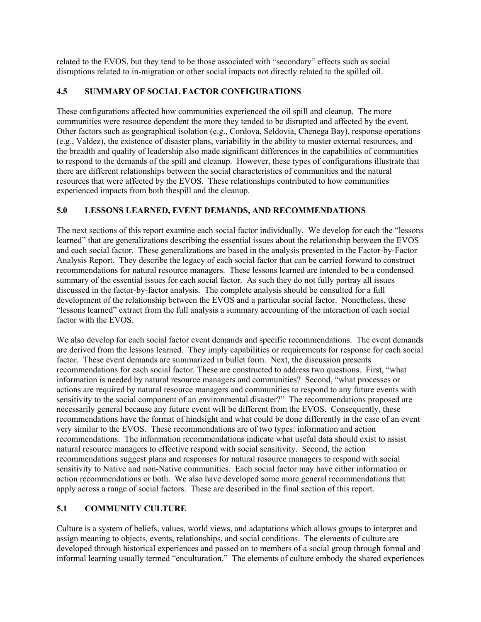related to the EVOS, but they tend to be those associated with "secondary" effects such as social disruptions related to in-migration or other social impacts not directly related to the spilled oil.

# **4.5 SUMMARY OF SOCIAL FACTOR CONFIGURATIONS**

These configurations affected how communities experienced the oil spill and cleanup. The more communities were resource dependent the more they tended to be disrupted and affected by the event. Other factors such as geographical isolation (e.g., Cordova, Seldovia, Chenega Bay), response operations (e.g., Valdez), the existence of disaster plans, variability in the ability to muster external resources, and the breadth and quality of leadership also made significant differences in the capabilities of communities to respond to the demands of the spill and cleanup. However, these types of configurations illustrate that there are different relationships between the social characteristics of communities and the natural resources that were affected by the EVOS. These relationships contributed to how communities experienced impacts from both thespill and the cleanup.

# **5.0 LESSONS LEARNED, EVENT DEMANDS, AND RECOMMENDATIONS**

The next sections of this report examine each social factor individually. We develop for each the "lessons learned" that are generalizations describing the essential issues about the relationship between the EVOS and each social factor. These generalizations are based in the analysis presented in the Factor-by-Factor Analysis Report. They describe the legacy of each social factor that can be carried forward to construct recommendations for natural resource managers. These lessons learned are intended to be a condensed summary of the essential issues for each social factor. As such they do not fully portray all issues discussed in the factor-by-factor analysis. The complete analysis should be consulted for a full development of the relationship between the EVOS and a particular social factor. Nonetheless, these "lessons learned" extract from the full analysis a summary accounting of the interaction of each social factor with the EVOS.

We also develop for each social factor event demands and specific recommendations. The event demands are derived from the lessons learned. They imply capabilities or requirements for response for each social factor. These event demands are summarized in bullet form. Next, the discussion presents recommendations for each social factor. These are constructed to address two questions. First, "what information is needed by natural resource managers and communities? Second, "what processes or actions are required by natural resource managers and communities to respond to any future events with sensitivity to the social component of an environmental disaster?" The recommendations proposed are necessarily general because any future event will be different from the EVOS. Consequently, these recommendations have the format of hindsight and what could be done differently in the case of an event very similar to the EVOS. These recommendations are of two types: information and action recommendations. The information recommendations indicate what useful data should exist to assist natural resource managers to effective respond with social sensitivity. Second, the action recommendations suggest plans and responses for natural resource managers to respond with social sensitivity to Native and non-Native communities. Each social factor may have either information or action recommendations or both. We also have developed some more general recommendations that apply across a range of social factors. These are described in the final section of this report.

# **5.1 COMMUNITY CULTURE**

Culture is a system of beliefs, values, world views, and adaptations which allows groups to interpret and assign meaning to objects, events, relationships, and social conditions. The elements of culture are developed through historical experiences and passed on to members of a social group through formal and informal learning usually termed "enculturation." The elements of culture embody the shared experiences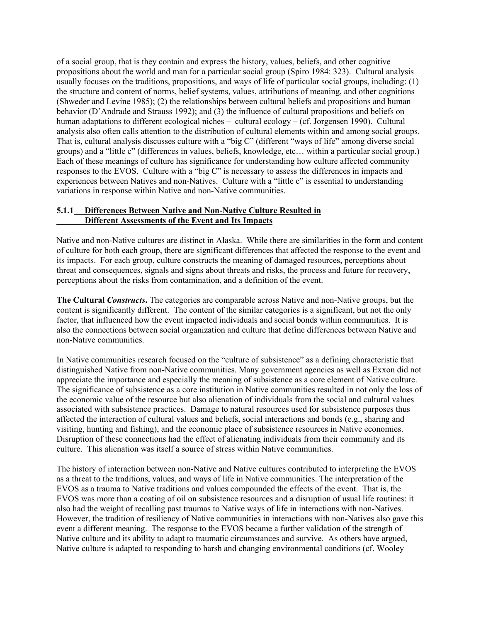of a social group, that is they contain and express the history, values, beliefs, and other cognitive propositions about the world and man for a particular social group (Spiro 1984: 323). Cultural analysis usually focuses on the traditions, propositions, and ways of life of particular social groups, including: (1) the structure and content of norms, belief systems, values, attributions of meaning, and other cognitions (Shweder and Levine 1985); (2) the relationships between cultural beliefs and propositions and human behavior (D'Andrade and Strauss 1992); and (3) the influence of cultural propositions and beliefs on human adaptations to different ecological niches – cultural ecology – (cf. Jorgensen 1990). Cultural analysis also often calls attention to the distribution of cultural elements within and among social groups. That is, cultural analysis discusses culture with a "big C" (different "ways of life" among diverse social groups) and a "little c" (differences in values, beliefs, knowledge, etc… within a particular social group.) Each of these meanings of culture has significance for understanding how culture affected community responses to the EVOS. Culture with a "big C" is necessary to assess the differences in impacts and experiences between Natives and non-Natives. Culture with a "little c" is essential to understanding variations in response within Native and non-Native communities.

## **5.1.1 Differences Between Native and Non-Native Culture Resulted in Different Assessments of the Event and Its Impacts**

Native and non-Native cultures are distinct in Alaska. While there are similarities in the form and content of culture for both each group, there are significant differences that affected the response to the event and its impacts. For each group, culture constructs the meaning of damaged resources, perceptions about threat and consequences, signals and signs about threats and risks, the process and future for recovery, perceptions about the risks from contamination, and a definition of the event.

**The Cultural** *Constructs***.** The categories are comparable across Native and non-Native groups, but the content is significantly different. The content of the similar categories is a significant, but not the only factor, that influenced how the event impacted individuals and social bonds within communities. It is also the connections between social organization and culture that define differences between Native and non-Native communities.

In Native communities research focused on the "culture of subsistence" as a defining characteristic that distinguished Native from non-Native communities. Many government agencies as well as Exxon did not appreciate the importance and especially the meaning of subsistence as a core element of Native culture. The significance of subsistence as a core institution in Native communities resulted in not only the loss of the economic value of the resource but also alienation of individuals from the social and cultural values associated with subsistence practices. Damage to natural resources used for subsistence purposes thus affected the interaction of cultural values and beliefs, social interactions and bonds (e.g., sharing and visiting, hunting and fishing), and the economic place of subsistence resources in Native economies. Disruption of these connections had the effect of alienating individuals from their community and its culture. This alienation was itself a source of stress within Native communities.

The history of interaction between non-Native and Native cultures contributed to interpreting the EVOS as a threat to the traditions, values, and ways of life in Native communities. The interpretation of the EVOS as a trauma to Native traditions and values compounded the effects of the event. That is, the EVOS was more than a coating of oil on subsistence resources and a disruption of usual life routines: it also had the weight of recalling past traumas to Native ways of life in interactions with non-Natives. However, the tradition of resiliency of Native communities in interactions with non-Natives also gave this event a different meaning. The response to the EVOS became a further validation of the strength of Native culture and its ability to adapt to traumatic circumstances and survive. As others have argued, Native culture is adapted to responding to harsh and changing environmental conditions (cf. Wooley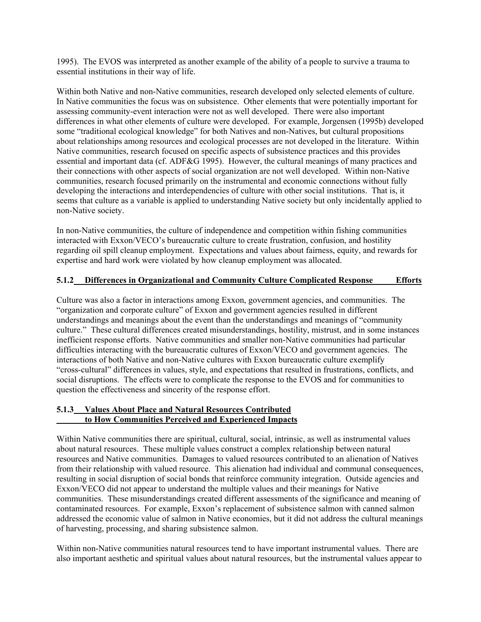1995). The EVOS was interpreted as another example of the ability of a people to survive a trauma to essential institutions in their way of life.

Within both Native and non-Native communities, research developed only selected elements of culture. In Native communities the focus was on subsistence. Other elements that were potentially important for assessing community-event interaction were not as well developed. There were also important differences in what other elements of culture were developed. For example, Jorgensen (1995b) developed some "traditional ecological knowledge" for both Natives and non-Natives, but cultural propositions about relationships among resources and ecological processes are not developed in the literature. Within Native communities, research focused on specific aspects of subsistence practices and this provides essential and important data (cf. ADF&G 1995). However, the cultural meanings of many practices and their connections with other aspects of social organization are not well developed. Within non-Native communities, research focused primarily on the instrumental and economic connections without fully developing the interactions and interdependencies of culture with other social institutions. That is, it seems that culture as a variable is applied to understanding Native society but only incidentally applied to non-Native society.

In non-Native communities, the culture of independence and competition within fishing communities interacted with Exxon/VECO's bureaucratic culture to create frustration, confusion, and hostility regarding oil spill cleanup employment. Expectations and values about fairness, equity, and rewards for expertise and hard work were violated by how cleanup employment was allocated.

# **5.1.2 Differences in Organizational and Community Culture Complicated Response Efforts**

Culture was also a factor in interactions among Exxon, government agencies, and communities. The "organization and corporate culture" of Exxon and government agencies resulted in different understandings and meanings about the event than the understandings and meanings of "community culture." These cultural differences created misunderstandings, hostility, mistrust, and in some instances inefficient response efforts. Native communities and smaller non-Native communities had particular difficulties interacting with the bureaucratic cultures of Exxon/VECO and government agencies. The interactions of both Native and non-Native cultures with Exxon bureaucratic culture exemplify "cross-cultural" differences in values, style, and expectations that resulted in frustrations, conflicts, and social disruptions. The effects were to complicate the response to the EVOS and for communities to question the effectiveness and sincerity of the response effort.

#### **5.1.3 Values About Place and Natural Resources Contributed to How Communities Perceived and Experienced Impacts**

Within Native communities there are spiritual, cultural, social, intrinsic, as well as instrumental values about natural resources. These multiple values construct a complex relationship between natural resources and Native communities. Damages to valued resources contributed to an alienation of Natives from their relationship with valued resource. This alienation had individual and communal consequences, resulting in social disruption of social bonds that reinforce community integration. Outside agencies and Exxon/VECO did not appear to understand the multiple values and their meanings for Native communities. These misunderstandings created different assessments of the significance and meaning of contaminated resources. For example, Exxon's replacement of subsistence salmon with canned salmon addressed the economic value of salmon in Native economies, but it did not address the cultural meanings of harvesting, processing, and sharing subsistence salmon.

Within non-Native communities natural resources tend to have important instrumental values. There are also important aesthetic and spiritual values about natural resources, but the instrumental values appear to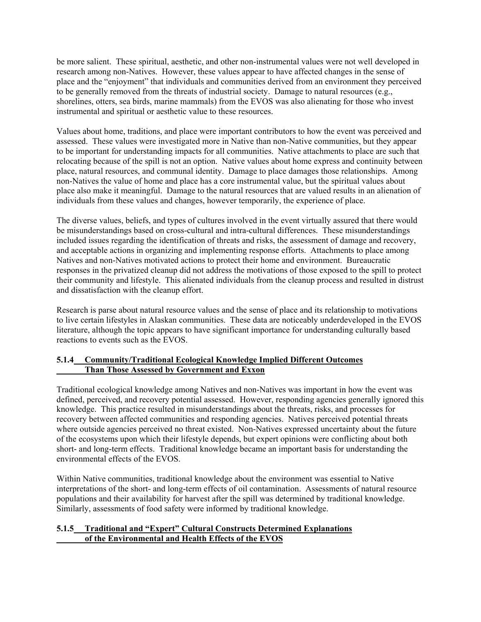be more salient. These spiritual, aesthetic, and other non-instrumental values were not well developed in research among non-Natives. However, these values appear to have affected changes in the sense of place and the "enjoyment" that individuals and communities derived from an environment they perceived to be generally removed from the threats of industrial society. Damage to natural resources (e.g., shorelines, otters, sea birds, marine mammals) from the EVOS was also alienating for those who invest instrumental and spiritual or aesthetic value to these resources.

Values about home, traditions, and place were important contributors to how the event was perceived and assessed. These values were investigated more in Native than non-Native communities, but they appear to be important for understanding impacts for all communities. Native attachments to place are such that relocating because of the spill is not an option. Native values about home express and continuity between place, natural resources, and communal identity. Damage to place damages those relationships. Among non-Natives the value of home and place has a core instrumental value, but the spiritual values about place also make it meaningful. Damage to the natural resources that are valued results in an alienation of individuals from these values and changes, however temporarily, the experience of place.

The diverse values, beliefs, and types of cultures involved in the event virtually assured that there would be misunderstandings based on cross-cultural and intra-cultural differences. These misunderstandings included issues regarding the identification of threats and risks, the assessment of damage and recovery, and acceptable actions in organizing and implementing response efforts. Attachments to place among Natives and non-Natives motivated actions to protect their home and environment. Bureaucratic responses in the privatized cleanup did not address the motivations of those exposed to the spill to protect their community and lifestyle. This alienated individuals from the cleanup process and resulted in distrust and dissatisfaction with the cleanup effort.

Research is parse about natural resource values and the sense of place and its relationship to motivations to live certain lifestyles in Alaskan communities. These data are noticeably underdeveloped in the EVOS literature, although the topic appears to have significant importance for understanding culturally based reactions to events such as the EVOS.

## **5.1.4 Community/Traditional Ecological Knowledge Implied Different Outcomes Than Those Assessed by Government and Exxon**

Traditional ecological knowledge among Natives and non-Natives was important in how the event was defined, perceived, and recovery potential assessed. However, responding agencies generally ignored this knowledge. This practice resulted in misunderstandings about the threats, risks, and processes for recovery between affected communities and responding agencies. Natives perceived potential threats where outside agencies perceived no threat existed. Non-Natives expressed uncertainty about the future of the ecosystems upon which their lifestyle depends, but expert opinions were conflicting about both short- and long-term effects. Traditional knowledge became an important basis for understanding the environmental effects of the EVOS.

Within Native communities, traditional knowledge about the environment was essential to Native interpretations of the short- and long-term effects of oil contamination. Assessments of natural resource populations and their availability for harvest after the spill was determined by traditional knowledge. Similarly, assessments of food safety were informed by traditional knowledge.

## **5.1.5 Traditional and "Expert" Cultural Constructs Determined Explanations of the Environmental and Health Effects of the EVOS**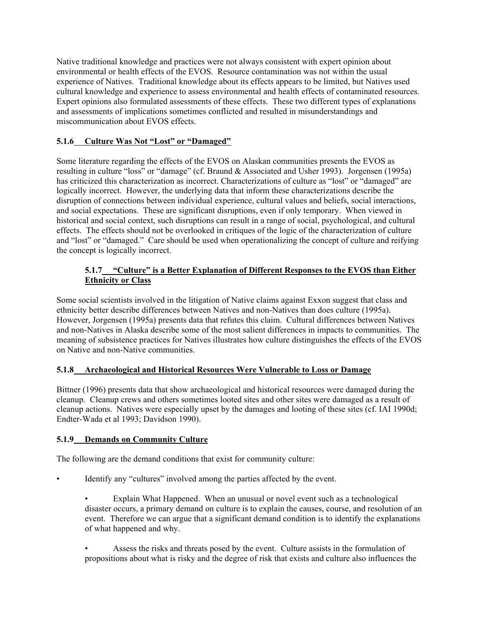Native traditional knowledge and practices were not always consistent with expert opinion about environmental or health effects of the EVOS. Resource contamination was not within the usual experience of Natives. Traditional knowledge about its effects appears to be limited, but Natives used cultural knowledge and experience to assess environmental and health effects of contaminated resources. Expert opinions also formulated assessments of these effects. These two different types of explanations and assessments of implications sometimes conflicted and resulted in misunderstandings and miscommunication about EVOS effects.

# **5.1.6 Culture Was Not "Lost" or "Damaged"**

Some literature regarding the effects of the EVOS on Alaskan communities presents the EVOS as resulting in culture "loss" or "damage" (cf. Braund & Associated and Usher 1993). Jorgensen (1995a) has criticized this characterization as incorrect. Characterizations of culture as "lost" or "damaged" are logically incorrect. However, the underlying data that inform these characterizations describe the disruption of connections between individual experience, cultural values and beliefs, social interactions, and social expectations. These are significant disruptions, even if only temporary. When viewed in historical and social context, such disruptions can result in a range of social, psychological, and cultural effects. The effects should not be overlooked in critiques of the logic of the characterization of culture and "lost" or "damaged." Care should be used when operationalizing the concept of culture and reifying the concept is logically incorrect.

# **5.1.7 "Culture" is a Better Explanation of Different Responses to the EVOS than Either Ethnicity or Class**

Some social scientists involved in the litigation of Native claims against Exxon suggest that class and ethnicity better describe differences between Natives and non-Natives than does culture (1995a). However, Jorgensen (1995a) presents data that refutes this claim. Cultural differences between Natives and non-Natives in Alaska describe some of the most salient differences in impacts to communities. The meaning of subsistence practices for Natives illustrates how culture distinguishes the effects of the EVOS on Native and non-Native communities.

# **5.1.8 Archaeological and Historical Resources Were Vulnerable to Loss or Damage**

Bittner (1996) presents data that show archaeological and historical resources were damaged during the cleanup. Cleanup crews and others sometimes looted sites and other sites were damaged as a result of cleanup actions. Natives were especially upset by the damages and looting of these sites (cf. IAI 1990d; Endter-Wada et al 1993; Davidson 1990).

# **5.1.9 Demands on Community Culture**

The following are the demand conditions that exist for community culture:

- Identify any "cultures" involved among the parties affected by the event.
	- Explain What Happened. When an unusual or novel event such as a technological disaster occurs, a primary demand on culture is to explain the causes, course, and resolution of an event. Therefore we can argue that a significant demand condition is to identify the explanations of what happened and why.
	- Assess the risks and threats posed by the event. Culture assists in the formulation of propositions about what is risky and the degree of risk that exists and culture also influences the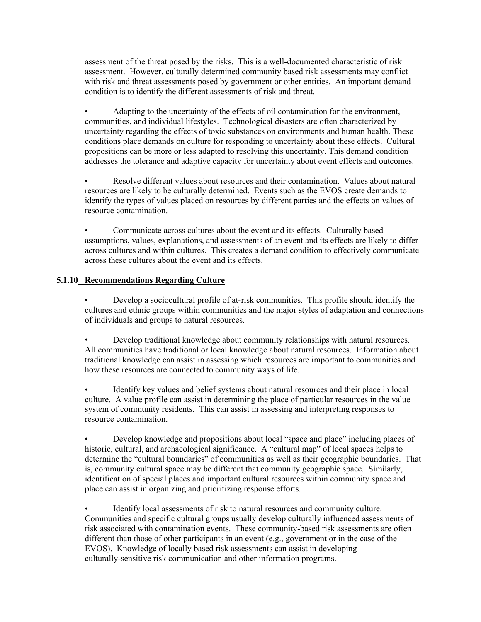assessment of the threat posed by the risks. This is a well-documented characteristic of risk assessment. However, culturally determined community based risk assessments may conflict with risk and threat assessments posed by government or other entities. An important demand condition is to identify the different assessments of risk and threat.

• Adapting to the uncertainty of the effects of oil contamination for the environment, communities, and individual lifestyles. Technological disasters are often characterized by uncertainty regarding the effects of toxic substances on environments and human health. These conditions place demands on culture for responding to uncertainty about these effects. Cultural propositions can be more or less adapted to resolving this uncertainty. This demand condition addresses the tolerance and adaptive capacity for uncertainty about event effects and outcomes.

• Resolve different values about resources and their contamination. Values about natural resources are likely to be culturally determined. Events such as the EVOS create demands to identify the types of values placed on resources by different parties and the effects on values of resource contamination.

• Communicate across cultures about the event and its effects. Culturally based assumptions, values, explanations, and assessments of an event and its effects are likely to differ across cultures and within cultures. This creates a demand condition to effectively communicate across these cultures about the event and its effects.

## **5.1.10 Recommendations Regarding Culture**

• Develop a sociocultural profile of at-risk communities. This profile should identify the cultures and ethnic groups within communities and the major styles of adaptation and connections of individuals and groups to natural resources.

• Develop traditional knowledge about community relationships with natural resources. All communities have traditional or local knowledge about natural resources. Information about traditional knowledge can assist in assessing which resources are important to communities and how these resources are connected to community ways of life.

• Identify key values and belief systems about natural resources and their place in local culture. A value profile can assist in determining the place of particular resources in the value system of community residents. This can assist in assessing and interpreting responses to resource contamination.

• Develop knowledge and propositions about local "space and place" including places of historic, cultural, and archaeological significance. A "cultural map" of local spaces helps to determine the "cultural boundaries" of communities as well as their geographic boundaries. That is, community cultural space may be different that community geographic space. Similarly, identification of special places and important cultural resources within community space and place can assist in organizing and prioritizing response efforts.

Identify local assessments of risk to natural resources and community culture. Communities and specific cultural groups usually develop culturally influenced assessments of risk associated with contamination events. These community-based risk assessments are often different than those of other participants in an event (e.g., government or in the case of the EVOS). Knowledge of locally based risk assessments can assist in developing culturally-sensitive risk communication and other information programs.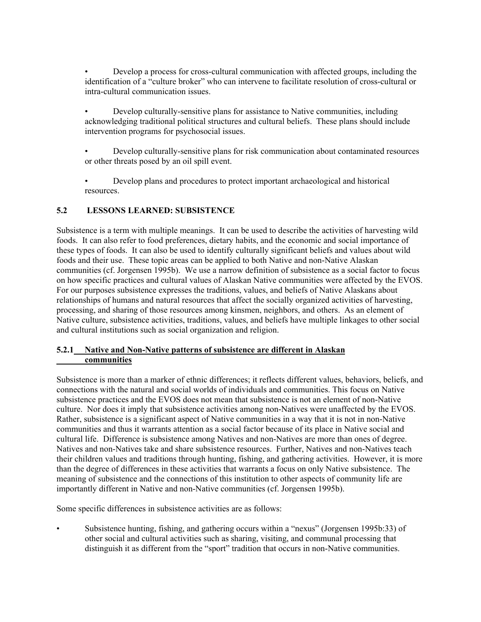• Develop a process for cross-cultural communication with affected groups, including the identification of a "culture broker" who can intervene to facilitate resolution of cross-cultural or intra-cultural communication issues.

- Develop culturally-sensitive plans for assistance to Native communities, including acknowledging traditional political structures and cultural beliefs. These plans should include intervention programs for psychosocial issues.
- Develop culturally-sensitive plans for risk communication about contaminated resources or other threats posed by an oil spill event.
- Develop plans and procedures to protect important archaeological and historical resources.

# **5.2 LESSONS LEARNED: SUBSISTENCE**

Subsistence is a term with multiple meanings. It can be used to describe the activities of harvesting wild foods. It can also refer to food preferences, dietary habits, and the economic and social importance of these types of foods. It can also be used to identify culturally significant beliefs and values about wild foods and their use. These topic areas can be applied to both Native and non-Native Alaskan communities (cf. Jorgensen 1995b). We use a narrow definition of subsistence as a social factor to focus on how specific practices and cultural values of Alaskan Native communities were affected by the EVOS. For our purposes subsistence expresses the traditions, values, and beliefs of Native Alaskans about relationships of humans and natural resources that affect the socially organized activities of harvesting, processing, and sharing of those resources among kinsmen, neighbors, and others. As an element of Native culture, subsistence activities, traditions, values, and beliefs have multiple linkages to other social and cultural institutions such as social organization and religion.

## **5.2.1 Native and Non-Native patterns of subsistence are different in Alaskan communities**

Subsistence is more than a marker of ethnic differences; it reflects different values, behaviors, beliefs, and connections with the natural and social worlds of individuals and communities. This focus on Native subsistence practices and the EVOS does not mean that subsistence is not an element of non-Native culture. Nor does it imply that subsistence activities among non-Natives were unaffected by the EVOS. Rather, subsistence is a significant aspect of Native communities in a way that it is not in non-Native communities and thus it warrants attention as a social factor because of its place in Native social and cultural life. Difference is subsistence among Natives and non-Natives are more than ones of degree. Natives and non-Natives take and share subsistence resources. Further, Natives and non-Natives teach their children values and traditions through hunting, fishing, and gathering activities. However, it is more than the degree of differences in these activities that warrants a focus on only Native subsistence. The meaning of subsistence and the connections of this institution to other aspects of community life are importantly different in Native and non-Native communities (cf. Jorgensen 1995b).

Some specific differences in subsistence activities are as follows:

• Subsistence hunting, fishing, and gathering occurs within a "nexus" (Jorgensen 1995b:33) of other social and cultural activities such as sharing, visiting, and communal processing that distinguish it as different from the "sport" tradition that occurs in non-Native communities.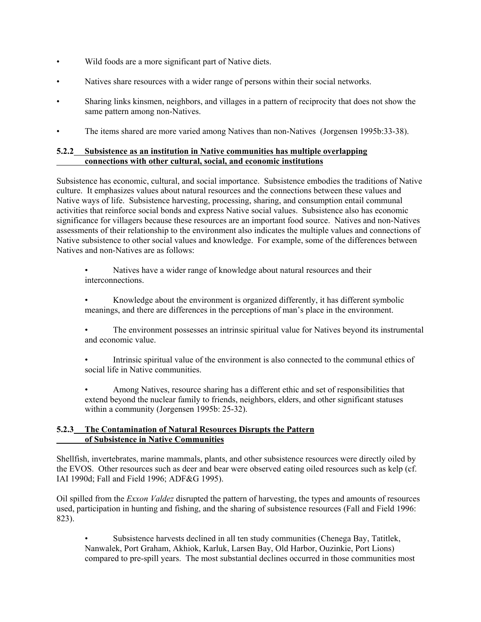- Wild foods are a more significant part of Native diets.
- Natives share resources with a wider range of persons within their social networks.
- Sharing links kinsmen, neighbors, and villages in a pattern of reciprocity that does not show the same pattern among non-Natives.
- The items shared are more varied among Natives than non-Natives (Jorgensen 1995b:33-38).

## **5.2.2 Subsistence as an institution in Native communities has multiple overlapping connections with other cultural, social, and economic institutions**

Subsistence has economic, cultural, and social importance. Subsistence embodies the traditions of Native culture. It emphasizes values about natural resources and the connections between these values and Native ways of life. Subsistence harvesting, processing, sharing, and consumption entail communal activities that reinforce social bonds and express Native social values. Subsistence also has economic significance for villagers because these resources are an important food source. Natives and non-Natives assessments of their relationship to the environment also indicates the multiple values and connections of Native subsistence to other social values and knowledge. For example, some of the differences between Natives and non-Natives are as follows:

• Natives have a wider range of knowledge about natural resources and their interconnections.

- Knowledge about the environment is organized differently, it has different symbolic meanings, and there are differences in the perceptions of man's place in the environment.
- The environment possesses an intrinsic spiritual value for Natives beyond its instrumental and economic value.
- Intrinsic spiritual value of the environment is also connected to the communal ethics of social life in Native communities.
- Among Natives, resource sharing has a different ethic and set of responsibilities that extend beyond the nuclear family to friends, neighbors, elders, and other significant statuses within a community (Jorgensen 1995b: 25-32).

## **5.2.3 The Contamination of Natural Resources Disrupts the Pattern of Subsistence in Native Communities**

Shellfish, invertebrates, marine mammals, plants, and other subsistence resources were directly oiled by the EVOS. Other resources such as deer and bear were observed eating oiled resources such as kelp (cf. IAI 1990d; Fall and Field 1996; ADF&G 1995).

Oil spilled from the *Exxon Valdez* disrupted the pattern of harvesting, the types and amounts of resources used, participation in hunting and fishing, and the sharing of subsistence resources (Fall and Field 1996: 823).

• Subsistence harvests declined in all ten study communities (Chenega Bay, Tatitlek, Nanwalek, Port Graham, Akhiok, Karluk, Larsen Bay, Old Harbor, Ouzinkie, Port Lions) compared to pre-spill years. The most substantial declines occurred in those communities most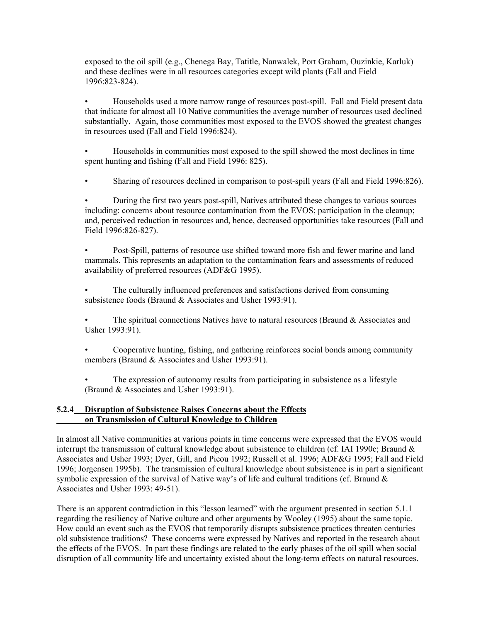exposed to the oil spill (e.g., Chenega Bay, Tatitle, Nanwalek, Port Graham, Ouzinkie, Karluk) and these declines were in all resources categories except wild plants (Fall and Field 1996:823-824).

• Households used a more narrow range of resources post-spill. Fall and Field present data that indicate for almost all 10 Native communities the average number of resources used declined substantially. Again, those communities most exposed to the EVOS showed the greatest changes in resources used (Fall and Field 1996:824).

• Households in communities most exposed to the spill showed the most declines in time spent hunting and fishing (Fall and Field 1996: 825).

• Sharing of resources declined in comparison to post-spill years (Fall and Field 1996:826).

• During the first two years post-spill, Natives attributed these changes to various sources including: concerns about resource contamination from the EVOS; participation in the cleanup; and, perceived reduction in resources and, hence, decreased opportunities take resources (Fall and Field 1996:826-827).

• Post-Spill, patterns of resource use shifted toward more fish and fewer marine and land mammals. This represents an adaptation to the contamination fears and assessments of reduced availability of preferred resources (ADF&G 1995).

The culturally influenced preferences and satisfactions derived from consuming subsistence foods (Braund & Associates and Usher 1993:91).

The spiritual connections Natives have to natural resources (Braund  $\&$  Associates and Usher 1993:91).

• Cooperative hunting, fishing, and gathering reinforces social bonds among community members (Braund & Associates and Usher 1993:91).

The expression of autonomy results from participating in subsistence as a lifestyle (Braund & Associates and Usher 1993:91).

### **5.2.4 Disruption of Subsistence Raises Concerns about the Effects on Transmission of Cultural Knowledge to Children**

In almost all Native communities at various points in time concerns were expressed that the EVOS would interrupt the transmission of cultural knowledge about subsistence to children (cf. IAI 1990c; Braund & Associates and Usher 1993; Dyer, Gill, and Picou 1992; Russell et al. 1996; ADF&G 1995; Fall and Field 1996; Jorgensen 1995b). The transmission of cultural knowledge about subsistence is in part a significant symbolic expression of the survival of Native way's of life and cultural traditions (cf. Braund & Associates and Usher 1993: 49-51).

There is an apparent contradiction in this "lesson learned" with the argument presented in section 5.1.1 regarding the resiliency of Native culture and other arguments by Wooley (1995) about the same topic. How could an event such as the EVOS that temporarily disrupts subsistence practices threaten centuries old subsistence traditions? These concerns were expressed by Natives and reported in the research about the effects of the EVOS. In part these findings are related to the early phases of the oil spill when social disruption of all community life and uncertainty existed about the long-term effects on natural resources.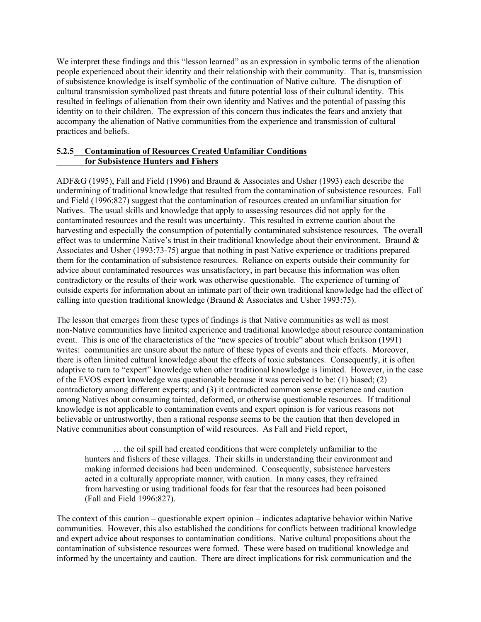We interpret these findings and this "lesson learned" as an expression in symbolic terms of the alienation people experienced about their identity and their relationship with their community. That is, transmission of subsistence knowledge is itself symbolic of the continuation of Native culture. The disruption of cultural transmission symbolized past threats and future potential loss of their cultural identity. This resulted in feelings of alienation from their own identity and Natives and the potential of passing this identity on to their children. The expression of this concern thus indicates the fears and anxiety that accompany the alienation of Native communities from the experience and transmission of cultural practices and beliefs.

## **5.2.5 Contamination of Resources Created Unfamiliar Conditions for Subsistence Hunters and Fishers**

ADF&G (1995), Fall and Field (1996) and Braund & Associates and Usher (1993) each describe the undermining of traditional knowledge that resulted from the contamination of subsistence resources. Fall and Field (1996:827) suggest that the contamination of resources created an unfamiliar situation for Natives. The usual skills and knowledge that apply to assessing resources did not apply for the contaminated resources and the result was uncertainty. This resulted in extreme caution about the harvesting and especially the consumption of potentially contaminated subsistence resources. The overall effect was to undermine Native's trust in their traditional knowledge about their environment. Braund  $\&$ Associates and Usher (1993:73-75) argue that nothing in past Native experience or traditions prepared them for the contamination of subsistence resources. Reliance on experts outside their community for advice about contaminated resources was unsatisfactory, in part because this information was often contradictory or the results of their work was otherwise questionable. The experience of turning of outside experts for information about an intimate part of their own traditional knowledge had the effect of calling into question traditional knowledge (Braund  $&$  Associates and Usher 1993:75).

The lesson that emerges from these types of findings is that Native communities as well as most non-Native communities have limited experience and traditional knowledge about resource contamination event. This is one of the characteristics of the "new species of trouble" about which Erikson (1991) writes: communities are unsure about the nature of these types of events and their effects. Moreover, there is often limited cultural knowledge about the effects of toxic substances. Consequently, it is often adaptive to turn to "expert" knowledge when other traditional knowledge is limited. However, in the case of the EVOS expert knowledge was questionable because it was perceived to be: (1) biased; (2) contradictory among different experts; and (3) it contradicted common sense experience and caution among Natives about consuming tainted, deformed, or otherwise questionable resources. If traditional knowledge is not applicable to contamination events and expert opinion is for various reasons not believable or untrustworthy, then a rational response seems to be the caution that then developed in Native communities about consumption of wild resources. As Fall and Field report,

… the oil spill had created conditions that were completely unfamiliar to the hunters and fishers of these villages. Their skills in understanding their environment and making informed decisions had been undermined. Consequently, subsistence harvesters acted in a culturally appropriate manner, with caution. In many cases, they refrained from harvesting or using traditional foods for fear that the resources had been poisoned (Fall and Field 1996:827).

The context of this caution – questionable expert opinion – indicates adaptative behavior within Native communities. However, this also established the conditions for conflicts between traditional knowledge and expert advice about responses to contamination conditions. Native cultural propositions about the contamination of subsistence resources were formed. These were based on traditional knowledge and informed by the uncertainty and caution. There are direct implications for risk communication and the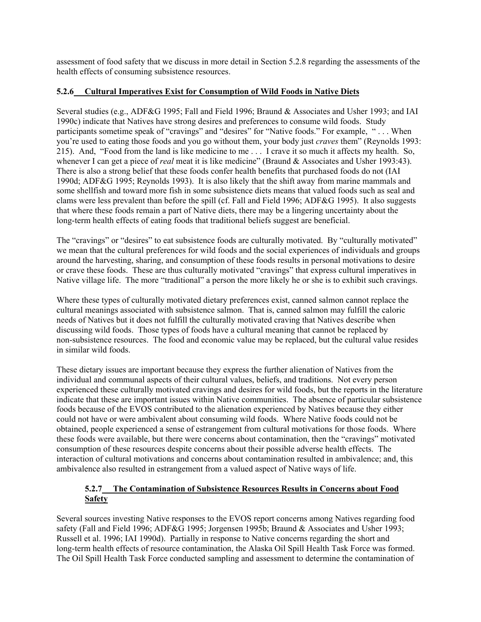assessment of food safety that we discuss in more detail in Section 5.2.8 regarding the assessments of the health effects of consuming subsistence resources.

## **5.2.6 Cultural Imperatives Exist for Consumption of Wild Foods in Native Diets**

Several studies (e.g., ADF&G 1995; Fall and Field 1996; Braund & Associates and Usher 1993; and IAI 1990c) indicate that Natives have strong desires and preferences to consume wild foods. Study participants sometime speak of "cravings" and "desires" for "Native foods." For example, " . . . When you're used to eating those foods and you go without them, your body just *craves* them" (Reynolds 1993: 215). And, "Food from the land is like medicine to me . . . I crave it so much it affects my health. So, whenever I can get a piece of *real* meat it is like medicine" (Braund & Associates and Usher 1993:43). There is also a strong belief that these foods confer health benefits that purchased foods do not (IAI 1990d; ADF&G 1995; Reynolds 1993). It is also likely that the shift away from marine mammals and some shellfish and toward more fish in some subsistence diets means that valued foods such as seal and clams were less prevalent than before the spill (cf. Fall and Field 1996; ADF&G 1995). It also suggests that where these foods remain a part of Native diets, there may be a lingering uncertainty about the long-term health effects of eating foods that traditional beliefs suggest are beneficial.

The "cravings" or "desires" to eat subsistence foods are culturally motivated. By "culturally motivated" we mean that the cultural preferences for wild foods and the social experiences of individuals and groups around the harvesting, sharing, and consumption of these foods results in personal motivations to desire or crave these foods. These are thus culturally motivated "cravings" that express cultural imperatives in Native village life. The more "traditional" a person the more likely he or she is to exhibit such cravings.

Where these types of culturally motivated dietary preferences exist, canned salmon cannot replace the cultural meanings associated with subsistence salmon. That is, canned salmon may fulfill the caloric needs of Natives but it does not fulfill the culturally motivated craving that Natives describe when discussing wild foods. Those types of foods have a cultural meaning that cannot be replaced by non-subsistence resources. The food and economic value may be replaced, but the cultural value resides in similar wild foods.

These dietary issues are important because they express the further alienation of Natives from the individual and communal aspects of their cultural values, beliefs, and traditions. Not every person experienced these culturally motivated cravings and desires for wild foods, but the reports in the literature indicate that these are important issues within Native communities. The absence of particular subsistence foods because of the EVOS contributed to the alienation experienced by Natives because they either could not have or were ambivalent about consuming wild foods. Where Native foods could not be obtained, people experienced a sense of estrangement from cultural motivations for those foods. Where these foods were available, but there were concerns about contamination, then the "cravings" motivated consumption of these resources despite concerns about their possible adverse health effects. The interaction of cultural motivations and concerns about contamination resulted in ambivalence; and, this ambivalence also resulted in estrangement from a valued aspect of Native ways of life.

# **5.2.7 The Contamination of Subsistence Resources Results in Concerns about Food Safety**

Several sources investing Native responses to the EVOS report concerns among Natives regarding food safety (Fall and Field 1996; ADF&G 1995; Jorgensen 1995b; Braund & Associates and Usher 1993; Russell et al. 1996; IAI 1990d). Partially in response to Native concerns regarding the short and long-term health effects of resource contamination, the Alaska Oil Spill Health Task Force was formed. The Oil Spill Health Task Force conducted sampling and assessment to determine the contamination of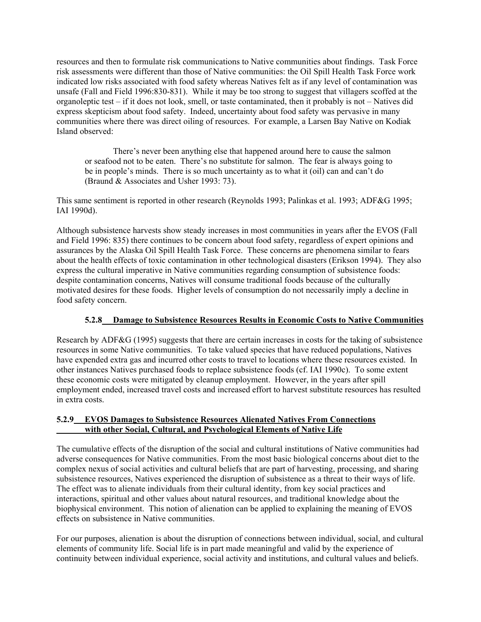resources and then to formulate risk communications to Native communities about findings. Task Force risk assessments were different than those of Native communities: the Oil Spill Health Task Force work indicated low risks associated with food safety whereas Natives felt as if any level of contamination was unsafe (Fall and Field 1996:830-831). While it may be too strong to suggest that villagers scoffed at the organoleptic test – if it does not look, smell, or taste contaminated, then it probably is not – Natives did express skepticism about food safety. Indeed, uncertainty about food safety was pervasive in many communities where there was direct oiling of resources. For example, a Larsen Bay Native on Kodiak Island observed:

There's never been anything else that happened around here to cause the salmon or seafood not to be eaten. There's no substitute for salmon. The fear is always going to be in people's minds. There is so much uncertainty as to what it (oil) can and can't do (Braund & Associates and Usher 1993: 73).

This same sentiment is reported in other research (Reynolds 1993; Palinkas et al. 1993; ADF&G 1995; IAI 1990d).

Although subsistence harvests show steady increases in most communities in years after the EVOS (Fall and Field 1996: 835) there continues to be concern about food safety, regardless of expert opinions and assurances by the Alaska Oil Spill Health Task Force. These concerns are phenomena similar to fears about the health effects of toxic contamination in other technological disasters (Erikson 1994). They also express the cultural imperative in Native communities regarding consumption of subsistence foods: despite contamination concerns, Natives will consume traditional foods because of the culturally motivated desires for these foods. Higher levels of consumption do not necessarily imply a decline in food safety concern.

# **5.2.8 Damage to Subsistence Resources Results in Economic Costs to Native Communities**

Research by ADF&G (1995) suggests that there are certain increases in costs for the taking of subsistence resources in some Native communities. To take valued species that have reduced populations, Natives have expended extra gas and incurred other costs to travel to locations where these resources existed. In other instances Natives purchased foods to replace subsistence foods (cf. IAI 1990c). To some extent these economic costs were mitigated by cleanup employment. However, in the years after spill employment ended, increased travel costs and increased effort to harvest substitute resources has resulted in extra costs.

## **5.2.9 EVOS Damages to Subsistence Resources Alienated Natives From Connections with other Social, Cultural, and Psychological Elements of Native Life**

The cumulative effects of the disruption of the social and cultural institutions of Native communities had adverse consequences for Native communities. From the most basic biological concerns about diet to the complex nexus of social activities and cultural beliefs that are part of harvesting, processing, and sharing subsistence resources, Natives experienced the disruption of subsistence as a threat to their ways of life. The effect was to alienate individuals from their cultural identity, from key social practices and interactions, spiritual and other values about natural resources, and traditional knowledge about the biophysical environment. This notion of alienation can be applied to explaining the meaning of EVOS effects on subsistence in Native communities.

For our purposes, alienation is about the disruption of connections between individual, social, and cultural elements of community life. Social life is in part made meaningful and valid by the experience of continuity between individual experience, social activity and institutions, and cultural values and beliefs.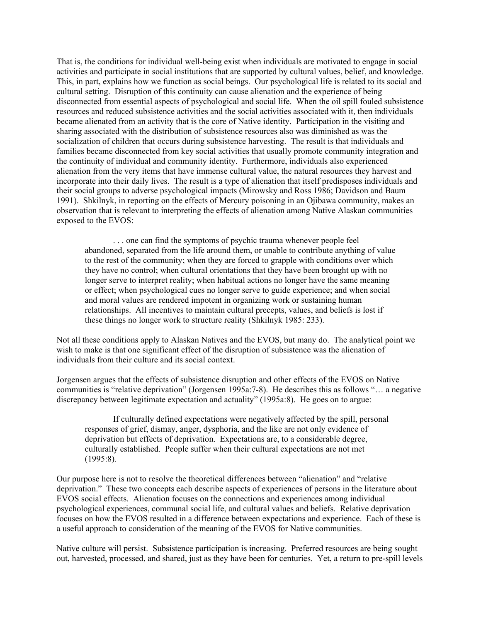That is, the conditions for individual well-being exist when individuals are motivated to engage in social activities and participate in social institutions that are supported by cultural values, belief, and knowledge. This, in part, explains how we function as social beings. Our psychological life is related to its social and cultural setting. Disruption of this continuity can cause alienation and the experience of being disconnected from essential aspects of psychological and social life. When the oil spill fouled subsistence resources and reduced subsistence activities and the social activities associated with it, then individuals became alienated from an activity that is the core of Native identity. Participation in the visiting and sharing associated with the distribution of subsistence resources also was diminished as was the socialization of children that occurs during subsistence harvesting. The result is that individuals and families became disconnected from key social activities that usually promote community integration and the continuity of individual and community identity. Furthermore, individuals also experienced alienation from the very items that have immense cultural value, the natural resources they harvest and incorporate into their daily lives. The result is a type of alienation that itself predisposes individuals and their social groups to adverse psychological impacts (Mirowsky and Ross 1986; Davidson and Baum 1991). Shkilnyk, in reporting on the effects of Mercury poisoning in an Ojibawa community, makes an observation that is relevant to interpreting the effects of alienation among Native Alaskan communities exposed to the EVOS:

. . . one can find the symptoms of psychic trauma whenever people feel abandoned, separated from the life around them, or unable to contribute anything of value to the rest of the community; when they are forced to grapple with conditions over which they have no control; when cultural orientations that they have been brought up with no longer serve to interpret reality; when habitual actions no longer have the same meaning or effect; when psychological cues no longer serve to guide experience; and when social and moral values are rendered impotent in organizing work or sustaining human relationships. All incentives to maintain cultural precepts, values, and beliefs is lost if these things no longer work to structure reality (Shkilnyk 1985: 233).

Not all these conditions apply to Alaskan Natives and the EVOS, but many do. The analytical point we wish to make is that one significant effect of the disruption of subsistence was the alienation of individuals from their culture and its social context.

Jorgensen argues that the effects of subsistence disruption and other effects of the EVOS on Native communities is "relative deprivation" (Jorgensen 1995a:7-8). He describes this as follows "… a negative discrepancy between legitimate expectation and actuality" (1995a:8). He goes on to argue:

If culturally defined expectations were negatively affected by the spill, personal responses of grief, dismay, anger, dysphoria, and the like are not only evidence of deprivation but effects of deprivation. Expectations are, to a considerable degree, culturally established. People suffer when their cultural expectations are not met (1995:8).

Our purpose here is not to resolve the theoretical differences between "alienation" and "relative deprivation." These two concepts each describe aspects of experiences of persons in the literature about EVOS social effects. Alienation focuses on the connections and experiences among individual psychological experiences, communal social life, and cultural values and beliefs. Relative deprivation focuses on how the EVOS resulted in a difference between expectations and experience. Each of these is a useful approach to consideration of the meaning of the EVOS for Native communities.

Native culture will persist. Subsistence participation is increasing. Preferred resources are being sought out, harvested, processed, and shared, just as they have been for centuries. Yet, a return to pre-spill levels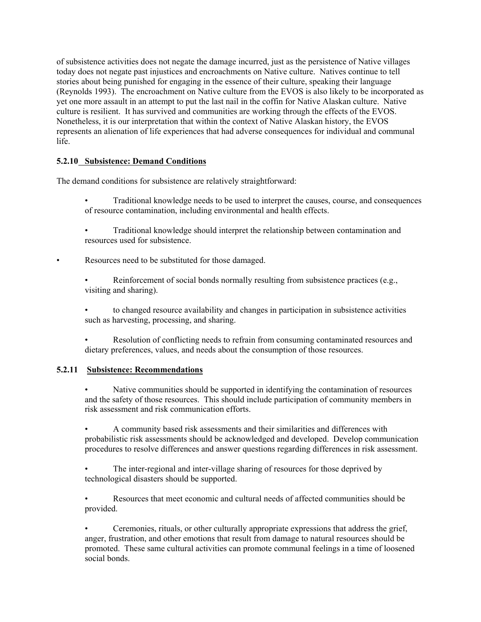of subsistence activities does not negate the damage incurred, just as the persistence of Native villages today does not negate past injustices and encroachments on Native culture. Natives continue to tell stories about being punished for engaging in the essence of their culture, speaking their language (Reynolds 1993). The encroachment on Native culture from the EVOS is also likely to be incorporated as yet one more assault in an attempt to put the last nail in the coffin for Native Alaskan culture. Native culture is resilient. It has survived and communities are working through the effects of the EVOS. Nonetheless, it is our interpretation that within the context of Native Alaskan history, the EVOS represents an alienation of life experiences that had adverse consequences for individual and communal life.

# **5.2.10 Subsistence: Demand Conditions**

The demand conditions for subsistence are relatively straightforward:

- Traditional knowledge needs to be used to interpret the causes, course, and consequences of resource contamination, including environmental and health effects.
- Traditional knowledge should interpret the relationship between contamination and resources used for subsistence.

Resources need to be substituted for those damaged.

Reinforcement of social bonds normally resulting from subsistence practices (e.g., visiting and sharing).

• to changed resource availability and changes in participation in subsistence activities such as harvesting, processing, and sharing.

• Resolution of conflicting needs to refrain from consuming contaminated resources and dietary preferences, values, and needs about the consumption of those resources.

### **5.2.11 Subsistence: Recommendations**

• Native communities should be supported in identifying the contamination of resources and the safety of those resources. This should include participation of community members in risk assessment and risk communication efforts.

• A community based risk assessments and their similarities and differences with probabilistic risk assessments should be acknowledged and developed. Develop communication procedures to resolve differences and answer questions regarding differences in risk assessment.

The inter-regional and inter-village sharing of resources for those deprived by technological disasters should be supported.

• Resources that meet economic and cultural needs of affected communities should be provided.

• Ceremonies, rituals, or other culturally appropriate expressions that address the grief, anger, frustration, and other emotions that result from damage to natural resources should be promoted. These same cultural activities can promote communal feelings in a time of loosened social bonds.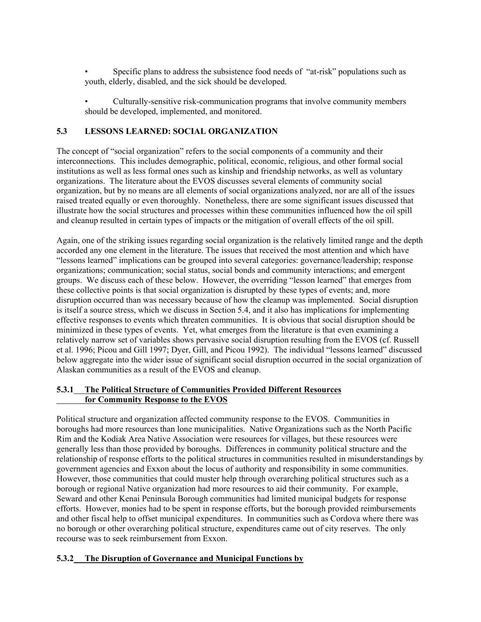• Specific plans to address the subsistence food needs of "at-risk" populations such as youth, elderly, disabled, and the sick should be developed.

• Culturally-sensitive risk-communication programs that involve community members should be developed, implemented, and monitored.

## **5.3 LESSONS LEARNED: SOCIAL ORGANIZATION**

The concept of "social organization" refers to the social components of a community and their interconnections. This includes demographic, political, economic, religious, and other formal social institutions as well as less formal ones such as kinship and friendship networks, as well as voluntary organizations. The literature about the EVOS discusses several elements of community social organization, but by no means are all elements of social organizations analyzed, nor are all of the issues raised treated equally or even thoroughly. Nonetheless, there are some significant issues discussed that illustrate how the social structures and processes within these communities influenced how the oil spill and cleanup resulted in certain types of impacts or the mitigation of overall effects of the oil spill.

Again, one of the striking issues regarding social organization is the relatively limited range and the depth accorded any one element in the literature. The issues that received the most attention and which have "lessons learned" implications can be grouped into several categories: governance/leadership; response organizations; communication; social status, social bonds and community interactions; and emergent groups. We discuss each of these below. However, the overriding "lesson learned" that emerges from these collective points is that social organization is disrupted by these types of events; and, more disruption occurred than was necessary because of how the cleanup was implemented. Social disruption is itself a source stress, which we discuss in Section 5.4, and it also has implications for implementing effective responses to events which threaten communities. It is obvious that social disruption should be minimized in these types of events. Yet, what emerges from the literature is that even examining a relatively narrow set of variables shows pervasive social disruption resulting from the EVOS (cf. Russell et al. 1996; Picou and Gill 1997; Dyer, Gill, and Picou 1992). The individual "lessons learned" discussed below aggregate into the wider issue of significant social disruption occurred in the social organization of Alaskan communities as a result of the EVOS and cleanup.

## **5.3.1 The Political Structure of Communities Provided Different Resources for Community Response to the EVOS**

Political structure and organization affected community response to the EVOS. Communities in boroughs had more resources than lone municipalities. Native Organizations such as the North Pacific Rim and the Kodiak Area Native Association were resources for villages, but these resources were generally less than those provided by boroughs. Differences in community political structure and the relationship of response efforts to the political structures in communities resulted in misunderstandings by government agencies and Exxon about the locus of authority and responsibility in some communities. However, those communities that could muster help through overarching political structures such as a borough or regional Native organization had more resources to aid their community. For example, Seward and other Kenai Peninsula Borough communities had limited municipal budgets for response efforts. However, monies had to be spent in response efforts, but the borough provided reimbursements and other fiscal help to offset municipal expenditures. In communities such as Cordova where there was no borough or other overarching political structure, expenditures came out of city reserves. The only recourse was to seek reimbursement from Exxon.

# **5.3.2 The Disruption of Governance and Municipal Functions by**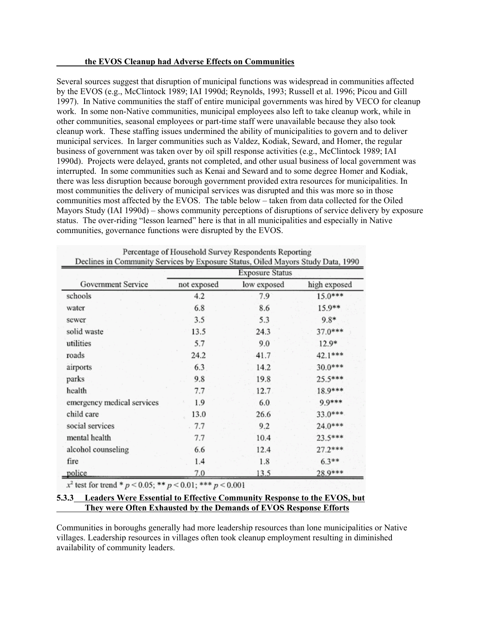#### **the EVOS Cleanup had Adverse Effects on Communities**

Several sources suggest that disruption of municipal functions was widespread in communities affected by the EVOS (e.g., McClintock 1989; IAI 1990d; Reynolds, 1993; Russell et al. 1996; Picou and Gill 1997). In Native communities the staff of entire municipal governments was hired by VECO for cleanup work. In some non-Native communities, municipal employees also left to take cleanup work, while in other communities, seasonal employees or part-time staff were unavailable because they also took cleanup work. These staffing issues undermined the ability of municipalities to govern and to deliver municipal services. In larger communities such as Valdez, Kodiak, Seward, and Homer, the regular business of government was taken over by oil spill response activities (e.g., McClintock 1989; IAI 1990d). Projects were delayed, grants not completed, and other usual business of local government was interrupted. In some communities such as Kenai and Seward and to some degree Homer and Kodiak, there was less disruption because borough government provided extra resources for municipalities. In most communities the delivery of municipal services was disrupted and this was more so in those communities most affected by the EVOS. The table below – taken from data collected for the Oiled Mayors Study (IAI 1990d) – shows community perceptions of disruptions of service delivery by exposure status. The over-riding "lesson learned" here is that in all municipalities and especially in Native communities, governance functions were disrupted by the EVOS.

| Government Service         | <b>Exposure Status</b> |             |              |
|----------------------------|------------------------|-------------|--------------|
|                            | not exposed            | low exposed | high exposed |
| schools                    | 4.2                    | 7.9         | 15.0***      |
| water                      | 6.8                    | 8.6         | 15.9**       |
| sewer                      | 3.5                    | 5.3         | $9.8*$       |
| solid waste                | 13.5                   | 24.3        | $37.0***$    |
| utilities                  | 5.7                    | 9.0         | $12.9*$      |
| roads                      | 24.2                   | 41.7        | 42.1***      |
| airports                   | 6.3                    | 14.2        | 30.0***      |
| parks                      | 9.8                    | 19.8        | 25.5***      |
| health                     | 7.7                    | 12.7        | 18.9***      |
| emergency medical services | 1.9                    | 6.0         | 9.9***       |
| child care                 | 13.0                   | 26.6        | 33.0***      |
| social services            | 7.7                    | 9.2         | 24.0***      |
| mental health              | 7.7                    | 10.4        | 23.5***      |
| alcohol counseling         | 6.6                    | 12.4        | $27.2***$    |
| fire                       | 1.4                    | 1.8         | $6.3**$      |
| police                     | 70                     | 13.5        | 28.9***      |

x<sup>2</sup> test for trend \*  $p < 0.05$ ; \*\*  $p < 0.01$ ; \*\*\*  $p < 0.001$ 

### **5.3.3 Leaders Were Essential to Effective Community Response to the EVOS, but They were Often Exhausted by the Demands of EVOS Response Efforts**

Communities in boroughs generally had more leadership resources than lone municipalities or Native villages. Leadership resources in villages often took cleanup employment resulting in diminished availability of community leaders.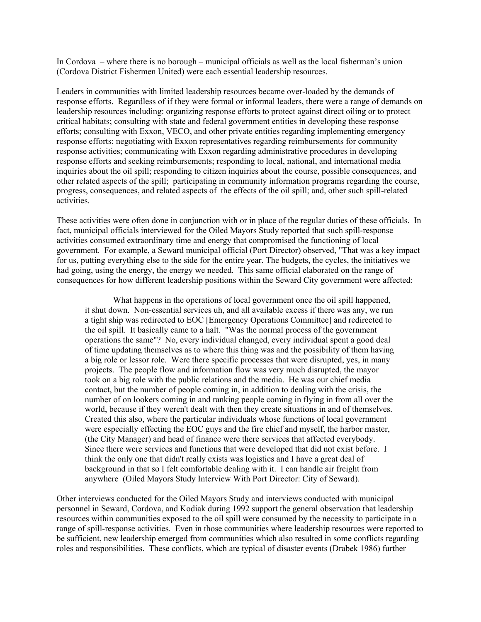In Cordova – where there is no borough – municipal officials as well as the local fisherman's union (Cordova District Fishermen United) were each essential leadership resources.

Leaders in communities with limited leadership resources became over-loaded by the demands of response efforts. Regardless of if they were formal or informal leaders, there were a range of demands on leadership resources including: organizing response efforts to protect against direct oiling or to protect critical habitats; consulting with state and federal government entities in developing these response efforts; consulting with Exxon, VECO, and other private entities regarding implementing emergency response efforts; negotiating with Exxon representatives regarding reimbursements for community response activities; communicating with Exxon regarding administrative procedures in developing response efforts and seeking reimbursements; responding to local, national, and international media inquiries about the oil spill; responding to citizen inquiries about the course, possible consequences, and other related aspects of the spill; participating in community information programs regarding the course, progress, consequences, and related aspects of the effects of the oil spill; and, other such spill-related activities.

These activities were often done in conjunction with or in place of the regular duties of these officials. In fact, municipal officials interviewed for the Oiled Mayors Study reported that such spill-response activities consumed extraordinary time and energy that compromised the functioning of local government. For example, a Seward municipal official (Port Director) observed, "That was a key impact for us, putting everything else to the side for the entire year. The budgets, the cycles, the initiatives we had going, using the energy, the energy we needed. This same official elaborated on the range of consequences for how different leadership positions within the Seward City government were affected:

What happens in the operations of local government once the oil spill happened, it shut down. Non-essential services uh, and all available excess if there was any, we run a tight ship was redirected to EOC [Emergency Operations Committee] and redirected to the oil spill. It basically came to a halt. "Was the normal process of the government operations the same"? No, every individual changed, every individual spent a good deal of time updating themselves as to where this thing was and the possibility of them having a big role or lessor role. Were there specific processes that were disrupted, yes, in many projects. The people flow and information flow was very much disrupted, the mayor took on a big role with the public relations and the media. He was our chief media contact, but the number of people coming in, in addition to dealing with the crisis, the number of on lookers coming in and ranking people coming in flying in from all over the world, because if they weren't dealt with then they create situations in and of themselves. Created this also, where the particular individuals whose functions of local government were especially effecting the EOC guys and the fire chief and myself, the harbor master, (the City Manager) and head of finance were there services that affected everybody. Since there were services and functions that were developed that did not exist before. I think the only one that didn't really exists was logistics and I have a great deal of background in that so I felt comfortable dealing with it. I can handle air freight from anywhere (Oiled Mayors Study Interview With Port Director: City of Seward).

Other interviews conducted for the Oiled Mayors Study and interviews conducted with municipal personnel in Seward, Cordova, and Kodiak during 1992 support the general observation that leadership resources within communities exposed to the oil spill were consumed by the necessity to participate in a range of spill-response activities. Even in those communities where leadership resources were reported to be sufficient, new leadership emerged from communities which also resulted in some conflicts regarding roles and responsibilities. These conflicts, which are typical of disaster events (Drabek 1986) further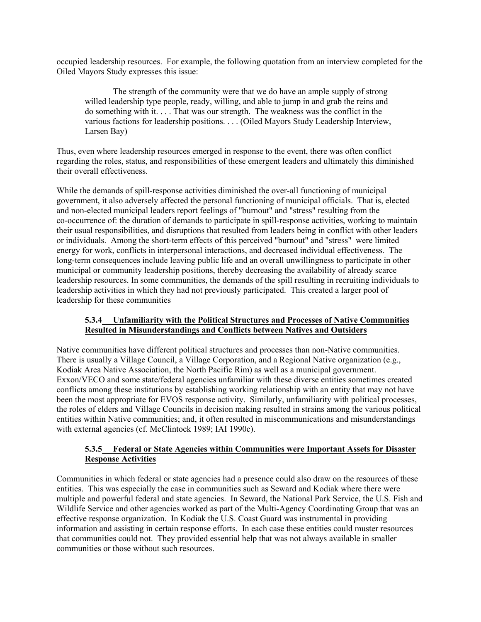occupied leadership resources. For example, the following quotation from an interview completed for the Oiled Mayors Study expresses this issue:

The strength of the community were that we do have an ample supply of strong willed leadership type people, ready, willing, and able to jump in and grab the reins and do something with it. . . . That was our strength. The weakness was the conflict in the various factions for leadership positions. . . . (Oiled Mayors Study Leadership Interview, Larsen Bay)

Thus, even where leadership resources emerged in response to the event, there was often conflict regarding the roles, status, and responsibilities of these emergent leaders and ultimately this diminished their overall effectiveness.

While the demands of spill-response activities diminished the over-all functioning of municipal government, it also adversely affected the personal functioning of municipal officials. That is, elected and non-elected municipal leaders report feelings of "burnout" and "stress" resulting from the co-occurrence of: the duration of demands to participate in spill-response activities, working to maintain their usual responsibilities, and disruptions that resulted from leaders being in conflict with other leaders or individuals. Among the short-term effects of this perceived "burnout" and "stress" were limited energy for work, conflicts in interpersonal interactions, and decreased individual effectiveness. The long-term consequences include leaving public life and an overall unwillingness to participate in other municipal or community leadership positions, thereby decreasing the availability of already scarce leadership resources. In some communities, the demands of the spill resulting in recruiting individuals to leadership activities in which they had not previously participated. This created a larger pool of leadership for these communities

### **5.3.4 Unfamiliarity with the Political Structures and Processes of Native Communities Resulted in Misunderstandings and Conflicts between Natives and Outsiders**

Native communities have different political structures and processes than non-Native communities. There is usually a Village Council, a Village Corporation, and a Regional Native organization (e.g., Kodiak Area Native Association, the North Pacific Rim) as well as a municipal government. Exxon/VECO and some state/federal agencies unfamiliar with these diverse entities sometimes created conflicts among these institutions by establishing working relationship with an entity that may not have been the most appropriate for EVOS response activity. Similarly, unfamiliarity with political processes, the roles of elders and Village Councils in decision making resulted in strains among the various political entities within Native communities; and, it often resulted in miscommunications and misunderstandings with external agencies (cf. McClintock 1989; IAI 1990c).

### **5.3.5 Federal or State Agencies within Communities were Important Assets for Disaster Response Activities**

Communities in which federal or state agencies had a presence could also draw on the resources of these entities. This was especially the case in communities such as Seward and Kodiak where there were multiple and powerful federal and state agencies. In Seward, the National Park Service, the U.S. Fish and Wildlife Service and other agencies worked as part of the Multi-Agency Coordinating Group that was an effective response organization. In Kodiak the U.S. Coast Guard was instrumental in providing information and assisting in certain response efforts. In each case these entities could muster resources that communities could not. They provided essential help that was not always available in smaller communities or those without such resources.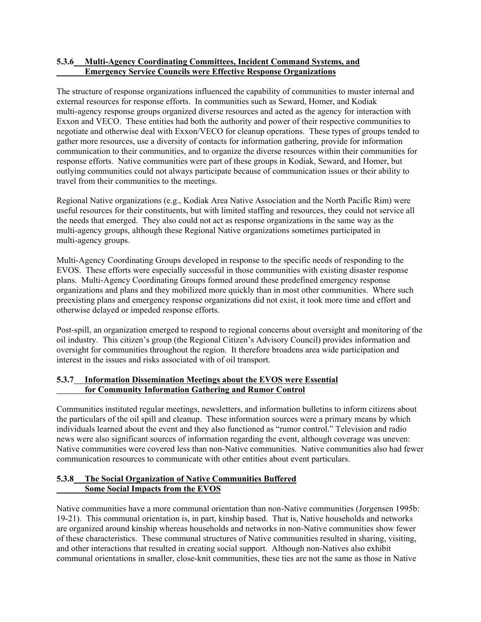### **5.3.6 Multi-Agency Coordinating Committees, Incident Command Systems, and Emergency Service Councils were Effective Response Organizations**

The structure of response organizations influenced the capability of communities to muster internal and external resources for response efforts. In communities such as Seward, Homer, and Kodiak multi-agency response groups organized diverse resources and acted as the agency for interaction with Exxon and VECO. These entities had both the authority and power of their respective communities to negotiate and otherwise deal with Exxon/VECO for cleanup operations. These types of groups tended to gather more resources, use a diversity of contacts for information gathering, provide for information communication to their communities, and to organize the diverse resources within their communities for response efforts. Native communities were part of these groups in Kodiak, Seward, and Homer, but outlying communities could not always participate because of communication issues or their ability to travel from their communities to the meetings.

Regional Native organizations (e.g., Kodiak Area Native Association and the North Pacific Rim) were useful resources for their constituents, but with limited staffing and resources, they could not service all the needs that emerged. They also could not act as response organizations in the same way as the multi-agency groups, although these Regional Native organizations sometimes participated in multi-agency groups.

Multi-Agency Coordinating Groups developed in response to the specific needs of responding to the EVOS. These efforts were especially successful in those communities with existing disaster response plans. Multi-Agency Coordinating Groups formed around these predefined emergency response organizations and plans and they mobilized more quickly than in most other communities. Where such preexisting plans and emergency response organizations did not exist, it took more time and effort and otherwise delayed or impeded response efforts.

Post-spill, an organization emerged to respond to regional concerns about oversight and monitoring of the oil industry. This citizen's group (the Regional Citizen's Advisory Council) provides information and oversight for communities throughout the region. It therefore broadens area wide participation and interest in the issues and risks associated with of oil transport.

## **5.3.7 Information Dissemination Meetings about the EVOS were Essential for Community Information Gathering and Rumor Control**

Communities instituted regular meetings, newsletters, and information bulletins to inform citizens about the particulars of the oil spill and cleanup. These information sources were a primary means by which individuals learned about the event and they also functioned as "rumor control." Television and radio news were also significant sources of information regarding the event, although coverage was uneven: Native communities were covered less than non-Native communities. Native communities also had fewer communication resources to communicate with other entities about event particulars.

## **5.3.8 The Social Organization of Native Communities Buffered Some Social Impacts from the EVOS**

Native communities have a more communal orientation than non-Native communities (Jorgensen 1995b: 19-21). This communal orientation is, in part, kinship based. That is, Native households and networks are organized around kinship whereas households and networks in non-Native communities show fewer of these characteristics. These communal structures of Native communities resulted in sharing, visiting, and other interactions that resulted in creating social support. Although non-Natives also exhibit communal orientations in smaller, close-knit communities, these ties are not the same as those in Native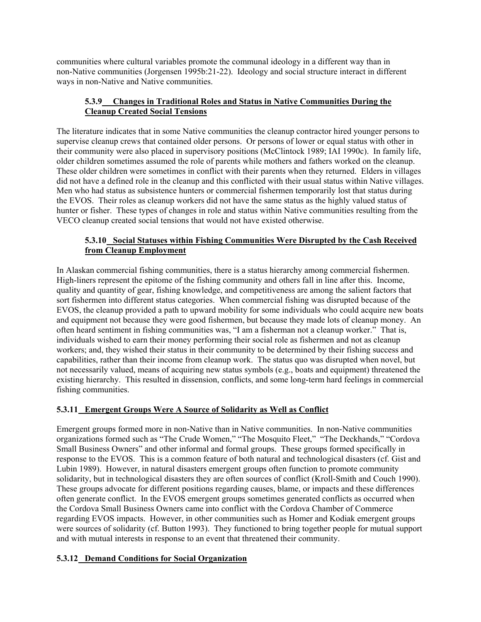communities where cultural variables promote the communal ideology in a different way than in non-Native communities (Jorgensen 1995b:21-22). Ideology and social structure interact in different ways in non-Native and Native communities.

## **5.3.9 Changes in Traditional Roles and Status in Native Communities During the Cleanup Created Social Tensions**

The literature indicates that in some Native communities the cleanup contractor hired younger persons to supervise cleanup crews that contained older persons. Or persons of lower or equal status with other in their community were also placed in supervisory positions (McClintock 1989; IAI 1990c). In family life, older children sometimes assumed the role of parents while mothers and fathers worked on the cleanup. These older children were sometimes in conflict with their parents when they returned. Elders in villages did not have a defined role in the cleanup and this conflicted with their usual status within Native villages. Men who had status as subsistence hunters or commercial fishermen temporarily lost that status during the EVOS. Their roles as cleanup workers did not have the same status as the highly valued status of hunter or fisher. These types of changes in role and status within Native communities resulting from the VECO cleanup created social tensions that would not have existed otherwise.

## **5.3.10 Social Statuses within Fishing Communities Were Disrupted by the Cash Received from Cleanup Employment**

In Alaskan commercial fishing communities, there is a status hierarchy among commercial fishermen. High-liners represent the epitome of the fishing community and others fall in line after this. Income, quality and quantity of gear, fishing knowledge, and competitiveness are among the salient factors that sort fishermen into different status categories. When commercial fishing was disrupted because of the EVOS, the cleanup provided a path to upward mobility for some individuals who could acquire new boats and equipment not because they were good fishermen, but because they made lots of cleanup money. An often heard sentiment in fishing communities was, "I am a fisherman not a cleanup worker." That is, individuals wished to earn their money performing their social role as fishermen and not as cleanup workers; and, they wished their status in their community to be determined by their fishing success and capabilities, rather than their income from cleanup work. The status quo was disrupted when novel, but not necessarily valued, means of acquiring new status symbols (e.g., boats and equipment) threatened the existing hierarchy. This resulted in dissension, conflicts, and some long-term hard feelings in commercial fishing communities.

## **5.3.11 Emergent Groups Were A Source of Solidarity as Well as Conflict**

Emergent groups formed more in non-Native than in Native communities. In non-Native communities organizations formed such as "The Crude Women," "The Mosquito Fleet," "The Deckhands," "Cordova Small Business Owners" and other informal and formal groups. These groups formed specifically in response to the EVOS. This is a common feature of both natural and technological disasters (cf. Gist and Lubin 1989). However, in natural disasters emergent groups often function to promote community solidarity, but in technological disasters they are often sources of conflict (Kroll-Smith and Couch 1990). These groups advocate for different positions regarding causes, blame, or impacts and these differences often generate conflict. In the EVOS emergent groups sometimes generated conflicts as occurred when the Cordova Small Business Owners came into conflict with the Cordova Chamber of Commerce regarding EVOS impacts. However, in other communities such as Homer and Kodiak emergent groups were sources of solidarity (cf. Button 1993). They functioned to bring together people for mutual support and with mutual interests in response to an event that threatened their community.

## **5.3.12 Demand Conditions for Social Organization**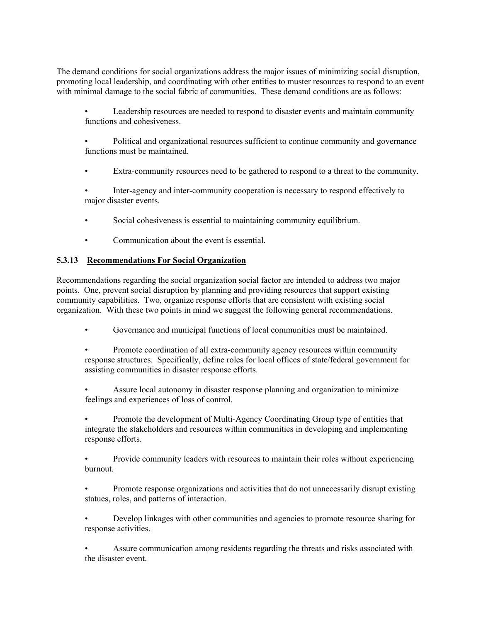The demand conditions for social organizations address the major issues of minimizing social disruption, promoting local leadership, and coordinating with other entities to muster resources to respond to an event with minimal damage to the social fabric of communities. These demand conditions are as follows:

• Leadership resources are needed to respond to disaster events and maintain community functions and cohesiveness.

• Political and organizational resources sufficient to continue community and governance functions must be maintained.

• Extra-community resources need to be gathered to respond to a threat to the community.

• Inter-agency and inter-community cooperation is necessary to respond effectively to major disaster events.

- Social cohesiveness is essential to maintaining community equilibrium.
- Communication about the event is essential.

#### **5.3.13 Recommendations For Social Organization**

Recommendations regarding the social organization social factor are intended to address two major points. One, prevent social disruption by planning and providing resources that support existing community capabilities. Two, organize response efforts that are consistent with existing social organization. With these two points in mind we suggest the following general recommendations.

- Governance and municipal functions of local communities must be maintained.
- Promote coordination of all extra-community agency resources within community response structures. Specifically, define roles for local offices of state/federal government for assisting communities in disaster response efforts.
- Assure local autonomy in disaster response planning and organization to minimize feelings and experiences of loss of control.

• Promote the development of Multi-Agency Coordinating Group type of entities that integrate the stakeholders and resources within communities in developing and implementing response efforts.

• Provide community leaders with resources to maintain their roles without experiencing burnout.

• Promote response organizations and activities that do not unnecessarily disrupt existing statues, roles, and patterns of interaction.

• Develop linkages with other communities and agencies to promote resource sharing for response activities.

• Assure communication among residents regarding the threats and risks associated with the disaster event.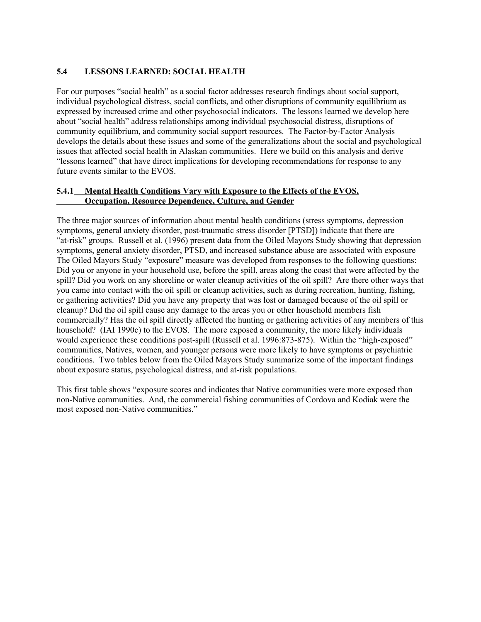## **5.4 LESSONS LEARNED: SOCIAL HEALTH**

For our purposes "social health" as a social factor addresses research findings about social support, individual psychological distress, social conflicts, and other disruptions of community equilibrium as expressed by increased crime and other psychosocial indicators. The lessons learned we develop here about "social health" address relationships among individual psychosocial distress, disruptions of community equilibrium, and community social support resources. The Factor-by-Factor Analysis develops the details about these issues and some of the generalizations about the social and psychological issues that affected social health in Alaskan communities. Here we build on this analysis and derive "lessons learned" that have direct implications for developing recommendations for response to any future events similar to the EVOS.

### **5.4.1 Mental Health Conditions Vary with Exposure to the Effects of the EVOS, Occupation, Resource Dependence, Culture, and Gender**

The three major sources of information about mental health conditions (stress symptoms, depression symptoms, general anxiety disorder, post-traumatic stress disorder [PTSD]) indicate that there are "at-risk" groups. Russell et al. (1996) present data from the Oiled Mayors Study showing that depression symptoms, general anxiety disorder, PTSD, and increased substance abuse are associated with exposure The Oiled Mayors Study "exposure" measure was developed from responses to the following questions: Did you or anyone in your household use, before the spill, areas along the coast that were affected by the spill? Did you work on any shoreline or water cleanup activities of the oil spill? Are there other ways that you came into contact with the oil spill or cleanup activities, such as during recreation, hunting, fishing, or gathering activities? Did you have any property that was lost or damaged because of the oil spill or cleanup? Did the oil spill cause any damage to the areas you or other household members fish commercially? Has the oil spill directly affected the hunting or gathering activities of any members of this household? (IAI 1990c) to the EVOS. The more exposed a community, the more likely individuals would experience these conditions post-spill (Russell et al. 1996:873-875). Within the "high-exposed" communities, Natives, women, and younger persons were more likely to have symptoms or psychiatric conditions. Two tables below from the Oiled Mayors Study summarize some of the important findings about exposure status, psychological distress, and at-risk populations.

This first table shows "exposure scores and indicates that Native communities were more exposed than non-Native communities. And, the commercial fishing communities of Cordova and Kodiak were the most exposed non-Native communities."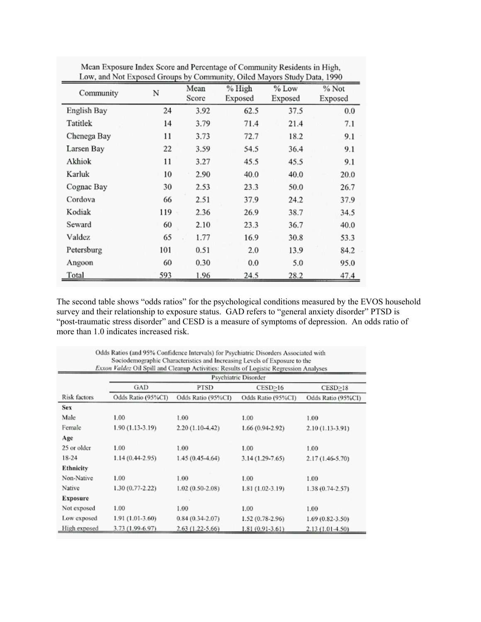| Low, and Not Exposed Groups by Community, Oiled Mayors Study Data, 1990 |     |               |                   |                  |                  |
|-------------------------------------------------------------------------|-----|---------------|-------------------|------------------|------------------|
| Community                                                               | N   | Mean<br>Score | % High<br>Exposed | % Low<br>Exposed | % Not<br>Exposed |
| English Bay                                                             | 24  | 3.92          | 62.5              | 37.5             | 0.0              |
| Tatitlek                                                                | 14  | 3.79          | 71.4              | 21.4             | 7.1              |
| Chenega Bay                                                             | 11  | 3.73          | 72.7              | 18.2             | 9.1              |
| Larsen Bay                                                              | 22  | 3.59          | 54.5              | 36.4             | 9.1              |
| Akhiok                                                                  | 11  | 3.27          | 45.5              | 45.5             | 9.1              |
| Karluk                                                                  | 10  | 2.90          | 40.0              | 40.0             | 20.0             |
| Cognac Bay                                                              | 30  | 2.53          | 23.3              | 50.0             | 26.7             |
| Cordova                                                                 | 66  | 2.51          | 37.9              | 24.2             | 37.9             |
| Kodiak                                                                  | 119 | 2.36          | 26.9              | 38.7             | 34.5             |
| Seward                                                                  | 60  | 2.10          | 23.3              | 36.7             | 40.0             |
| Valdez                                                                  | 65  | 1.77          | 16.9              | 30.8             | 53.3             |
| Petersburg                                                              | 101 | 0.51          | 2.0               | 13.9             | 84.2             |
| Angoon                                                                  | 60  | 0.30          | 0.0               | 5.0              | 95.0             |
| Total                                                                   | 593 | 1.96          | 24.5              | 28.2             | 47.4             |

Mean Exposure Index Score and Percentage of Community Residents in High,

The second table shows "odds ratios" for the psychological conditions measured by the EVOS household survey and their relationship to exposure status. GAD refers to "general anxiety disorder" PTSD is "post-traumatic stress disorder" and CESD is a measure of symptoms of depression. An odds ratio of more than 1.0 indicates increased risk.

| Sociodemographic Characteristics and Increasing Levels of Exposure to the<br>Exxon Valdez Oil Spill and Cleanup Activities: Results of Logistic Regression Analyses |                      |                    |                    |                     |
|---------------------------------------------------------------------------------------------------------------------------------------------------------------------|----------------------|--------------------|--------------------|---------------------|
|                                                                                                                                                                     | Psychiatric Disorder |                    |                    |                     |
|                                                                                                                                                                     | GAD                  | <b>PTSD</b>        | CESD>16            | CESD>18             |
| Risk factors                                                                                                                                                        | Odds Ratio (95%CI)   | Odds Ratio (95%CI) | Odds Ratio (95%CI) | Odds Ratio (95%CI)  |
| Sex                                                                                                                                                                 |                      |                    |                    |                     |
| Male                                                                                                                                                                | 1.00                 | 1.00               | 1.00               | 1.00                |
| Female                                                                                                                                                              | 1.90 (1.13-3.19)     | 2.20 (1.10-4.42)   | 1.66 (0.94-2.92)   | 2.10 (1.13-3.91)    |
| Age                                                                                                                                                                 |                      |                    |                    |                     |
| 25 or older                                                                                                                                                         | 1.00                 | 1.00               | 1.00               | 1.00                |
| $18-24$                                                                                                                                                             | 1.14 (0.44-2.95)     | 1.45 (0.45-4.64)   | 3.14 (1.29-7.65)   | 2.17 (1.46-5.70)    |
| Ethnicity                                                                                                                                                           |                      |                    |                    |                     |
| Non-Native                                                                                                                                                          | 1.00                 | 1.00               | 1.00               | 1.00                |
| Native                                                                                                                                                              | 1.30 (0.77-2.22)     | 1.02 (0.50-2.08)   | 1.81 (1.02-3.19)   | 1.38 (0.74-2.57)    |
| Exposure                                                                                                                                                            |                      |                    |                    |                     |
| Not exposed                                                                                                                                                         | 1.00                 | 1.00               | 1.00               | 1.00                |
| Low exposed                                                                                                                                                         | 1.91 (1.01-3.60)     | $0.84(0.34-2.07)$  | 1.52 (0.78-2.96)   | $1.69(0.82 - 3.50)$ |
| High exposed                                                                                                                                                        | 3.73 (1.99-6.97)     | 2.63 (1.22-5.66)   | 1.81 (0.91-3.61)   | $2.13(1.01-4.50)$   |

Odds Ratios (and 95% Confidence Intervals) for Psychiatric Disorders Associated with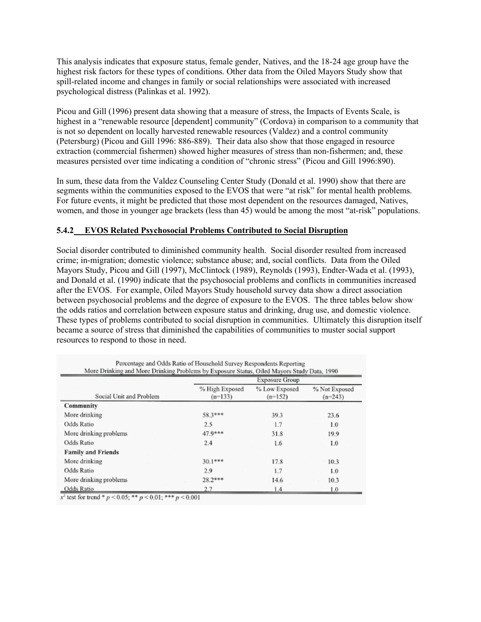This analysis indicates that exposure status, female gender, Natives, and the 18-24 age group have the highest risk factors for these types of conditions. Other data from the Oiled Mayors Study show that spill-related income and changes in family or social relationships were associated with increased psychological distress (Palinkas et al. 1992).

Picou and Gill (1996) present data showing that a measure of stress, the Impacts of Events Scale, is highest in a "renewable resource [dependent] community" (Cordova) in comparison to a community that is not so dependent on locally harvested renewable resources (Valdez) and a control community (Petersburg) (Picou and Gill 1996: 886-889). Their data also show that those engaged in resource extraction (commercial fishermen) showed higher measures of stress than non-fishermen; and, these measures persisted over time indicating a condition of "chronic stress" (Picou and Gill 1996:890).

In sum, these data from the Valdez Counseling Center Study (Donald et al. 1990) show that there are segments within the communities exposed to the EVOS that were "at risk" for mental health problems. For future events, it might be predicted that those most dependent on the resources damaged, Natives, women, and those in younger age brackets (less than 45) would be among the most "at-risk" populations.

### **5.4.2 EVOS Related Psychosocial Problems Contributed to Social Disruption**

Social disorder contributed to diminished community health. Social disorder resulted from increased crime; in-migration; domestic violence; substance abuse; and, social conflicts. Data from the Oiled Mayors Study, Picou and Gill (1997), McClintock (1989), Reynolds (1993), Endter-Wada et al. (1993), and Donald et al. (1990) indicate that the psychosocial problems and conflicts in communities increased after the EVOS. For example, Oiled Mayors Study household survey data show a direct association between psychosocial problems and the degree of exposure to the EVOS. The three tables below show the odds ratios and correlation between exposure status and drinking, drug use, and domestic violence. These types of problems contributed to social disruption in communities. Ultimately this disruption itself became a source of stress that diminished the capabilities of communities to muster social support resources to respond to those in need.

|                           | Exposure Group              |                            |                            |  |
|---------------------------|-----------------------------|----------------------------|----------------------------|--|
| Social Unit and Problem   | % High Exposed<br>$(n=133)$ | % Low Exposed<br>$(n=152)$ | % Not Exposed<br>$(n=243)$ |  |
| Community                 |                             |                            |                            |  |
| More drinking             | 58.3***                     | 39.3                       | 23.6                       |  |
| Odds Ratio                | 2.5                         | 1.7                        | 1.0                        |  |
| More drinking problems    | $47.9***$                   | 31.8                       | 19.9                       |  |
| Odds Ratio                | 2.4                         | 1.6                        | 1.0                        |  |
| <b>Family and Friends</b> |                             |                            |                            |  |
| More drinking             | $30.1***$                   | 17.8                       | 10.3                       |  |
| Odds Ratio                | 2.9                         | 1.7                        | 1.0                        |  |
| More drinking problems    | $28.2***$                   | 14.6                       | 10.3                       |  |
| Odds Ratio                | 2.7                         | 1.4                        | 1.0                        |  |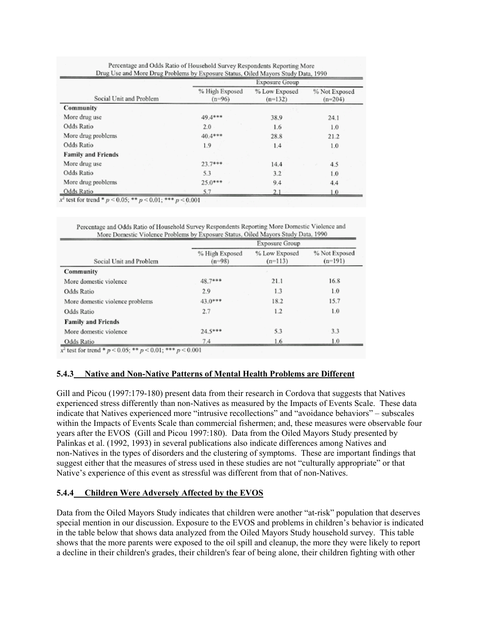|                           | Exposure Group             |                            |                            |  |
|---------------------------|----------------------------|----------------------------|----------------------------|--|
| Social Unit and Problem   | % High Exposed<br>$(n=96)$ | % Low Exposed<br>$(n=132)$ | % Not Exposed<br>$(n=204)$ |  |
| Community                 |                            |                            |                            |  |
| More drug use             | 49.4***                    | 38.9                       | 24.1                       |  |
| Odds Ratio                | 2.0                        | 1.6                        | 1.0                        |  |
| More drug problems        | 40.4***                    | 28.8                       | 21.2                       |  |
| Odds Ratio                | 1.9                        | 1.4                        | 1.0                        |  |
| <b>Family and Friends</b> |                            |                            |                            |  |
| More drug use             | $23.7***$                  | 14.4                       | 4.5                        |  |
| Odds Ratio                | 5.3                        | 3.2                        | 1.0                        |  |
| More drug problems        | $25.0***$                  | 9.4                        | 4.4                        |  |
| Odds Ratio                | 5.7                        | 2.1                        | 1.0                        |  |

المستحقق والمتحدث والمستحدث والمستحدث والمستحدث

x<sup>2</sup> test for trend \*  $p$  < 0.05; \*\*  $p$  < 0.01; \*\*\*  $p$  < 0.001

|                                 | Exposure Group             |                            |                            |  |
|---------------------------------|----------------------------|----------------------------|----------------------------|--|
| Social Unit and Problem         | % High Exposed<br>$(n=98)$ | % Low Exposed<br>$(n=113)$ | % Not Exposed<br>$(n=191)$ |  |
| Community                       |                            |                            |                            |  |
| More domestic violence          | 48.7***                    | 21.1                       | 16.8                       |  |
| Odds Ratio                      | 2.9                        | 1.3                        | 1.0                        |  |
| More domestic violence problems | $43.0***$                  | 18.2                       | 15.7                       |  |
| Odds Ratio                      | 2.7                        | 1.2                        | 1.0                        |  |
| <b>Family and Friends</b>       |                            |                            |                            |  |
| More domestic violence          | $24.5***$                  | 5.3                        | 3.3                        |  |
| Odds Ratio                      | 7.4                        | 1.6                        | 1.0                        |  |

x<sup>\*</sup> test for trend  $\frac{p}{q}$  < 0.05;  $\frac{p}{q}$  < 0.01;  $\frac{p}{q}$  = 0.001

## **5.4.3 Native and Non-Native Patterns of Mental Health Problems are Different**

Gill and Picou (1997:179-180) present data from their research in Cordova that suggests that Natives experienced stress differently than non-Natives as measured by the Impacts of Events Scale. These data indicate that Natives experienced more "intrusive recollections" and "avoidance behaviors" – subscales within the Impacts of Events Scale than commercial fishermen; and, these measures were observable four years after the EVOS (Gill and Picou 1997:180). Data from the Oiled Mayors Study presented by Palinkas et al. (1992, 1993) in several publications also indicate differences among Natives and non-Natives in the types of disorders and the clustering of symptoms. These are important findings that suggest either that the measures of stress used in these studies are not "culturally appropriate" or that Native's experience of this event as stressful was different from that of non-Natives.

#### **5.4.4 Children Were Adversely Affected by the EVOS**

Data from the Oiled Mayors Study indicates that children were another "at-risk" population that deserves special mention in our discussion. Exposure to the EVOS and problems in children's behavior is indicated in the table below that shows data analyzed from the Oiled Mayors Study household survey. This table shows that the more parents were exposed to the oil spill and cleanup, the more they were likely to report a decline in their children's grades, their children's fear of being alone, their children fighting with other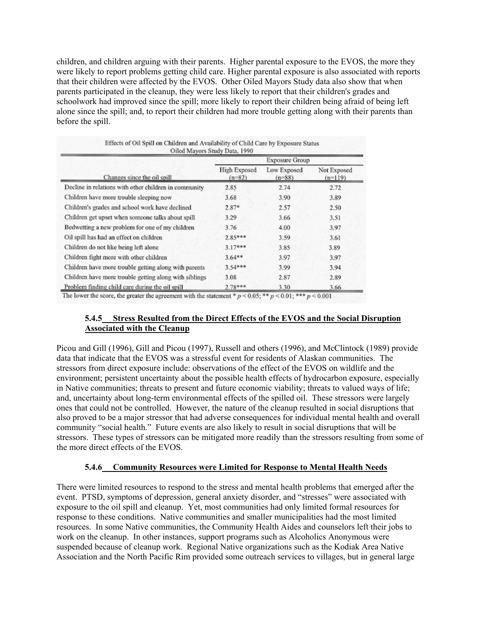children, and children arguing with their parents. Higher parental exposure to the EVOS, the more they were likely to report problems getting child care. Higher parental exposure is also associated with reports that their children were affected by the EVOS. Other Oiled Mayors Study data also show that when parents participated in the cleanup, they were less likely to report that their children's grades and schoolwork had improved since the spill; more likely to report their children being afraid of being left alone since the spill; and, to report their children had more trouble getting along with their parents than before the spill.

|                                                        | <b>Exposure Group</b>           |                         |                          |  |
|--------------------------------------------------------|---------------------------------|-------------------------|--------------------------|--|
| Changes since the oil spill                            | <b>High Exposed</b><br>$(n=82)$ | Low Exposed<br>$(n=88)$ | Not Exposed<br>$(n=119)$ |  |
| Decline in relations with other children in community  | 2.85                            | 2.74                    | 2.72                     |  |
| Children have more trouble sleeping now                | 3.68                            | 3.90                    | 3.89                     |  |
| Children's grades and school work have declined        | $2.87*$                         | 2.57                    | 2.50                     |  |
| Children get upset when someone talks about spill      | 3.29                            | 3.66                    | 3.51                     |  |
| Bedwetting a new problem for one of my children        | 3.76                            | 4.00                    | 3.97                     |  |
| Oil spill has had an effect on children                | $2.85***$                       | 3.59                    | 3.61                     |  |
| Children do not like being left alone                  | $3.17***$                       | 3.85                    | 3.89                     |  |
| Children fight more with other children                | $3.64**$                        | 3.97                    | 3.97                     |  |
| Children have more trouble getting along with parents  | $3.54***$                       | 3.99                    | 3.94                     |  |
| Children have more trouble getting along with siblings | 3.08                            | 2.87                    | 2.89                     |  |
| Problem finding child care during the oil spill        | $2.78***$                       | 3.30                    | 3.66                     |  |

The lower the score, the greater the agreement with the statement \*  $p < 0.05$ ; \*\*  $p < 0.01$ ; \*\*\*  $p < 0.001$ .

## **5.4.5 Stress Resulted from the Direct Effects of the EVOS and the Social Disruption Associated with the Cleanup**

Picou and Gill (1996), Gill and Picou (1997), Russell and others (1996), and McClintock (1989) provide data that indicate that the EVOS was a stressful event for residents of Alaskan communities. The stressors from direct exposure include: observations of the effect of the EVOS on wildlife and the environment; persistent uncertainty about the possible health effects of hydrocarbon exposure, especially in Native communities; threats to present and future economic viability; threats to valued ways of life; and, uncertainty about long-term environmental effects of the spilled oil. These stressors were largely ones that could not be controlled. However, the nature of the cleanup resulted in social disruptions that also proved to be a major stressor that had adverse consequences for individual mental health and overall community "social health." Future events are also likely to result in social disruptions that will be stressors. These types of stressors can be mitigated more readily than the stressors resulting from some of the more direct effects of the EVOS.

#### **5.4.6 Community Resources were Limited for Response to Mental Health Needs**

There were limited resources to respond to the stress and mental health problems that emerged after the event. PTSD, symptoms of depression, general anxiety disorder, and "stresses" were associated with exposure to the oil spill and cleanup. Yet, most communities had only limited formal resources for response to these conditions. Native communities and smaller municipalities had the most limited resources. In some Native communities, the Community Health Aides and counselors left their jobs to work on the cleanup. In other instances, support programs such as Alcoholics Anonymous were suspended because of cleanup work. Regional Native organizations such as the Kodiak Area Native Association and the North Pacific Rim provided some outreach services to villages, but in general large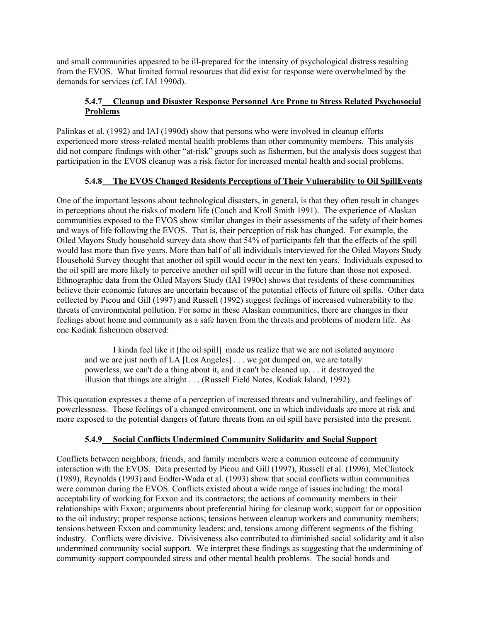and small communities appeared to be ill-prepared for the intensity of psychological distress resulting from the EVOS. What limited formal resources that did exist for response were overwhelmed by the demands for services (cf. IAI 1990d).

### **5.4.7 Cleanup and Disaster Response Personnel Are Prone to Stress Related Psychosocial Problems**

Palinkas et al. (1992) and IAI (1990d) show that persons who were involved in cleanup efforts experienced more stress-related mental health problems than other community members. This analysis did not compare findings with other "at-risk" groups such as fishermen, but the analysis does suggest that participation in the EVOS cleanup was a risk factor for increased mental health and social problems.

## **5.4.8 The EVOS Changed Residents Perceptions of Their Vulnerability to Oil SpillEvents**

One of the important lessons about technological disasters, in general, is that they often result in changes in perceptions about the risks of modern life (Couch and Kroll Smith 1991). The experience of Alaskan communities exposed to the EVOS show similar changes in their assessments of the safety of their homes and ways of life following the EVOS. That is, their perception of risk has changed. For example, the Oiled Mayors Study household survey data show that 54% of participants felt that the effects of the spill would last more than five years. More than half of all individuals interviewed for the Oiled Mayors Study Household Survey thought that another oil spill would occur in the next ten years. Individuals exposed to the oil spill are more likely to perceive another oil spill will occur in the future than those not exposed. Ethnographic data from the Oiled Mayors Study (IAI 1990c) shows that residents of these communities believe their economic futures are uncertain because of the potential effects of future oil spills. Other data collected by Picou and Gill (1997) and Russell (1992) suggest feelings of increased vulnerability to the threats of environmental pollution. For some in these Alaskan communities, there are changes in their feelings about home and community as a safe haven from the threats and problems of modern life. As one Kodiak fishermen observed:

I kinda feel like it [the oil spill] made us realize that we are not isolated anymore and we are just north of LA [Los Angeles] . . . we got dumped on, we are totally powerless, we can't do a thing about it, and it can't be cleaned up. . . it destroyed the illusion that things are alright . . . (Russell Field Notes, Kodiak Island, 1992).

This quotation expresses a theme of a perception of increased threats and vulnerability, and feelings of powerlessness. These feelings of a changed environment, one in which individuals are more at risk and more exposed to the potential dangers of future threats from an oil spill have persisted into the present.

# **5.4.9 Social Conflicts Undermined Community Solidarity and Social Support**

Conflicts between neighbors, friends, and family members were a common outcome of community interaction with the EVOS. Data presented by Picou and Gill (1997), Russell et al. (1996), McClintock (1989), Reynolds (1993) and Endter-Wada et al. (1993) show that social conflicts within communities were common during the EVOS. Conflicts existed about a wide range of issues including: the moral acceptability of working for Exxon and its contractors; the actions of community members in their relationships with Exxon; arguments about preferential hiring for cleanup work; support for or opposition to the oil industry; proper response actions; tensions between cleanup workers and community members; tensions between Exxon and community leaders; and, tensions among different segments of the fishing industry. Conflicts were divisive. Divisiveness also contributed to diminished social solidarity and it also undermined community social support. We interpret these findings as suggesting that the undermining of community support compounded stress and other mental health problems. The social bonds and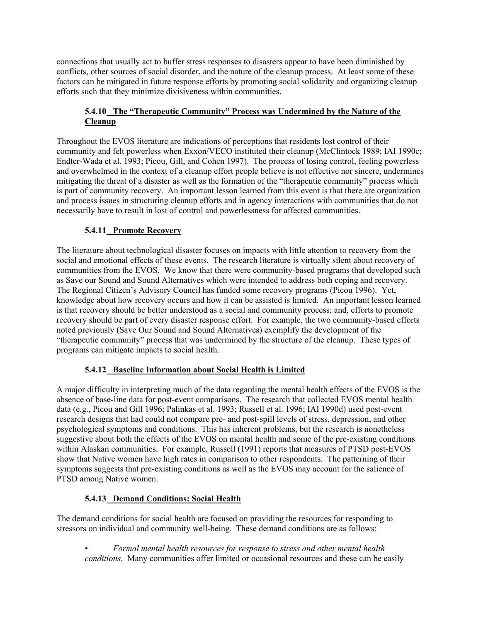connections that usually act to buffer stress responses to disasters appear to have been diminished by conflicts, other sources of social disorder, and the nature of the cleanup process. At least some of these factors can be mitigated in future response efforts by promoting social solidarity and organizing cleanup efforts such that they minimize divisiveness within communities.

## **5.4.10 The "Therapeutic Community" Process was Undermined by the Nature of the Cleanup**

Throughout the EVOS literature are indications of perceptions that residents lost control of their community and felt powerless when Exxon/VECO instituted their cleanup (McClintock 1989; IAI 1990c; Endter-Wada et al. 1993; Picou, Gill, and Cohen 1997). The process of losing control, feeling powerless and overwhelmed in the context of a cleanup effort people believe is not effective nor sincere, undermines mitigating the threat of a disaster as well as the formation of the "therapeutic community" process which is part of community recovery. An important lesson learned from this event is that there are organization and process issues in structuring cleanup efforts and in agency interactions with communities that do not necessarily have to result in lost of control and powerlessness for affected communities.

# **5.4.11 Promote Recovery**

The literature about technological disaster focuses on impacts with little attention to recovery from the social and emotional effects of these events. The research literature is virtually silent about recovery of communities from the EVOS. We know that there were community-based programs that developed such as Save our Sound and Sound Alternatives which were intended to address both coping and recovery. The Regional Citizen's Advisory Council has funded some recovery programs (Picou 1996). Yet, knowledge about how recovery occurs and how it can be assisted is limited. An important lesson learned is that recovery should be better understood as a social and community process; and, efforts to promote recovery should be part of every disaster response effort. For example, the two community-based efforts noted previously (Save Our Sound and Sound Alternatives) exemplify the development of the "therapeutic community" process that was undermined by the structure of the cleanup. These types of programs can mitigate impacts to social health.

# **5.4.12 Baseline Information about Social Health is Limited**

A major difficulty in interpreting much of the data regarding the mental health effects of the EVOS is the absence of base-line data for post-event comparisons. The research that collected EVOS mental health data (e.g., Picou and Gill 1996; Palinkas et al. 1993; Russell et al. 1996; IAI 1990d) used post-event research designs that had could not compare pre- and post-spill levels of stress, depression, and other psychological symptoms and conditions. This has inherent problems, but the research is nonetheless suggestive about both the effects of the EVOS on mental health and some of the pre-existing conditions within Alaskan communities. For example, Russell (1991) reports that measures of PTSD post-EVOS show that Native women have high rates in comparison to other respondents. The patterning of their symptoms suggests that pre-existing conditions as well as the EVOS may account for the salience of PTSD among Native women.

# **5.4.13 Demand Conditions: Social Health**

The demand conditions for social health are focused on providing the resources for responding to stressors on individual and community well-being. These demand conditions are as follows:

• *Formal mental health resources for response to stress and other mental health conditions.* Many communities offer limited or occasional resources and these can be easily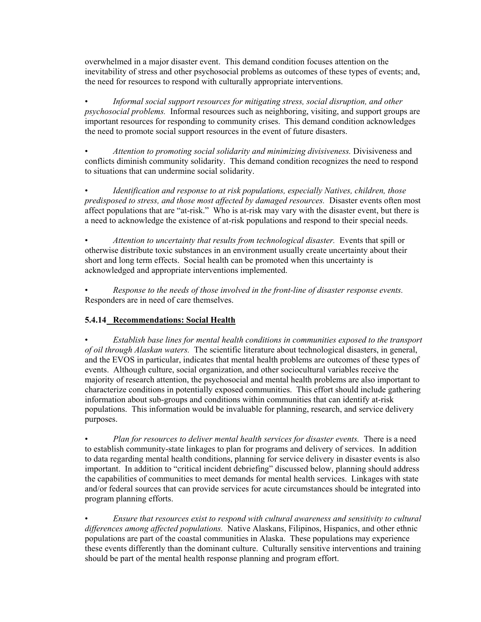overwhelmed in a major disaster event. This demand condition focuses attention on the inevitability of stress and other psychosocial problems as outcomes of these types of events; and, the need for resources to respond with culturally appropriate interventions.

• *Informal social support resources for mitigating stress, social disruption, and other psychosocial problems.* Informal resources such as neighboring, visiting, and support groups are important resources for responding to community crises. This demand condition acknowledges the need to promote social support resources in the event of future disasters.

• *Attention to promoting social solidarity and minimizing divisiveness.* Divisiveness and conflicts diminish community solidarity. This demand condition recognizes the need to respond to situations that can undermine social solidarity.

• *Identification and response to at risk populations, especially Natives, children, those predisposed to stress, and those most affected by damaged resources.* Disaster events often most affect populations that are "at-risk." Who is at-risk may vary with the disaster event, but there is a need to acknowledge the existence of at-risk populations and respond to their special needs.

• *Attention to uncertainty that results from technological disaster.* Events that spill or otherwise distribute toxic substances in an environment usually create uncertainty about their short and long term effects. Social health can be promoted when this uncertainty is acknowledged and appropriate interventions implemented.

• *Response to the needs of those involved in the front-line of disaster response events.*  Responders are in need of care themselves.

## **5.4.14 Recommendations: Social Health**

• *Establish base lines for mental health conditions in communities exposed to the transport of oil through Alaskan waters.* The scientific literature about technological disasters, in general, and the EVOS in particular, indicates that mental health problems are outcomes of these types of events. Although culture, social organization, and other sociocultural variables receive the majority of research attention, the psychosocial and mental health problems are also important to characterize conditions in potentially exposed communities. This effort should include gathering information about sub-groups and conditions within communities that can identify at-risk populations. This information would be invaluable for planning, research, and service delivery purposes.

• *Plan for resources to deliver mental health services for disaster events.* There is a need to establish community-state linkages to plan for programs and delivery of services. In addition to data regarding mental health conditions, planning for service delivery in disaster events is also important. In addition to "critical incident debriefing" discussed below, planning should address the capabilities of communities to meet demands for mental health services. Linkages with state and/or federal sources that can provide services for acute circumstances should be integrated into program planning efforts.

• *Ensure that resources exist to respond with cultural awareness and sensitivity to cultural differences among affected populations.* Native Alaskans, Filipinos, Hispanics, and other ethnic populations are part of the coastal communities in Alaska. These populations may experience these events differently than the dominant culture. Culturally sensitive interventions and training should be part of the mental health response planning and program effort.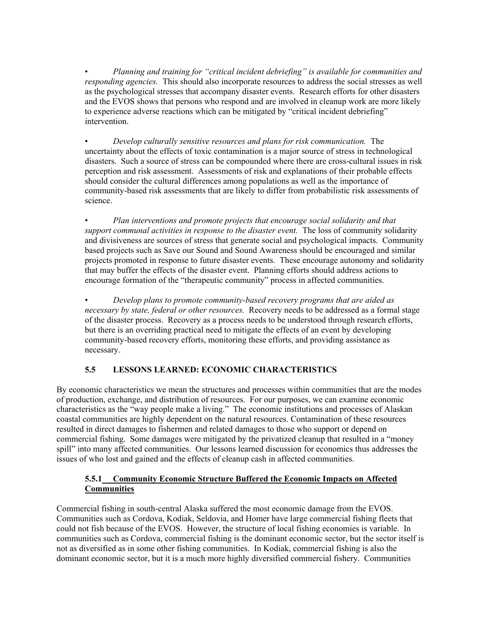• *Planning and training for "critical incident debriefing" is available for communities and responding agencies.* This should also incorporate resources to address the social stresses as well as the psychological stresses that accompany disaster events. Research efforts for other disasters and the EVOS shows that persons who respond and are involved in cleanup work are more likely to experience adverse reactions which can be mitigated by "critical incident debriefing" intervention.

• *Develop culturally sensitive resources and plans for risk communication.* The uncertainty about the effects of toxic contamination is a major source of stress in technological disasters. Such a source of stress can be compounded where there are cross-cultural issues in risk perception and risk assessment. Assessments of risk and explanations of their probable effects should consider the cultural differences among populations as well as the importance of community-based risk assessments that are likely to differ from probabilistic risk assessments of science.

• *Plan interventions and promote projects that encourage social solidarity and that support communal activities in response to the disaster event.* The loss of community solidarity and divisiveness are sources of stress that generate social and psychological impacts. Community based projects such as Save our Sound and Sound Awareness should be encouraged and similar projects promoted in response to future disaster events. These encourage autonomy and solidarity that may buffer the effects of the disaster event. Planning efforts should address actions to encourage formation of the "therapeutic community" process in affected communities.

• *Develop plans to promote community-based recovery programs that are aided as necessary by state, federal or other resources.* Recovery needs to be addressed as a formal stage of the disaster process. Recovery as a process needs to be understood through research efforts, but there is an overriding practical need to mitigate the effects of an event by developing community-based recovery efforts, monitoring these efforts, and providing assistance as necessary.

# **5.5 LESSONS LEARNED: ECONOMIC CHARACTERISTICS**

By economic characteristics we mean the structures and processes within communities that are the modes of production, exchange, and distribution of resources. For our purposes, we can examine economic characteristics as the "way people make a living." The economic institutions and processes of Alaskan coastal communities are highly dependent on the natural resources. Contamination of these resources resulted in direct damages to fishermen and related damages to those who support or depend on commercial fishing. Some damages were mitigated by the privatized cleanup that resulted in a "money spill" into many affected communities. Our lessons learned discussion for economics thus addresses the issues of who lost and gained and the effects of cleanup cash in affected communities.

## **5.5.1 Community Economic Structure Buffered the Economic Impacts on Affected Communities**

Commercial fishing in south-central Alaska suffered the most economic damage from the EVOS. Communities such as Cordova, Kodiak, Seldovia, and Homer have large commercial fishing fleets that could not fish because of the EVOS. However, the structure of local fishing economies is variable. In communities such as Cordova, commercial fishing is the dominant economic sector, but the sector itself is not as diversified as in some other fishing communities. In Kodiak, commercial fishing is also the dominant economic sector, but it is a much more highly diversified commercial fishery. Communities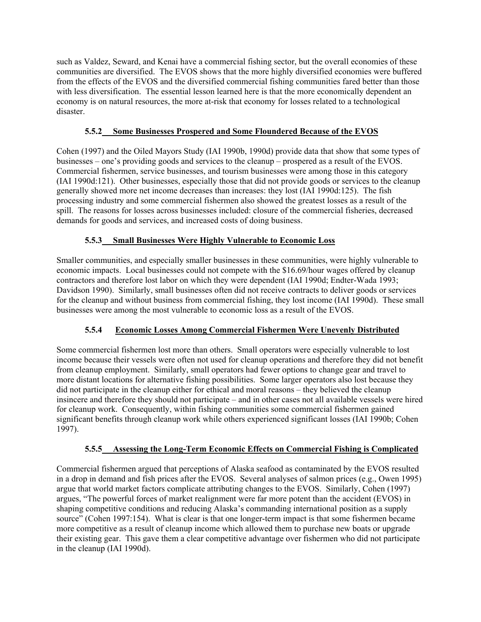such as Valdez, Seward, and Kenai have a commercial fishing sector, but the overall economies of these communities are diversified. The EVOS shows that the more highly diversified economies were buffered from the effects of the EVOS and the diversified commercial fishing communities fared better than those with less diversification. The essential lesson learned here is that the more economically dependent an economy is on natural resources, the more at-risk that economy for losses related to a technological disaster.

## **5.5.2 Some Businesses Prospered and Some Floundered Because of the EVOS**

Cohen (1997) and the Oiled Mayors Study (IAI 1990b, 1990d) provide data that show that some types of businesses – one's providing goods and services to the cleanup – prospered as a result of the EVOS. Commercial fishermen, service businesses, and tourism businesses were among those in this category (IAI 1990d:121). Other businesses, especially those that did not provide goods or services to the cleanup generally showed more net income decreases than increases: they lost (IAI 1990d:125). The fish processing industry and some commercial fishermen also showed the greatest losses as a result of the spill. The reasons for losses across businesses included: closure of the commercial fisheries, decreased demands for goods and services, and increased costs of doing business.

# **5.5.3 Small Businesses Were Highly Vulnerable to Economic Loss**

Smaller communities, and especially smaller businesses in these communities, were highly vulnerable to economic impacts. Local businesses could not compete with the \$16.69/hour wages offered by cleanup contractors and therefore lost labor on which they were dependent (IAI 1990d; Endter-Wada 1993; Davidson 1990). Similarly, small businesses often did not receive contracts to deliver goods or services for the cleanup and without business from commercial fishing, they lost income (IAI 1990d). These small businesses were among the most vulnerable to economic loss as a result of the EVOS.

# **5.5.4 Economic Losses Among Commercial Fishermen Were Unevenly Distributed**

Some commercial fishermen lost more than others. Small operators were especially vulnerable to lost income because their vessels were often not used for cleanup operations and therefore they did not benefit from cleanup employment. Similarly, small operators had fewer options to change gear and travel to more distant locations for alternative fishing possibilities. Some larger operators also lost because they did not participate in the cleanup either for ethical and moral reasons – they believed the cleanup insincere and therefore they should not participate – and in other cases not all available vessels were hired for cleanup work. Consequently, within fishing communities some commercial fishermen gained significant benefits through cleanup work while others experienced significant losses (IAI 1990b; Cohen 1997).

# **5.5.5 Assessing the Long-Term Economic Effects on Commercial Fishing is Complicated**

Commercial fishermen argued that perceptions of Alaska seafood as contaminated by the EVOS resulted in a drop in demand and fish prices after the EVOS. Several analyses of salmon prices (e.g., Owen 1995) argue that world market factors complicate attributing changes to the EVOS. Similarly, Cohen (1997) argues, "The powerful forces of market realignment were far more potent than the accident (EVOS) in shaping competitive conditions and reducing Alaska's commanding international position as a supply source" (Cohen 1997:154). What is clear is that one longer-term impact is that some fishermen became more competitive as a result of cleanup income which allowed them to purchase new boats or upgrade their existing gear. This gave them a clear competitive advantage over fishermen who did not participate in the cleanup (IAI 1990d).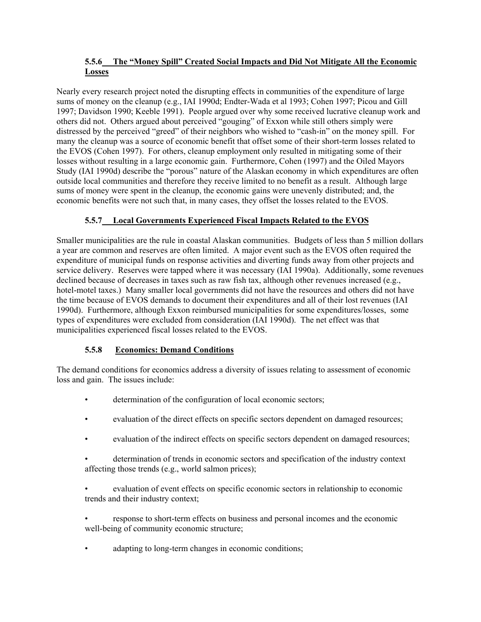## **5.5.6 The "Money Spill" Created Social Impacts and Did Not Mitigate All the Economic Losses**

Nearly every research project noted the disrupting effects in communities of the expenditure of large sums of money on the cleanup (e.g., IAI 1990d; Endter-Wada et al 1993; Cohen 1997; Picou and Gill 1997; Davidson 1990; Keeble 1991). People argued over why some received lucrative cleanup work and others did not. Others argued about perceived "gouging" of Exxon while still others simply were distressed by the perceived "greed" of their neighbors who wished to "cash-in" on the money spill. For many the cleanup was a source of economic benefit that offset some of their short-term losses related to the EVOS (Cohen 1997). For others, cleanup employment only resulted in mitigating some of their losses without resulting in a large economic gain. Furthermore, Cohen (1997) and the Oiled Mayors Study (IAI 1990d) describe the "porous" nature of the Alaskan economy in which expenditures are often outside local communities and therefore they receive limited to no benefit as a result. Although large sums of money were spent in the cleanup, the economic gains were unevenly distributed; and, the economic benefits were not such that, in many cases, they offset the losses related to the EVOS.

# **5.5.7 Local Governments Experienced Fiscal Impacts Related to the EVOS**

Smaller municipalities are the rule in coastal Alaskan communities. Budgets of less than 5 million dollars a year are common and reserves are often limited. A major event such as the EVOS often required the expenditure of municipal funds on response activities and diverting funds away from other projects and service delivery. Reserves were tapped where it was necessary (IAI 1990a). Additionally, some revenues declined because of decreases in taxes such as raw fish tax, although other revenues increased (e.g., hotel-motel taxes.) Many smaller local governments did not have the resources and others did not have the time because of EVOS demands to document their expenditures and all of their lost revenues (IAI 1990d). Furthermore, although Exxon reimbursed municipalities for some expenditures/losses, some types of expenditures were excluded from consideration (IAI 1990d). The net effect was that municipalities experienced fiscal losses related to the EVOS.

# **5.5.8 Economics: Demand Conditions**

The demand conditions for economics address a diversity of issues relating to assessment of economic loss and gain. The issues include:

- determination of the configuration of local economic sectors;
- evaluation of the direct effects on specific sectors dependent on damaged resources;
- evaluation of the indirect effects on specific sectors dependent on damaged resources;
- determination of trends in economic sectors and specification of the industry context affecting those trends (e.g., world salmon prices);
- evaluation of event effects on specific economic sectors in relationship to economic trends and their industry context;
- response to short-term effects on business and personal incomes and the economic well-being of community economic structure;
- adapting to long-term changes in economic conditions;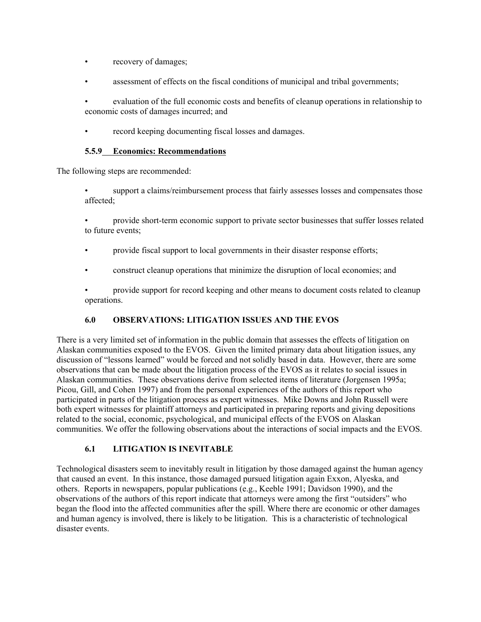- recovery of damages;
- assessment of effects on the fiscal conditions of municipal and tribal governments;
- evaluation of the full economic costs and benefits of cleanup operations in relationship to economic costs of damages incurred; and
- record keeping documenting fiscal losses and damages.

### **5.5.9 Economics: Recommendations**

The following steps are recommended:

- support a claims/reimbursement process that fairly assesses losses and compensates those affected;
- provide short-term economic support to private sector businesses that suffer losses related to future events;
- provide fiscal support to local governments in their disaster response efforts;
- construct cleanup operations that minimize the disruption of local economies; and
- provide support for record keeping and other means to document costs related to cleanup operations.

## **6.0 OBSERVATIONS: LITIGATION ISSUES AND THE EVOS**

There is a very limited set of information in the public domain that assesses the effects of litigation on Alaskan communities exposed to the EVOS. Given the limited primary data about litigation issues, any discussion of "lessons learned" would be forced and not solidly based in data. However, there are some observations that can be made about the litigation process of the EVOS as it relates to social issues in Alaskan communities. These observations derive from selected items of literature (Jorgensen 1995a; Picou, Gill, and Cohen 1997) and from the personal experiences of the authors of this report who participated in parts of the litigation process as expert witnesses. Mike Downs and John Russell were both expert witnesses for plaintiff attorneys and participated in preparing reports and giving depositions related to the social, economic, psychological, and municipal effects of the EVOS on Alaskan communities. We offer the following observations about the interactions of social impacts and the EVOS.

## **6.1 LITIGATION IS INEVITABLE**

Technological disasters seem to inevitably result in litigation by those damaged against the human agency that caused an event. In this instance, those damaged pursued litigation again Exxon, Alyeska, and others. Reports in newspapers, popular publications (e.g., Keeble 1991; Davidson 1990), and the observations of the authors of this report indicate that attorneys were among the first "outsiders" who began the flood into the affected communities after the spill. Where there are economic or other damages and human agency is involved, there is likely to be litigation. This is a characteristic of technological disaster events.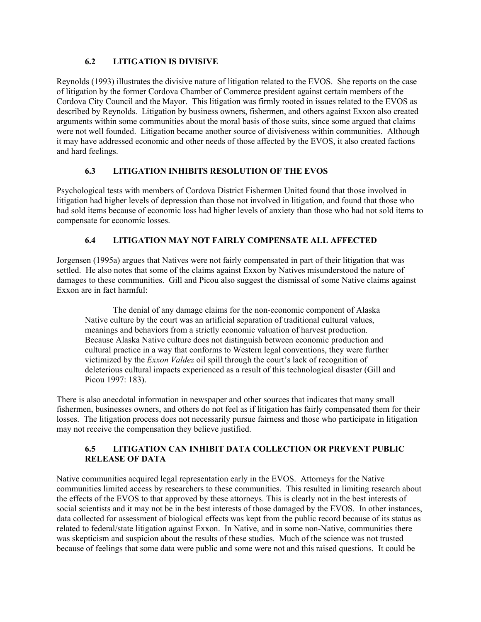## **6.2 LITIGATION IS DIVISIVE**

Reynolds (1993) illustrates the divisive nature of litigation related to the EVOS. She reports on the case of litigation by the former Cordova Chamber of Commerce president against certain members of the Cordova City Council and the Mayor. This litigation was firmly rooted in issues related to the EVOS as described by Reynolds. Litigation by business owners, fishermen, and others against Exxon also created arguments within some communities about the moral basis of those suits, since some argued that claims were not well founded. Litigation became another source of divisiveness within communities. Although it may have addressed economic and other needs of those affected by the EVOS, it also created factions and hard feelings.

## **6.3 LITIGATION INHIBITS RESOLUTION OF THE EVOS**

Psychological tests with members of Cordova District Fishermen United found that those involved in litigation had higher levels of depression than those not involved in litigation, and found that those who had sold items because of economic loss had higher levels of anxiety than those who had not sold items to compensate for economic losses.

## **6.4 LITIGATION MAY NOT FAIRLY COMPENSATE ALL AFFECTED**

Jorgensen (1995a) argues that Natives were not fairly compensated in part of their litigation that was settled. He also notes that some of the claims against Exxon by Natives misunderstood the nature of damages to these communities. Gill and Picou also suggest the dismissal of some Native claims against Exxon are in fact harmful:

The denial of any damage claims for the non-economic component of Alaska Native culture by the court was an artificial separation of traditional cultural values, meanings and behaviors from a strictly economic valuation of harvest production. Because Alaska Native culture does not distinguish between economic production and cultural practice in a way that conforms to Western legal conventions, they were further victimized by the *Exxon Valdez* oil spill through the court's lack of recognition of deleterious cultural impacts experienced as a result of this technological disaster (Gill and Picou 1997: 183).

There is also anecdotal information in newspaper and other sources that indicates that many small fishermen, businesses owners, and others do not feel as if litigation has fairly compensated them for their losses. The litigation process does not necessarily pursue fairness and those who participate in litigation may not receive the compensation they believe justified.

## **6.5 LITIGATION CAN INHIBIT DATA COLLECTION OR PREVENT PUBLIC RELEASE OF DATA**

Native communities acquired legal representation early in the EVOS. Attorneys for the Native communities limited access by researchers to these communities. This resulted in limiting research about the effects of the EVOS to that approved by these attorneys. This is clearly not in the best interests of social scientists and it may not be in the best interests of those damaged by the EVOS. In other instances, data collected for assessment of biological effects was kept from the public record because of its status as related to federal/state litigation against Exxon. In Native, and in some non-Native, communities there was skepticism and suspicion about the results of these studies. Much of the science was not trusted because of feelings that some data were public and some were not and this raised questions. It could be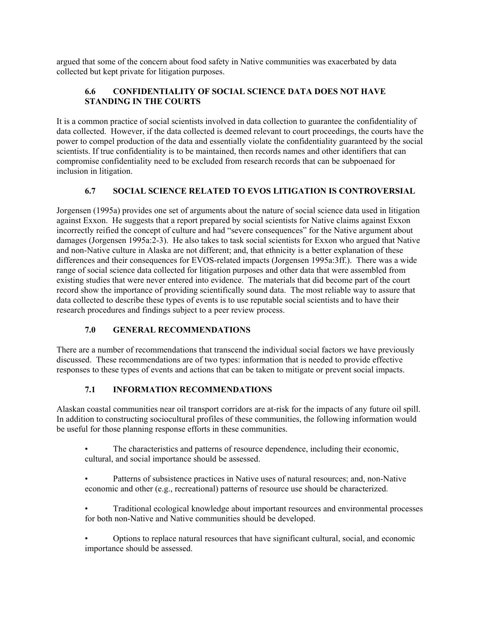argued that some of the concern about food safety in Native communities was exacerbated by data collected but kept private for litigation purposes.

## **6.6 CONFIDENTIALITY OF SOCIAL SCIENCE DATA DOES NOT HAVE STANDING IN THE COURTS**

It is a common practice of social scientists involved in data collection to guarantee the confidentiality of data collected. However, if the data collected is deemed relevant to court proceedings, the courts have the power to compel production of the data and essentially violate the confidentiality guaranteed by the social scientists. If true confidentiality is to be maintained, then records names and other identifiers that can compromise confidentiality need to be excluded from research records that can be subpoenaed for inclusion in litigation.

## **6.7 SOCIAL SCIENCE RELATED TO EVOS LITIGATION IS CONTROVERSIAL**

Jorgensen (1995a) provides one set of arguments about the nature of social science data used in litigation against Exxon. He suggests that a report prepared by social scientists for Native claims against Exxon incorrectly reified the concept of culture and had "severe consequences" for the Native argument about damages (Jorgensen 1995a:2-3). He also takes to task social scientists for Exxon who argued that Native and non-Native culture in Alaska are not different; and, that ethnicity is a better explanation of these differences and their consequences for EVOS-related impacts (Jorgensen 1995a:3ff.). There was a wide range of social science data collected for litigation purposes and other data that were assembled from existing studies that were never entered into evidence. The materials that did become part of the court record show the importance of providing scientifically sound data. The most reliable way to assure that data collected to describe these types of events is to use reputable social scientists and to have their research procedures and findings subject to a peer review process.

# **7.0 GENERAL RECOMMENDATIONS**

There are a number of recommendations that transcend the individual social factors we have previously discussed. These recommendations are of two types: information that is needed to provide effective responses to these types of events and actions that can be taken to mitigate or prevent social impacts.

# **7.1 INFORMATION RECOMMENDATIONS**

Alaskan coastal communities near oil transport corridors are at-risk for the impacts of any future oil spill. In addition to constructing sociocultural profiles of these communities, the following information would be useful for those planning response efforts in these communities.

- The characteristics and patterns of resource dependence, including their economic, cultural, and social importance should be assessed.
- Patterns of subsistence practices in Native uses of natural resources; and, non-Native economic and other (e.g., recreational) patterns of resource use should be characterized.
- Traditional ecological knowledge about important resources and environmental processes for both non-Native and Native communities should be developed.
- Options to replace natural resources that have significant cultural, social, and economic importance should be assessed.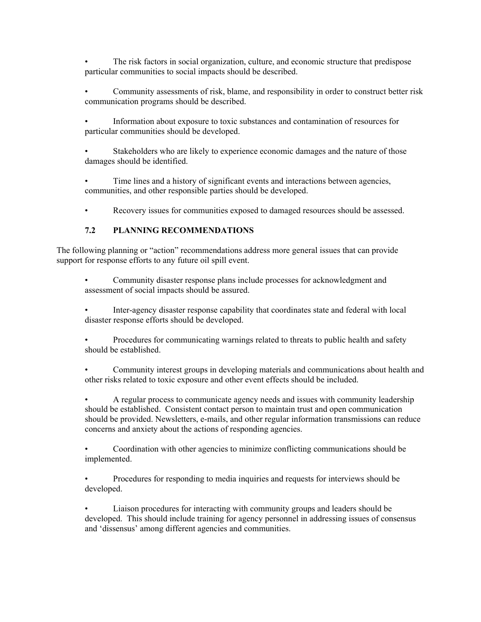• The risk factors in social organization, culture, and economic structure that predispose particular communities to social impacts should be described.

• Community assessments of risk, blame, and responsibility in order to construct better risk communication programs should be described.

• Information about exposure to toxic substances and contamination of resources for particular communities should be developed.

Stakeholders who are likely to experience economic damages and the nature of those damages should be identified.

Time lines and a history of significant events and interactions between agencies, communities, and other responsible parties should be developed.

• Recovery issues for communities exposed to damaged resources should be assessed.

### **7.2 PLANNING RECOMMENDATIONS**

The following planning or "action" recommendations address more general issues that can provide support for response efforts to any future oil spill event.

• Community disaster response plans include processes for acknowledgment and assessment of social impacts should be assured.

• Inter-agency disaster response capability that coordinates state and federal with local disaster response efforts should be developed.

• Procedures for communicating warnings related to threats to public health and safety should be established.

• Community interest groups in developing materials and communications about health and other risks related to toxic exposure and other event effects should be included.

• A regular process to communicate agency needs and issues with community leadership should be established. Consistent contact person to maintain trust and open communication should be provided. Newsletters, e-mails, and other regular information transmissions can reduce concerns and anxiety about the actions of responding agencies.

• Coordination with other agencies to minimize conflicting communications should be implemented.

• Procedures for responding to media inquiries and requests for interviews should be developed.

• Liaison procedures for interacting with community groups and leaders should be developed. This should include training for agency personnel in addressing issues of consensus and 'dissensus' among different agencies and communities.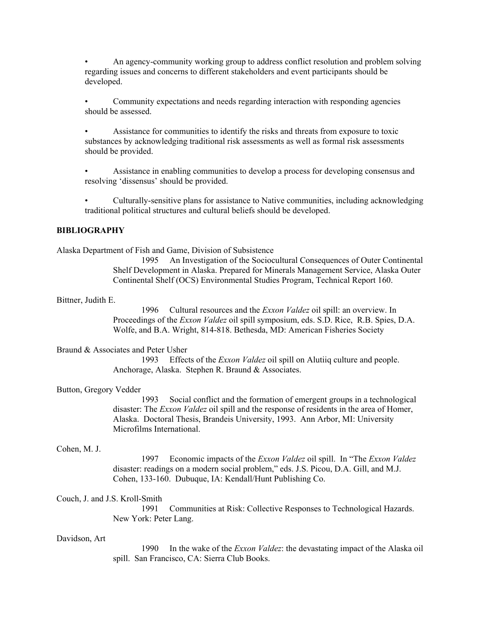• An agency-community working group to address conflict resolution and problem solving regarding issues and concerns to different stakeholders and event participants should be developed.

• Community expectations and needs regarding interaction with responding agencies should be assessed.

• Assistance for communities to identify the risks and threats from exposure to toxic substances by acknowledging traditional risk assessments as well as formal risk assessments should be provided.

• Assistance in enabling communities to develop a process for developing consensus and resolving 'dissensus' should be provided.

• Culturally-sensitive plans for assistance to Native communities, including acknowledging traditional political structures and cultural beliefs should be developed.

#### **BIBLIOGRAPHY**

Alaska Department of Fish and Game, Division of Subsistence

1995 An Investigation of the Sociocultural Consequences of Outer Continental Shelf Development in Alaska. Prepared for Minerals Management Service, Alaska Outer Continental Shelf (OCS) Environmental Studies Program, Technical Report 160.

Bittner, Judith E.

1996 Cultural resources and the *Exxon Valdez* oil spill: an overview. In Proceedings of the *Exxon Valdez* oil spill symposium, eds. S.D. Rice, R.B. Spies, D.A. Wolfe, and B.A. Wright, 814-818. Bethesda, MD: American Fisheries Society

#### Braund & Associates and Peter Usher

1993 Effects of the *Exxon Valdez* oil spill on Alutiiq culture and people. Anchorage, Alaska. Stephen R. Braund & Associates.

#### Button, Gregory Vedder

1993 Social conflict and the formation of emergent groups in a technological disaster: The *Exxon Valdez* oil spill and the response of residents in the area of Homer, Alaska. Doctoral Thesis, Brandeis University, 1993. Ann Arbor, MI: University Microfilms International.

#### Cohen, M. J.

1997 Economic impacts of the *Exxon Valdez* oil spill. In "The *Exxon Valdez*  disaster: readings on a modern social problem," eds. J.S. Picou, D.A. Gill, and M.J. Cohen, 133-160. Dubuque, IA: Kendall/Hunt Publishing Co.

#### Couch, J. and J.S. Kroll-Smith

1991 Communities at Risk: Collective Responses to Technological Hazards. New York: Peter Lang.

#### Davidson, Art

1990 In the wake of the *Exxon Valdez*: the devastating impact of the Alaska oil spill. San Francisco, CA: Sierra Club Books.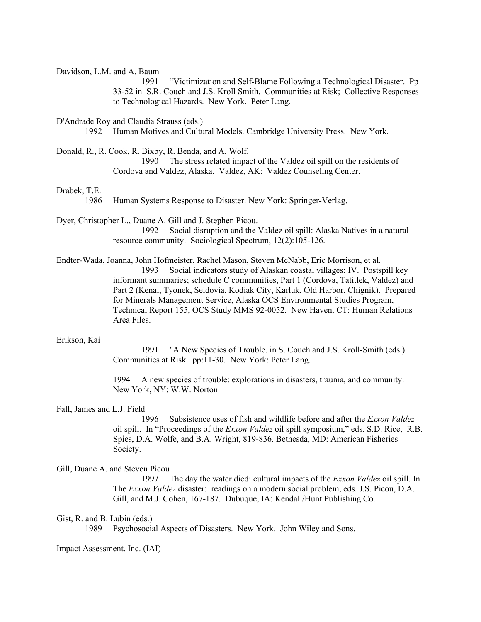Davidson, L.M. and A. Baum

1991 "Victimization and Self-Blame Following a Technological Disaster. Pp 33-52 in S.R. Couch and J.S. Kroll Smith. Communities at Risk; Collective Responses to Technological Hazards. New York. Peter Lang.

D'Andrade Roy and Claudia Strauss (eds.)

1992 Human Motives and Cultural Models. Cambridge University Press. New York.

Donald, R., R. Cook, R. Bixby, R. Benda, and A. Wolf.

1990 The stress related impact of the Valdez oil spill on the residents of Cordova and Valdez, Alaska. Valdez, AK: Valdez Counseling Center.

#### Drabek, T.E.

1986 Human Systems Response to Disaster. New York: Springer-Verlag.

Dyer, Christopher L., Duane A. Gill and J. Stephen Picou. 1992 Social disruption and the Valdez oil spill: Alaska Natives in a natural resource community. Sociological Spectrum, 12(2):105-126.

Endter-Wada, Joanna, John Hofmeister, Rachel Mason, Steven McNabb, Eric Morrison, et al. 1993 Social indicators study of Alaskan coastal villages: IV. Postspill key informant summaries; schedule C communities, Part 1 (Cordova, Tatitlek, Valdez) and Part 2 (Kenai, Tyonek, Seldovia, Kodiak City, Karluk, Old Harbor, Chignik). Prepared for Minerals Management Service, Alaska OCS Environmental Studies Program, Technical Report 155, OCS Study MMS 92-0052. New Haven, CT: Human Relations Area Files.

#### Erikson, Kai

1991 "A New Species of Trouble. in S. Couch and J.S. Kroll-Smith (eds.) Communities at Risk. pp:11-30. New York: Peter Lang.

1994 A new species of trouble: explorations in disasters, trauma, and community. New York, NY: W.W. Norton

#### Fall, James and L.J. Field

1996 Subsistence uses of fish and wildlife before and after the *Exxon Valdez*  oil spill. In "Proceedings of the *Exxon Valdez* oil spill symposium," eds. S.D. Rice, R.B. Spies, D.A. Wolfe, and B.A. Wright, 819-836. Bethesda, MD: American Fisheries Society.

#### Gill, Duane A. and Steven Picou

1997 The day the water died: cultural impacts of the *Exxon Valdez* oil spill. In The *Exxon Valdez* disaster: readings on a modern social problem, eds. J.S. Picou, D.A. Gill, and M.J. Cohen, 167-187. Dubuque, IA: Kendall/Hunt Publishing Co.

Gist, R. and B. Lubin (eds.)

1989 Psychosocial Aspects of Disasters. New York. John Wiley and Sons.

Impact Assessment, Inc. (IAI)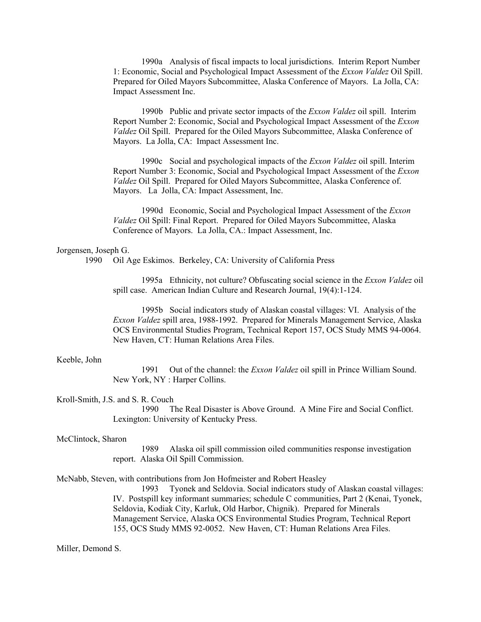1990a Analysis of fiscal impacts to local jurisdictions. Interim Report Number 1: Economic, Social and Psychological Impact Assessment of the *Exxon Valdez* Oil Spill. Prepared for Oiled Mayors Subcommittee, Alaska Conference of Mayors. La Jolla, CA: Impact Assessment Inc.

1990b Public and private sector impacts of the *Exxon Valdez* oil spill. Interim Report Number 2: Economic, Social and Psychological Impact Assessment of the *Exxon Valdez* Oil Spill. Prepared for the Oiled Mayors Subcommittee, Alaska Conference of Mayors. La Jolla, CA: Impact Assessment Inc.

1990c Social and psychological impacts of the *Exxon Valdez* oil spill. Interim Report Number 3: Economic, Social and Psychological Impact Assessment of the *Exxon Valdez* Oil Spill. Prepared for Oiled Mayors Subcommittee, Alaska Conference of. Mayors. La Jolla, CA: Impact Assessment, Inc.

1990d Economic, Social and Psychological Impact Assessment of the *Exxon Valdez* Oil Spill: Final Report. Prepared for Oiled Mayors Subcommittee, Alaska Conference of Mayors. La Jolla, CA.: Impact Assessment, Inc.

#### Jorgensen, Joseph G.

1990 Oil Age Eskimos. Berkeley, CA: University of California Press

1995a Ethnicity, not culture? Obfuscating social science in the *Exxon Valdez* oil spill case. American Indian Culture and Research Journal, 19(4):1-124.

1995b Social indicators study of Alaskan coastal villages: VI. Analysis of the *Exxon Valdez* spill area, 1988-1992. Prepared for Minerals Management Service, Alaska OCS Environmental Studies Program, Technical Report 157, OCS Study MMS 94-0064. New Haven, CT: Human Relations Area Files.

#### Keeble, John

1991 Out of the channel: the *Exxon Valdez* oil spill in Prince William Sound. New York, NY : Harper Collins.

#### Kroll-Smith, J.S. and S. R. Couch

1990 The Real Disaster is Above Ground. A Mine Fire and Social Conflict. Lexington: University of Kentucky Press.

#### McClintock, Sharon

1989 Alaska oil spill commission oiled communities response investigation report. Alaska Oil Spill Commission.

McNabb, Steven, with contributions from Jon Hofmeister and Robert Heasley

1993 Tyonek and Seldovia. Social indicators study of Alaskan coastal villages: IV. Postspill key informant summaries; schedule C communities, Part 2 (Kenai, Tyonek, Seldovia, Kodiak City, Karluk, Old Harbor, Chignik). Prepared for Minerals Management Service, Alaska OCS Environmental Studies Program, Technical Report 155, OCS Study MMS 92-0052. New Haven, CT: Human Relations Area Files.

#### Miller, Demond S.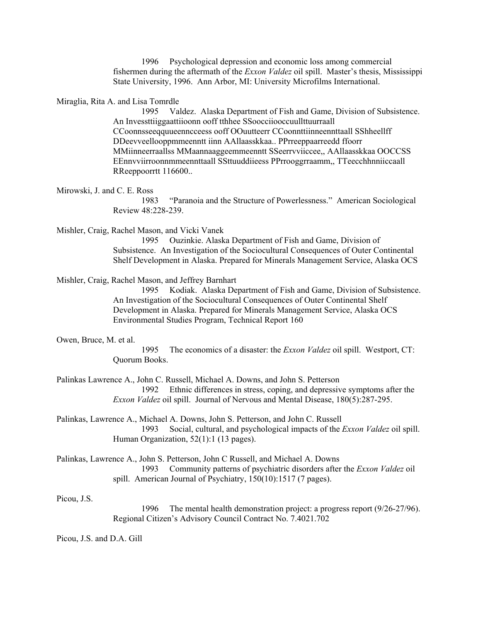1996 Psychological depression and economic loss among commercial fishermen during the aftermath of the *Exxon Valdez* oil spill. Master's thesis, Mississippi State University, 1996. Ann Arbor, MI: University Microfilms International.

Miraglia, Rita A. and Lisa Tomrdle

1995 Valdez. Alaska Department of Fish and Game, Division of Subsistence. An Invessttiiggaattiioonn ooff tthhee SSoocciiooccuullttuurraall CCoonnsseeqquueenncceess ooff OOuutteerr CCoonnttiinneennttaall SShheellff DDeevveellooppmmeenntt iinn AAllaasskkaa.. PPrreeppaarreedd ffoorr MMiinneerraallss MMaannaaggeemmeenntt SSeerrvviiccee,, AAllaasskkaa OOCCSS EEnnvviirroonnmmeennttaall SSttuuddiieess PPrrooggrraamm,, TTeecchhnniiccaall RReeppoorrtt 116600..

Mirowski, J. and C. E. Ross

1983 "Paranoia and the Structure of Powerlessness." American Sociological Review 48:228-239.

Mishler, Craig, Rachel Mason, and Vicki Vanek

1995 Ouzinkie. Alaska Department of Fish and Game, Division of Subsistence. An Investigation of the Sociocultural Consequences of Outer Continental Shelf Development in Alaska. Prepared for Minerals Management Service, Alaska OCS

Mishler, Craig, Rachel Mason, and Jeffrey Barnhart

1995 Kodiak. Alaska Department of Fish and Game, Division of Subsistence. An Investigation of the Sociocultural Consequences of Outer Continental Shelf Development in Alaska. Prepared for Minerals Management Service, Alaska OCS Environmental Studies Program, Technical Report 160

#### Owen, Bruce, M. et al.

1995 The economics of a disaster: the *Exxon Valdez* oil spill. Westport, CT: Quorum Books.

Palinkas Lawrence A., John C. Russell, Michael A. Downs, and John S. Petterson 1992 Ethnic differences in stress, coping, and depressive symptoms after the *Exxon Valdez* oil spill. Journal of Nervous and Mental Disease, 180(5):287-295.

Palinkas, Lawrence A., Michael A. Downs, John S. Petterson, and John C. Russell 1993 Social, cultural, and psychological impacts of the *Exxon Valdez* oil spill. Human Organization, 52(1):1 (13 pages).

Palinkas, Lawrence A., John S. Petterson, John C Russell, and Michael A. Downs 1993 Community patterns of psychiatric disorders after the *Exxon Valdez* oil spill. American Journal of Psychiatry, 150(10):1517 (7 pages).

Picou, J.S.

1996 The mental health demonstration project: a progress report (9/26-27/96). Regional Citizen's Advisory Council Contract No. 7.4021.702

Picou, J.S. and D.A. Gill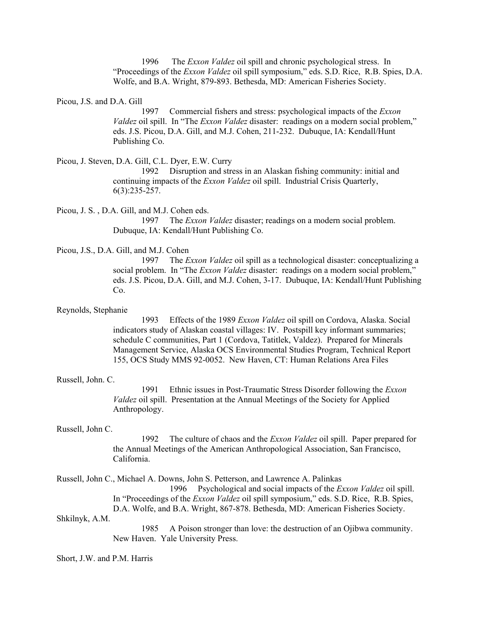1996 The *Exxon Valdez* oil spill and chronic psychological stress. In "Proceedings of the *Exxon Valdez* oil spill symposium," eds. S.D. Rice, R.B. Spies, D.A. Wolfe, and B.A. Wright, 879-893. Bethesda, MD: American Fisheries Society.

Picou, J.S. and D.A. Gill

1997 Commercial fishers and stress: psychological impacts of the *Exxon Valdez* oil spill. In "The *Exxon Valdez* disaster: readings on a modern social problem," eds. J.S. Picou, D.A. Gill, and M.J. Cohen, 211-232. Dubuque, IA: Kendall/Hunt Publishing Co.

Picou, J. Steven, D.A. Gill, C.L. Dyer, E.W. Curry

1992 Disruption and stress in an Alaskan fishing community: initial and continuing impacts of the *Exxon Valdez* oil spill. Industrial Crisis Quarterly, 6(3):235-257.

Picou, J. S. , D.A. Gill, and M.J. Cohen eds.

1997 The *Exxon Valdez* disaster; readings on a modern social problem. Dubuque, IA: Kendall/Hunt Publishing Co.

#### Picou, J.S., D.A. Gill, and M.J. Cohen

1997 The *Exxon Valdez* oil spill as a technological disaster: conceptualizing a social problem. In "The *Exxon Valdez* disaster: readings on a modern social problem," eds. J.S. Picou, D.A. Gill, and M.J. Cohen, 3-17. Dubuque, IA: Kendall/Hunt Publishing Co.

Reynolds, Stephanie

1993 Effects of the 1989 *Exxon Valdez* oil spill on Cordova, Alaska. Social indicators study of Alaskan coastal villages: IV. Postspill key informant summaries; schedule C communities, Part 1 (Cordova, Tatitlek, Valdez). Prepared for Minerals Management Service, Alaska OCS Environmental Studies Program, Technical Report 155, OCS Study MMS 92-0052. New Haven, CT: Human Relations Area Files

#### Russell, John. C.

1991 Ethnic issues in Post-Traumatic Stress Disorder following the *Exxon Valdez* oil spill. Presentation at the Annual Meetings of the Society for Applied Anthropology.

#### Russell, John C.

1992 The culture of chaos and the *Exxon Valdez* oil spill. Paper prepared for the Annual Meetings of the American Anthropological Association, San Francisco, California.

Russell, John C., Michael A. Downs, John S. Petterson, and Lawrence A. Palinkas

1996 Psychological and social impacts of the *Exxon Valdez* oil spill. In "Proceedings of the *Exxon Valdez* oil spill symposium," eds. S.D. Rice, R.B. Spies, D.A. Wolfe, and B.A. Wright, 867-878. Bethesda, MD: American Fisheries Society.

Shkilnyk, A.M.

1985 A Poison stronger than love: the destruction of an Ojibwa community. New Haven. Yale University Press.

#### Short, J.W. and P.M. Harris